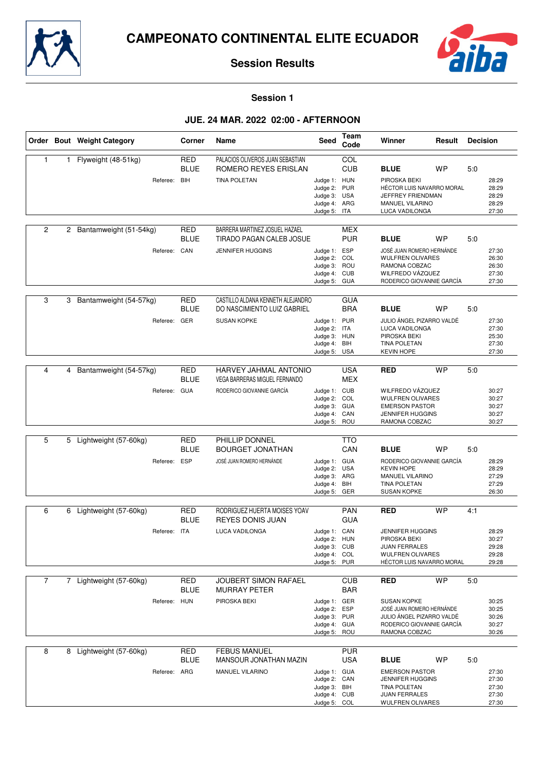



**Session 1**

# **JUE. 24 MAR. 2022 02:00 - AFTERNOON**

|                |    | Order Bout Weight Category             | Corner                                  | <b>Name</b>                                                                                | <b>Seed</b>                                                                  | Team<br>Code             | Winner                                                                                                                                   | Result    | <b>Decision</b> |                                           |
|----------------|----|----------------------------------------|-----------------------------------------|--------------------------------------------------------------------------------------------|------------------------------------------------------------------------------|--------------------------|------------------------------------------------------------------------------------------------------------------------------------------|-----------|-----------------|-------------------------------------------|
| 1              | 1. | Flyweight (48-51kg)<br>Referee: BIH    | RED<br><b>BLUE</b>                      | PALACIOS OLIVEROS JUAN SEBASTIAN<br>ROMERO REYES ERISLAN<br><b>TINA POLETAN</b>            | Judge 1: HUN<br>Judge 2: PUR<br>Judge 3: USA<br>Judge 4: ARG<br>Judge 5: ITA | COL<br><b>CUB</b>        | <b>BLUE</b><br>PIROSKA BEKI<br>HÉCTOR LUIS NAVARRO MORAL<br>JEFFREY FRIENDMAN<br>MANUEL VILARINO<br>LUCA VADILONGA                       | <b>WP</b> | 5:0             | 28:29<br>28:29<br>28:29<br>28:29<br>27:30 |
| 2              | 2  | Bantamweight (51-54kg)<br>Referee: CAN | RED<br><b>BLUE</b>                      | BARRERA MARTINEZ JOSUEL HAZAEL<br>TIRADO PAGAN CALEB JOSUE<br><b>JENNIFER HUGGINS</b>      | Judge 1: ESP<br>Judge 2:<br>Judge 3: ROU<br>Judge 4: CUB<br>Judge 5: GUA     | MEX<br><b>PUR</b><br>COL | <b>BLUE</b><br>JOSÉ JUAN ROMERO HERNÁNDE<br>WULFREN OLIVARES<br>RAMONA COBZAC<br>WILFREDO VÁZQUEZ<br>RODERICO GIOVANNIE GARCÍA           | <b>WP</b> | 5:0             | 27:30<br>26:30<br>26:30<br>27:30<br>27:30 |
| 3              | 3  | Bantamweight (54-57kg)<br>Referee:     | <b>RED</b><br><b>BLUE</b><br>GER        | CASTILLO ALDANA KENNETH ALEJANDRO<br>DO NASCIMIENTO LUIZ GABRIEL<br><b>SUSAN KOPKE</b>     | Judge 1: PUR<br>Judge 2: ITA<br>Judge 3: HUN<br>Judge 4: BIH<br>Judge 5: USA | <b>GUA</b><br><b>BRA</b> | <b>BLUE</b><br>JULIO ÁNGEL PIZARRO VALDÉ<br>LUCA VADILONGA<br>PIROSKA BEKI<br>TINA POLETAN<br><b>KEVIN HOPE</b>                          | <b>WP</b> | 5:0             | 27:30<br>27:30<br>25:30<br>27:30<br>27:30 |
| 4              | 4  | Bantamweight (54-57kg)<br>Referee: GUA | <b>RED</b><br><b>BLUE</b>               | HARVEY JAHMAL ANTONIO<br><b>VEGA BARRERAS MIGUEL FERNANDO</b><br>RODERICO GIOVANNIE GARCÍA | Judge 1: CUB<br>Judge 2: COL<br>Judge 3: GUA<br>Judge 4: CAN<br>Judge 5: ROU | <b>USA</b><br><b>MEX</b> | <b>RED</b><br>WILFREDO VÁZQUEZ<br>WULFREN OLIVARES<br><b>EMERSON PASTOR</b><br><b>JENNIFER HUGGINS</b><br>RAMONA COBZAC                  | <b>WP</b> | 5:0             | 30:27<br>30:27<br>30:27<br>30:27<br>30:27 |
| 5              | 5  | Lightweight (57-60kg)<br>Referee:      | <b>RED</b><br><b>BLUE</b><br><b>ESP</b> | PHILLIP DONNEL<br><b>BOURGET JONATHAN</b><br>JOSÉ JUAN ROMERO HERNÁNDE                     | Judge 1: GUA<br>Judge 2: USA<br>Judge 3: ARG<br>Judge 4:<br>Judge 5: GER     | <b>TTO</b><br>CAN<br>BIH | <b>BLUE</b><br>RODERICO GIOVANNIE GARCÍA<br><b>KEVIN HOPE</b><br><b>MANUEL VILARINO</b><br><b>TINA POLETAN</b><br><b>SUSAN KOPKE</b>     | <b>WP</b> | 5:0             | 28:29<br>28:29<br>27:29<br>27:29<br>26:30 |
| 6              | 6  | Lightweight (57-60kg)<br>Referee: ITA  | <b>RED</b><br><b>BLUE</b>               | RODRIGUEZ HUERTA MOISES YOAV<br><b>REYES DONIS JUAN</b><br>LUCA VADILONGA                  | Judge 1: CAN<br>Judge 2: HUN<br>Judge 3: CUB<br>Judge 4: COL<br>Judge 5: PUR | <b>PAN</b><br><b>GUA</b> | <b>RED</b><br><b>JENNIFER HUGGINS</b><br>PIROSKA BEKI<br><b>JUAN FERRALES</b><br><b>WULFREN OLIVARES</b><br>HÉCTOR LUIS NAVARRO MORAL    | <b>WP</b> | 4:1             | 28:29<br>30:27<br>29:28<br>29:28<br>29:28 |
| $\overline{7}$ |    | 7 Lightweight (57-60kg)<br>Referee:    | <b>RED</b><br><b>BLUE</b><br><b>HUN</b> | <b>JOUBERT SIMON RAFAEL</b><br><b>MURRAY PETER</b><br>PIROSKA BEKI                         | Judge 1: GER<br>Judge 2: ESP<br>Judge 3: PUR<br>Judge 4: GUA<br>Judge 5: ROU | <b>CUB</b><br><b>BAR</b> | <b>RED</b><br><b>SUSAN KOPKE</b><br>JOSÉ JUAN ROMERO HERNÁNDE<br>JULIO ÁNGEL PIZARRO VALDÉ<br>RODERICO GIOVANNIE GARCÍA<br>RAMONA COBZAC | <b>WP</b> | 5:0             | 30:25<br>30:25<br>30:26<br>30:27<br>30:26 |
| 8              | 8  | Lightweight (57-60kg)<br>Referee: ARG  | <b>RED</b><br><b>BLUE</b>               | <b>FEBUS MANUEL</b><br>MANSOUR JONATHAN MAZIN<br>MANUEL VILARINO                           | Judge 1: GUA<br>Judge 2: CAN<br>Judge 3: BIH<br>Judge 4: CUB<br>Judge 5: COL | <b>PUR</b><br><b>USA</b> | <b>BLUE</b><br><b>EMERSON PASTOR</b><br><b>JENNIFER HUGGINS</b><br><b>TINA POLETAN</b><br><b>JUAN FERRALES</b><br>WULFREN OLIVARES       | <b>WP</b> | 5:0             | 27:30<br>27:30<br>27:30<br>27:30<br>27:30 |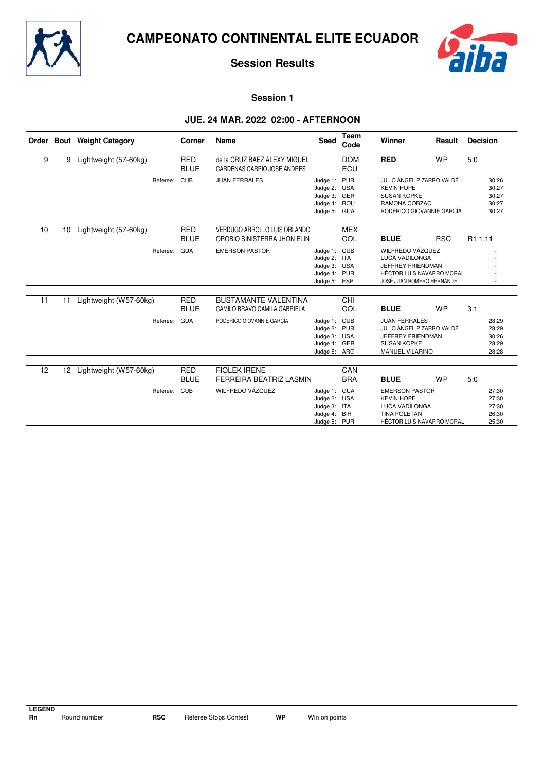



**Session 1**

# **JUE. 24 MAR. 2022 02:00 - AFTERNOON**

|    |                 | Order Bout Weight Category | Corner                    | Name                                                        | <b>Seed</b>                                                                  | <b>Team</b><br>Code | Winner                                                                                                                   | Result     | <b>Decision</b>                           |
|----|-----------------|----------------------------|---------------------------|-------------------------------------------------------------|------------------------------------------------------------------------------|---------------------|--------------------------------------------------------------------------------------------------------------------------|------------|-------------------------------------------|
| 9  | 9               | Lightweight (57-60kg)      | <b>RED</b><br><b>BLUE</b> | de la CRUZ BAEZ ALEXY MIGUEL<br>CARDENAS CARPIO JOSE ANDRES |                                                                              | <b>DOM</b><br>ECU   | <b>RED</b>                                                                                                               | <b>WP</b>  | 5:0                                       |
|    |                 | Referee:                   | CUB                       | <b>JUAN FERRALES</b>                                        | Judge 1: PUR<br>Judge 2: USA<br>Judge 3: GER<br>Judge 4: ROU<br>Judge 5: GUA |                     | JULIO ÁNGEL PIZARRO VALDÉ<br><b>KEVIN HOPE</b><br><b>SUSAN KOPKE</b><br>RAMONA COBZAC<br>RODERICO GIOVANNIE GARCÍA       |            | 30:26<br>30:27<br>30:27<br>30:27<br>30:27 |
| 10 | 10              | Lightweight (57-60kg)      | <b>RED</b><br><b>BLUE</b> | VERDUGO ARROLLO LUIS ORLANDO<br>OROBIO SINISTERRA JHON ELIN |                                                                              | <b>MEX</b><br>COL   | <b>BLUE</b>                                                                                                              | <b>RSC</b> | R1 1:11                                   |
|    |                 | Referee:                   | <b>GUA</b>                | <b>EMERSON PASTOR</b>                                       | Judge 1: CUB<br>Judge 2: ITA<br>Judge 3: USA<br>Judge 4: PUR<br>Judge 5: ESP |                     | WILFREDO VÁZQUEZ<br><b>LUCA VADILONGA</b><br>JEFFREY FRIENDMAN<br>HÉCTOR LUIS NAVARRO MORAL<br>JOSÉ JUAN ROMERO HERNÁNDE |            |                                           |
| 11 | 11              | Lightweight (W57-60kg)     | <b>RED</b><br><b>BLUE</b> | <b>BUSTAMANTE VALENTINA</b><br>CAMILO BRAVO CAMILA GABRIELA |                                                                              | <b>CHI</b><br>COL   | <b>BLUE</b>                                                                                                              | <b>WP</b>  | 3:1                                       |
|    |                 | Referee:                   | <b>GUA</b>                | RODERICO GIOVANNIE GARCÍA                                   | Judge 1: CUB<br>Judge 2: PUR<br>Judge 3: USA<br>Judge 4: GER<br>Judge 5: ARG |                     | <b>JUAN FERRALES</b><br>JULIO ÁNGEL PIZARRO VALDÉ<br>JEFFREY FRIENDMAN<br><b>SUSAN KOPKE</b><br>MANUEL VILARINO          |            | 28:29<br>28:29<br>30:26<br>28:29<br>28:28 |
| 12 | 12 <sup>2</sup> | Lightweight (W57-60kg)     | <b>RED</b><br><b>BLUE</b> | <b>FIOLEK IRENE</b><br>FERREIRA BEATRIZ LASMIN              |                                                                              | CAN<br><b>BRA</b>   | <b>BLUE</b>                                                                                                              | <b>WP</b>  | 5:0                                       |
|    |                 | Referee:                   | <b>CUB</b>                | WILFREDO VÁZQUEZ                                            | Judge 1: GUA<br>Judge 2: USA<br>Judge 3: ITA<br>Judge 4: BIH<br>Judge 5: PUR |                     | <b>EMERSON PASTOR</b><br><b>KEVIN HOPE</b><br><b>LUCA VADILONGA</b><br><b>TINA POLETAN</b><br>HÉCTOR LUIS NAVARRO MORAL  |            | 27:30<br>27:30<br>27:30<br>26:30<br>25:30 |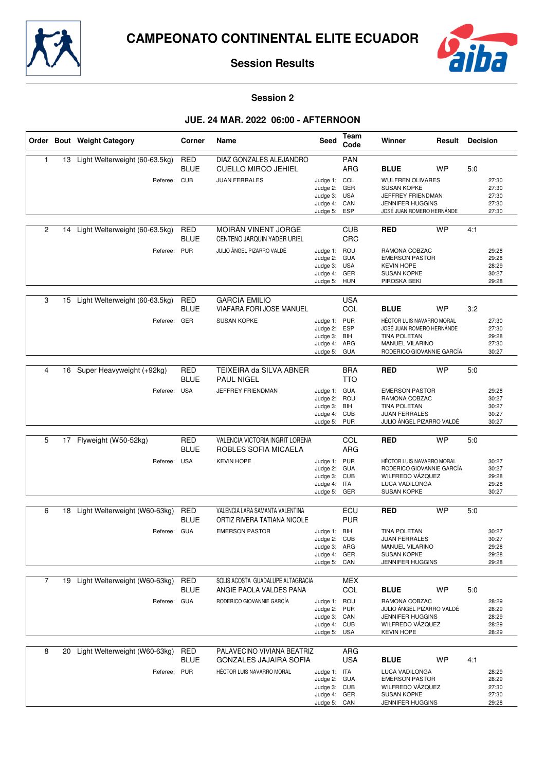



#### **Session 2**

## **JUE. 24 MAR. 2022 06:00 - AFTERNOON**

|                |    | Order Bout Weight Category        | Corner                    | Name                                                        | Seed                                                                         | Team<br>Code             | Winner                                                                                                                        | Result    | <b>Decision</b> |                                           |
|----------------|----|-----------------------------------|---------------------------|-------------------------------------------------------------|------------------------------------------------------------------------------|--------------------------|-------------------------------------------------------------------------------------------------------------------------------|-----------|-----------------|-------------------------------------------|
| 1              |    | 13 Light Welterweight (60-63.5kg) | <b>RED</b><br><b>BLUE</b> | DIAZ GONZALES ALEJANDRO<br><b>CUELLO MIRCO JEHIEL</b>       |                                                                              | PAN<br><b>ARG</b>        | <b>BLUE</b>                                                                                                                   | <b>WP</b> | 5:0             |                                           |
|                |    | Referee: CUB                      |                           | <b>JUAN FERRALES</b>                                        | Judge 1: COL<br>Judge 2: GER<br>Judge 3: USA<br>Judge 4: CAN<br>Judge 5:     | ESP                      | <b>WULFREN OLIVARES</b><br><b>SUSAN KOPKE</b><br>JEFFREY FRIENDMAN<br><b>JENNIFER HUGGINS</b><br>JOSÉ JUAN ROMERO HERNÁNDE    |           |                 | 27:30<br>27:30<br>27:30<br>27:30<br>27:30 |
| $\overline{2}$ | 14 | Light Welterweight (60-63.5kg)    | <b>RED</b><br><b>BLUE</b> | MOIRÁN VINENT JORGE<br>CENTENO JARQUIN YADER URIEL          |                                                                              | <b>CUB</b><br>CRC        | <b>RED</b>                                                                                                                    | <b>WP</b> | 4:1             |                                           |
|                |    | Referee: PUR                      |                           | JULIO ÁNGEL PIZARRO VALDÉ                                   | Judge 1: ROU<br>Judge 2:<br>Judge 3: USA<br>Judge 4: GER<br>Judge 5: HUN     | <b>GUA</b>               | RAMONA COBZAC<br><b>EMERSON PASTOR</b><br><b>KEVIN HOPE</b><br><b>SUSAN KOPKE</b><br>PIROSKA BEKI                             |           |                 | 29:28<br>29:28<br>28:29<br>30:27<br>29:28 |
| 3              | 15 | Light Welterweight (60-63.5kg)    | <b>RED</b><br><b>BLUE</b> | <b>GARCIA EMILIO</b><br><b>VIAFARA FORI JOSE MANUEL</b>     |                                                                              | <b>USA</b><br><b>COL</b> | <b>BLUE</b>                                                                                                                   | <b>WP</b> | 3:2             |                                           |
|                |    | Referee: GER                      |                           | <b>SUSAN KOPKE</b>                                          | Judge 1: PUR<br>Judge 2: ESP<br>Judge 3: BIH<br>Judge 4:<br>Judge 5:         | ARG<br><b>GUA</b>        | HÉCTOR LUIS NAVARRO MORAL<br>JOSÉ JUAN ROMERO HERNÁNDE<br><b>TINA POLETAN</b><br>MANUEL VILARINO<br>RODERICO GIOVANNIE GARCÍA |           |                 | 27:30<br>27:30<br>29:28<br>27:30<br>30:27 |
| 4              | 16 | Super Heavyweight (+92kg)         | <b>RED</b><br><b>BLUE</b> | TEIXEIRA da SILVA ABNER<br><b>PAUL NIGEL</b>                |                                                                              | <b>BRA</b><br><b>TTO</b> | <b>RED</b>                                                                                                                    | <b>WP</b> | 5:0             |                                           |
|                |    | Referee: USA                      |                           | JEFFREY FRIENDMAN                                           | Judge 1: GUA<br>Judge 2:<br>Judge 3:<br>Judge 4:<br>Judge 5: PUR             | ROU<br>BIH<br><b>CUB</b> | <b>EMERSON PASTOR</b><br>RAMONA COBZAC<br><b>TINA POLETAN</b><br><b>JUAN FERRALES</b><br>JULIO ÁNGEL PIZARRO VALDÉ            |           |                 | 29:28<br>30:27<br>30:27<br>30:27<br>30:27 |
| 5              | 17 | Flyweight (W50-52kg)              | <b>RED</b>                | VALENCIA VICTORIA INGRIT LORENA                             |                                                                              | COL                      | <b>RED</b>                                                                                                                    | <b>WP</b> | 5:0             |                                           |
|                |    |                                   | <b>BLUE</b>               | ROBLES SOFIA MICAELA                                        |                                                                              | ARG                      |                                                                                                                               |           |                 |                                           |
|                |    | Referee:                          | <b>USA</b>                | <b>KEVIN HOPE</b>                                           | Judge 1: PUR<br>Judge 2: GUA<br>Judge 3: CUB<br>Judge 4: ITA<br>Judge 5:     | GER                      | HÉCTOR LUIS NAVARRO MORAL<br>RODERICO GIOVANNIE GARCÍA<br>WILFREDO VÁZQUEZ<br>LUCA VADILONGA<br><b>SUSAN KOPKE</b>            |           |                 | 30:27<br>30:27<br>29:28<br>29:28<br>30:27 |
| 6              | 18 | Light Welterweight (W60-63kg)     | <b>RED</b>                | VALENCIA LARA SAMANTA VALENTINA                             |                                                                              | ECU                      | <b>RED</b>                                                                                                                    | <b>WP</b> | 5:0             |                                           |
|                |    |                                   | <b>BLUE</b>               | ORTIZ RIVERA TATIANA NICOLE                                 |                                                                              | <b>PUR</b>               |                                                                                                                               |           |                 |                                           |
|                |    | Referee: GUA                      |                           | <b>EMERSON PASTOR</b>                                       | Judge 1: BIH<br>Judge 2:<br>Judge 3: ARG<br>Judge 4: GER<br>Judge 5: CAN     | <b>CUB</b>               | <b>TINA POLETAN</b><br>JUAN FERRALES<br>MANUEL VILARINO<br><b>SUSAN KOPKE</b><br>JENNIFER HUGGINS                             |           |                 | 30:27<br>30:27<br>29:28<br>29:28<br>29:28 |
| $\overline{7}$ | 19 | Light Welterweight (W60-63kg)     | <b>RED</b>                | SOLIS ACOSTA GUADALUPE ALTAGRACIA                           |                                                                              | <b>MEX</b>               |                                                                                                                               |           |                 |                                           |
|                |    |                                   | <b>BLUE</b>               | ANGIE PAOLA VALDES PANA                                     |                                                                              | COL                      | <b>BLUE</b>                                                                                                                   | <b>WP</b> | 5:0             |                                           |
|                |    | Referee: GUA                      |                           | RODERICO GIOVANNIE GARCÍA                                   | Judge 1: ROU<br>Judge 2:<br>Judge 3: CAN<br>Judge 4: CUB<br>Judge 5: USA     | PUR                      | RAMONA COBZAC<br>JULIO ÁNGEL PIZARRO VALDÉ<br><b>JENNIFER HUGGINS</b><br>WILFREDO VÁZQUEZ<br><b>KEVIN HOPE</b>                |           |                 | 28:29<br>28:29<br>28:29<br>28:29<br>28:29 |
| 8              | 20 | Light Welterweight (W60-63kg)     | <b>RED</b><br><b>BLUE</b> | PALAVECINO VIVIANA BEATRIZ<br><b>GONZALES JAJAIRA SOFIA</b> |                                                                              | ARG<br><b>USA</b>        | <b>BLUE</b>                                                                                                                   | <b>WP</b> | 4:1             |                                           |
|                |    | Referee: PUR                      |                           | HÉCTOR LUIS NAVARRO MORAL                                   | Judge 1: ITA<br>Judge 2: GUA<br>Judge 3: CUB<br>Judge 4: GER<br>Judge 5: CAN |                          | LUCA VADILONGA<br><b>EMERSON PASTOR</b><br>WILFREDO VÁZQUEZ<br><b>SUSAN KOPKE</b><br>JENNIFER HUGGINS                         |           |                 | 28:29<br>28:29<br>27:30<br>27:30<br>29:28 |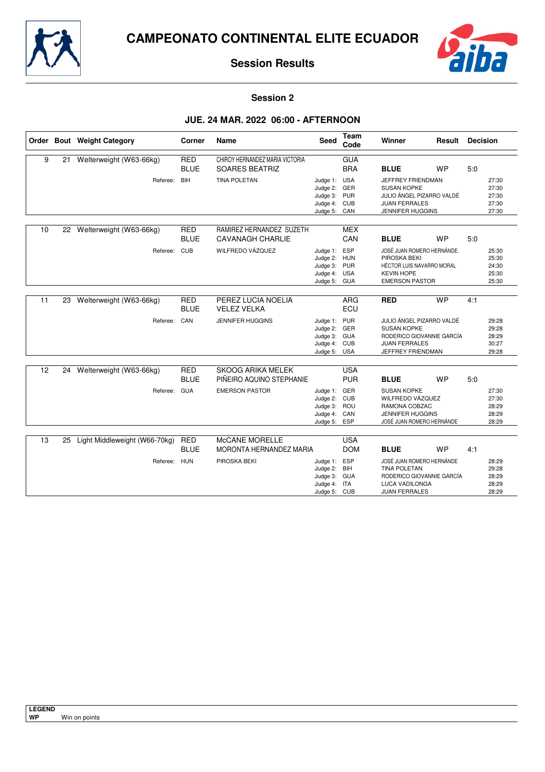



**Session 2**

## **JUE. 24 MAR. 2022 06:00 - AFTERNOON**

|    |    | Order Bout Weight Category    | Corner                    | Name                                                     | <b>Seed</b>                                                                  | Team<br>Code             | Winner                                                                                                                    | Result    | <b>Decision</b> |                                           |
|----|----|-------------------------------|---------------------------|----------------------------------------------------------|------------------------------------------------------------------------------|--------------------------|---------------------------------------------------------------------------------------------------------------------------|-----------|-----------------|-------------------------------------------|
| 9  | 21 | Welterweight (W63-66kg)       | <b>RED</b><br><b>BLUE</b> | CHIROY HERNANDEZ MARIA VICTORIA<br><b>SOARES BEATRIZ</b> |                                                                              | <b>GUA</b><br><b>BRA</b> | <b>BLUE</b>                                                                                                               | <b>WP</b> | 5.0             |                                           |
|    |    | Referee: BIH                  |                           | <b>TINA POLETAN</b>                                      | Judge 1: USA<br>Judge 2: GER<br>Judge 3: PUR<br>Judge 4: CUB<br>Judge 5: CAN |                          | JEFFREY FRIENDMAN<br><b>SUSAN KOPKE</b><br>JULIO ÁNGEL PIZARRO VALDÉ<br><b>JUAN FERRALES</b><br><b>JENNIFER HUGGINS</b>   |           |                 | 27:30<br>27:30<br>27:30<br>27:30<br>27:30 |
| 10 | 22 | Welterweight (W63-66kg)       | <b>RED</b><br><b>BLUE</b> | RAMIREZ HERNANDEZ SUZETH<br><b>CAVANAGH CHARLIE</b>      |                                                                              | <b>MEX</b><br>CAN        | <b>BLUE</b>                                                                                                               | <b>WP</b> | 5:0             |                                           |
|    |    | Referee: CUB                  |                           | WILFREDO VÁZQUEZ                                         | Judge 1: ESP<br>Judge 2: HUN<br>Judge 3: PUR<br>Judge 4: USA<br>Judge 5: GUA |                          | JOSÉ JUAN ROMERO HERNÁNDE<br>PIROSKA BEKI<br>HÉCTOR LUIS NAVARRO MORAL<br><b>KEVIN HOPE</b><br><b>EMERSON PASTOR</b>      |           |                 | 25:30<br>25:30<br>24:30<br>25:30<br>25:30 |
| 11 | 23 | Welterweight (W63-66kg)       | <b>RED</b><br><b>BLUE</b> | PEREZ LUCIA NOELIA<br><b>VELEZ VELKA</b>                 |                                                                              | <b>ARG</b><br>ECU        | <b>RED</b>                                                                                                                | <b>WP</b> | 4:1             |                                           |
|    |    | Referee: CAN                  |                           | <b>JENNIFER HUGGINS</b>                                  | Judge 1: PUR<br>Judge 2: GER<br>Judge 3: GUA<br>Judge 4: CUB<br>Judge 5: USA |                          | JULIO ÁNGEL PIZARRO VALDÉ<br><b>SUSAN KOPKE</b><br>RODERICO GIOVANNIE GARCÍA<br><b>JUAN FERRALES</b><br>JEFFREY FRIENDMAN |           |                 | 29:28<br>29:28<br>28:29<br>30:27<br>29:28 |
| 12 |    | 24 Welterweight (W63-66kg)    | <b>RED</b><br><b>BLUE</b> | <b>SKOOG ARIKA MELEK</b><br>PIÑEIRO AQUINO STEPHANIE     |                                                                              | <b>USA</b><br><b>PUR</b> | <b>BLUE</b>                                                                                                               | <b>WP</b> | 5:0             |                                           |
|    |    | Referee: GUA                  |                           | <b>EMERSON PASTOR</b>                                    | Judge 1: GER<br>Judge 2: CUB<br>Judge 3: ROU<br>Judge 4: CAN<br>Judge 5: ESP |                          | <b>SUSAN KOPKE</b><br>WILFREDO VÁZQUEZ<br>RAMONA COBZAC<br><b>JENNIFER HUGGINS</b><br>JOSÉ JUAN ROMERO HERNÁNDE           |           |                 | 27:30<br>27:30<br>28:29<br>28:29<br>28:29 |
| 13 | 25 | Light Middleweight (W66-70kg) | <b>RED</b><br><b>BLUE</b> | McCANE MORELLE<br>MORONTA HERNANDEZ MARIA                |                                                                              | <b>USA</b><br><b>DOM</b> | <b>BLUE</b>                                                                                                               | <b>WP</b> | 4:1             |                                           |
|    |    | Referee: HUN                  |                           | PIROSKA BEKI                                             | Judge 1: ESP<br>Judge 2: BIH<br>Judge 3: GUA<br>Judge 4: ITA<br>Judge 5: CUB |                          | JOSÉ JUAN ROMERO HERNÁNDE<br><b>TINA POLETAN</b><br>RODERICO GIOVANNIE GARCÍA<br>LUCA VADILONGA<br><b>JUAN FERRALES</b>   |           |                 | 28:29<br>29:28<br>28:29<br>28:29<br>28:29 |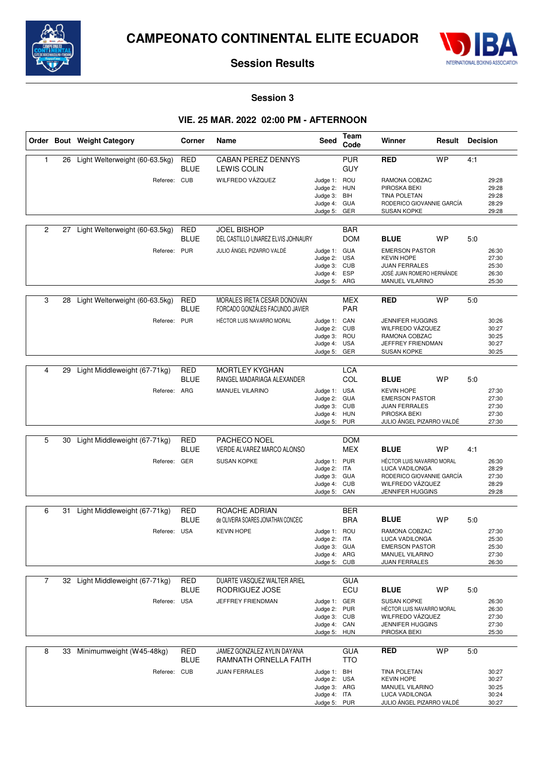



**Session 3**

# **VIE. 25 MAR. 2022 02:00 PM - AFTERNOON**

|                |    | Order Bout Weight Category      | Corner                    | Name                                                           | Seed                                                                         | Team<br>Code             | Winner                                                                                                                          | Result    | <b>Decision</b> |                                           |
|----------------|----|---------------------------------|---------------------------|----------------------------------------------------------------|------------------------------------------------------------------------------|--------------------------|---------------------------------------------------------------------------------------------------------------------------------|-----------|-----------------|-------------------------------------------|
| 1              | 26 | Light Welterweight (60-63.5kg)  | RED<br><b>BLUE</b>        | <b>CABAN PEREZ DENNYS</b><br><b>LEWIS COLIN</b>                |                                                                              | <b>PUR</b><br><b>GUY</b> | <b>RED</b>                                                                                                                      | <b>WP</b> | 4:1             |                                           |
|                |    | Referee: CUB                    |                           | WILFREDO VÁZQUEZ                                               | Judge 1: ROU<br>Judge 2: HUN<br>Judge 3:<br>Judge 4: GUA<br>Judge 5:         | BIH<br>GER               | RAMONA COBZAC<br>PIROSKA BEKI<br><b>TINA POLETAN</b><br>RODERICO GIOVANNIE GARCÍA<br><b>SUSAN KOPKE</b>                         |           |                 | 29:28<br>29:28<br>29:28<br>28:29<br>29:28 |
| 2              | 27 | Light Welterweight (60-63.5kg)  | <b>RED</b><br><b>BLUE</b> | <b>JOEL BISHOP</b><br>DEL CASTILLO LINAREZ ELVIS JOHNAURY      |                                                                              | <b>BAR</b><br><b>DOM</b> | <b>BLUE</b>                                                                                                                     | <b>WP</b> | 5:0             |                                           |
|                |    | Referee: PUR                    |                           | JULIO ÁNGEL PIZARRO VALDÉ                                      | Judge 1: GUA<br>Judge 2: USA<br>Judge 3: CUB<br>Judge 4: ESP<br>Judge 5: ARG |                          | <b>EMERSON PASTOR</b><br><b>KEVIN HOPE</b><br><b>JUAN FERRALES</b><br>JOSÉ JUAN ROMERO HERNÁNDE<br>MANUEL VILARINO              |           |                 | 26:30<br>27:30<br>25:30<br>26:30<br>25:30 |
| 3              | 28 | Light Welterweight (60-63.5kg)  | <b>RED</b><br><b>BLUE</b> | MORALES IRETA CESAR DONOVAN<br>FORCADO GONZÁLES FACUNDO JAVIER |                                                                              | <b>MEX</b><br>PAR        | <b>RED</b>                                                                                                                      | <b>WP</b> | 5:0             |                                           |
|                |    | Referee:                        | <b>PUR</b>                | HÉCTOR LUIS NAVARRO MORAL                                      | Judge 1: CAN<br>Judge 2:<br>Judge 3: ROU<br>Judge 4: USA<br>Judge 5: GER     | <b>CUB</b>               | <b>JENNIFER HUGGINS</b><br>WILFREDO VÁZQUEZ<br>RAMONA COBZAC<br>JEFFREY FRIENDMAN<br><b>SUSAN KOPKE</b>                         |           |                 | 30:26<br>30:27<br>30:25<br>30:27<br>30:25 |
| 4              | 29 | Light Middleweight (67-71kg)    | <b>RED</b><br><b>BLUE</b> | <b>MORTLEY KYGHAN</b><br>RANGEL MADARIAGA ALEXANDER            |                                                                              | <b>LCA</b><br>COL        | <b>BLUE</b>                                                                                                                     | <b>WP</b> | 5:0             |                                           |
|                |    | Referee: ARG                    |                           | MANUEL VILARINO                                                | Judge 1: USA<br>Judge 2: GUA<br>Judge 3: CUB<br>Judge 4: HUN<br>Judge 5: PUR |                          | <b>KEVIN HOPE</b><br><b>EMERSON PASTOR</b><br><b>JUAN FERRALES</b><br>PIROSKA BEKI<br>JULIO ÁNGEL PIZARRO VALDÉ                 |           |                 | 27:30<br>27:30<br>27:30<br>27:30<br>27:30 |
| 5              | 30 | Light Middleweight (67-71kg)    | <b>RED</b>                | PACHECO NOEL                                                   |                                                                              | <b>DOM</b>               |                                                                                                                                 |           |                 |                                           |
|                |    | Referee: GER                    | <b>BLUE</b>               | VERDE ALVAREZ MARCO ALONSO<br><b>SUSAN KOPKE</b>               | Judge 1: PUR<br>Judge 2: ITA<br>Judge 3: GUA<br>Judge 4: CUB<br>Judge 5: CAN | MEX                      | <b>BLUE</b><br>HÉCTOR LUIS NAVARRO MORAL<br>LUCA VADILONGA<br>RODERICO GIOVANNIE GARCÍA<br>WILFREDO VÁZQUEZ<br>JENNIFER HUGGINS | <b>WP</b> | 4:1             | 26:30<br>28:29<br>27:30<br>28:29<br>29:28 |
| 6              | 31 | Light Middleweight (67-71kg)    | RED                       | ROACHE ADRIAN                                                  |                                                                              | BER                      |                                                                                                                                 |           |                 |                                           |
|                |    | Referee: USA                    | <b>BLUE</b>               | de OLIVEIRA SOARES JONATHAN CONCEIC<br><b>KEVIN HOPE</b>       | Judge 1: ROU<br>Judge 2: ITA<br>Judge 3: GUA<br>Judge 4: ARG<br>Judge 5:     | <b>BRA</b><br><b>CUB</b> | <b>BLUE</b><br>RAMONA COBZAC<br>LUCA VADILONGA<br><b>EMERSON PASTOR</b><br>MANUEL VILARINO<br><b>JUAN FERRALES</b>              | <b>WP</b> | 5:0             | 27:30<br>25:30<br>25:30<br>27:30<br>26:30 |
| $\overline{7}$ |    | 32 Light Middleweight (67-71kg) | RED                       | DUARTE VASQUEZ WALTER ARIEL                                    |                                                                              | <b>GUA</b>               |                                                                                                                                 |           |                 |                                           |
|                |    | Referee: USA                    | <b>BLUE</b>               | RODRIGUEZ JOSE<br>JEFFREY FRIENDMAN                            | Judge 1: GER<br>Judge 2: PUR<br>Judge 3: CUB<br>Judge 4: CAN<br>Judge 5: HUN | ECU                      | <b>BLUE</b><br><b>SUSAN KOPKE</b><br>HÉCTOR LUIS NAVARRO MORAL<br>WILFREDO VÁZQUEZ<br>JENNIFER HUGGINS<br>PIROSKA BEKI          | <b>WP</b> | 5:0             | 26:30<br>26:30<br>27:30<br>27:30<br>25:30 |
| 8              | 33 | Minimumweight (W45-48kg)        | <b>RED</b><br><b>BLUE</b> | JAMEZ GONZALEZ AYLIN DAYANA<br>RAMNATH ORNELLA FAITH           |                                                                              | <b>GUA</b><br><b>TTO</b> | <b>RED</b>                                                                                                                      | <b>WP</b> | 5:0             |                                           |
|                |    | Referee: CUB                    |                           | <b>JUAN FERRALES</b>                                           | Judge 1: BIH<br>Judge 2: USA<br>Judge 3: ARG<br>Judge 4: ITA<br>Judge 5: PUR |                          | TINA POLETAN<br><b>KEVIN HOPE</b><br>MANUEL VILARINO<br>LUCA VADILONGA<br>JULIO ÁNGEL PIZARRO VALDÉ                             |           |                 | 30:27<br>30:27<br>30:25<br>30:24<br>30:27 |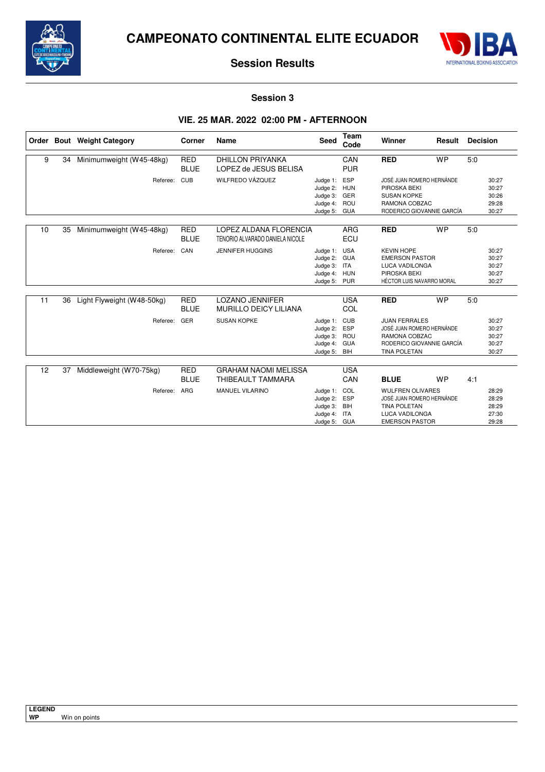



### **Session 3**

### **VIE. 25 MAR. 2022 02:00 PM - AFTERNOON**

|    |    | Order Bout Weight Category | Corner                    | Name                                                      | Seed                                                                         | <b>Team</b><br>Code | Winner                                                                                                                 | Result    | <b>Decision</b> |                                           |
|----|----|----------------------------|---------------------------|-----------------------------------------------------------|------------------------------------------------------------------------------|---------------------|------------------------------------------------------------------------------------------------------------------------|-----------|-----------------|-------------------------------------------|
| 9  | 34 | Minimumweight (W45-48kg)   | <b>RED</b><br><b>BLUE</b> | <b>DHILLON PRIYANKA</b><br>LOPEZ de JESUS BELISA          |                                                                              | CAN<br><b>PUR</b>   | <b>RED</b>                                                                                                             | <b>WP</b> | 5:0             |                                           |
|    |    | Referee:                   | <b>CUB</b>                | WILFREDO VÁZQUEZ                                          | Judge 1: ESP<br>Judge 2: HUN<br>Judge 3: GER<br>Judge 4:<br>Judge 5:         | ROU<br>GUA          | JOSÉ JUAN ROMERO HERNÁNDE<br>PIROSKA BEKI<br><b>SUSAN KOPKE</b><br>RAMONA COBZAC<br>RODERICO GIOVANNIE GARCÍA          |           |                 | 30:27<br>30:27<br>30:26<br>29:28<br>30:27 |
| 10 | 35 | Minimumweight (W45-48kg)   | <b>RED</b><br><b>BLUE</b> | LOPEZ ALDANA FLORENCIA<br>TENORIO ALVARADO DANIELA NICOLE |                                                                              | <b>ARG</b><br>ECU   | <b>RED</b>                                                                                                             | <b>WP</b> | 5:0             |                                           |
|    |    | Referee:                   | CAN                       | <b>JENNIFER HUGGINS</b>                                   | Judge 1: USA<br>Judge 2: GUA<br>Judge 3: ITA<br>Judge 4: HUN<br>Judge 5: PUR |                     | <b>KEVIN HOPE</b><br><b>EMERSON PASTOR</b><br>LUCA VADILONGA<br>PIROSKA BEKI<br>HÉCTOR LUIS NAVARRO MORAL              |           |                 | 30:27<br>30:27<br>30:27<br>30:27<br>30:27 |
| 11 | 36 | Light Flyweight (W48-50kg) | <b>RED</b><br><b>BLUE</b> | <b>LOZANO JENNIFER</b><br><b>MURILLO DEICY LILIANA</b>    |                                                                              | <b>USA</b><br>COL   | <b>RED</b>                                                                                                             | <b>WP</b> | 5:0             |                                           |
|    |    | Referee:                   | GER                       | <b>SUSAN KOPKE</b>                                        | Judge 1: CUB<br>Judge 2: ESP<br>Judge 3: ROU<br>Judge 4: GUA<br>Judge 5: BIH |                     | <b>JUAN FERRALES</b><br>JOSÉ JUAN ROMERO HERNÁNDE<br>RAMONA COBZAC<br>RODERICO GIOVANNIE GARCÍA<br><b>TINA POLETAN</b> |           |                 | 30:27<br>30:27<br>30:27<br>30:27<br>30:27 |
| 12 | 37 | Middleweight (W70-75kg)    | <b>RED</b><br><b>BLUE</b> | <b>GRAHAM NAOMI MELISSA</b><br>THIBEAULT TAMMARA          |                                                                              | <b>USA</b><br>CAN   | <b>BLUE</b>                                                                                                            | <b>WP</b> | 4:1             |                                           |
|    |    | Referee:                   | <b>ARG</b>                | <b>MANUEL VILARINO</b>                                    | Judge 1: COL<br>Judge 2: ESP<br>Judge 3: BIH<br>Judge 4: ITA<br>Judge 5: GUA |                     | <b>WULFREN OLIVARES</b><br>JOSÉ JUAN ROMERO HERNÁNDE<br><b>TINA POLETAN</b><br>LUCA VADILONGA<br><b>EMERSON PASTOR</b> |           |                 | 28:29<br>28:29<br>28:29<br>27:30<br>29:28 |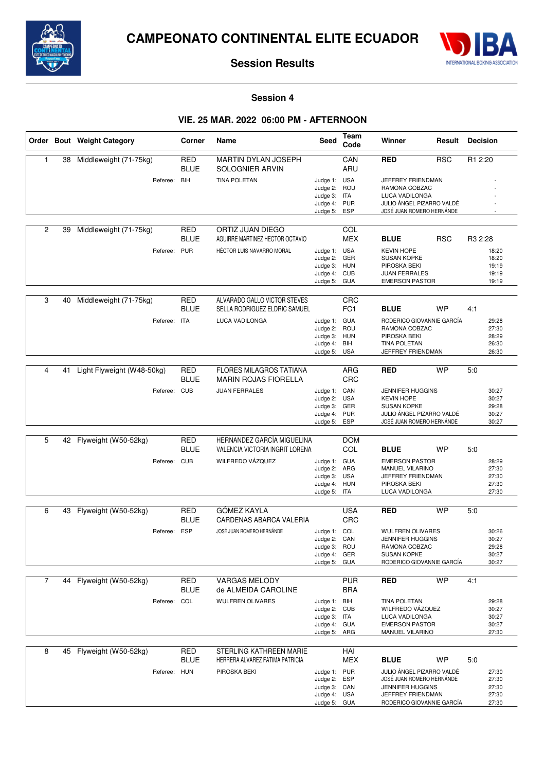



**Session 4**

## **VIE. 25 MAR. 2022 06:00 PM - AFTERNOON**

|                |    | Order Bout Weight Category                 | Corner                                  | Name                                                                                    | Seed                                                                         | Team<br>Code                  | Winner                                                                                                                                      | Result     | <b>Decision</b>                                                  |
|----------------|----|--------------------------------------------|-----------------------------------------|-----------------------------------------------------------------------------------------|------------------------------------------------------------------------------|-------------------------------|---------------------------------------------------------------------------------------------------------------------------------------------|------------|------------------------------------------------------------------|
| $\mathbf{1}$   | 38 | Middleweight (71-75kg)<br>Referee: BIH     | RED<br><b>BLUE</b>                      | MARTIN DYLAN JOSEPH<br>SOLOGNIER ARVIN<br>TINA POLETAN                                  | Judge 1: USA<br>Judge 2: ROU<br>Judge 3: ITA<br>Judge 4: PUR<br>Judge 5:     | CAN<br>ARU<br>ESP             | <b>RED</b><br>JEFFREY FRIENDMAN<br>RAMONA COBZAC<br><b>LUCA VADILONGA</b><br>JULIO ÁNGEL PIZARRO VALDÉ<br>JOSÉ JUAN ROMERO HERNÁNDE         | <b>RSC</b> | R1 2:20                                                          |
| $\overline{2}$ | 39 | Middleweight (71-75kg)<br>Referee: PUR     | <b>RED</b><br><b>BLUE</b>               | ORTIZ JUAN DIEGO<br>AGUIRRE MARTINEZ HECTOR OCTAVIO<br><b>HÉCTOR LUIS NAVARRO MORAL</b> | Judge 1: USA<br>Judge 2: GER<br>Judge 3: HUN<br>Judge 4: CUB<br>Judge 5: GUA | COL<br><b>MEX</b>             | <b>BLUE</b><br><b>KEVIN HOPE</b><br><b>SUSAN KOPKE</b><br>PIROSKA BEKI<br><b>JUAN FERRALES</b><br><b>EMERSON PASTOR</b>                     | <b>RSC</b> | R <sub>3</sub> 2:28<br>18:20<br>18:20<br>19:19<br>19:19<br>19:19 |
| 3              | 40 | Middleweight (71-75kg)<br>Referee:         | <b>RED</b><br><b>BLUE</b><br><b>ITA</b> | ALVARADO GALLO VICTOR STEVES<br>SELLA RODRIGUEZ ELDRIC SAMUEL<br>LUCA VADILONGA         | Judge 1: GUA<br>Judge 2:<br>Judge 3: HUN<br>Judge 4: BIH<br>Judge 5: USA     | CRC<br>FC <sub>1</sub><br>ROU | <b>BLUE</b><br>RODERICO GIOVANNIE GARCÍA<br>RAMONA COBZAC<br>PIROSKA BEKI<br><b>TINA POLETAN</b><br>JEFFREY FRIENDMAN                       | <b>WP</b>  | 4:1<br>29:28<br>27:30<br>28:29<br>26:30<br>26:30                 |
| 4              | 41 | Light Flyweight (W48-50kg)<br>Referee: CUB | <b>RED</b><br><b>BLUE</b>               | <b>FLORES MILAGROS TATIANA</b><br><b>MARIN ROJAS FIORELLA</b><br><b>JUAN FERRALES</b>   | Judge 1: CAN<br>Judge 2: USA<br>Judge 3: GER<br>Judge 4: PUR<br>Judge 5: ESP | ARG<br>CRC                    | <b>RED</b><br><b>JENNIFER HUGGINS</b><br><b>KEVIN HOPE</b><br><b>SUSAN KOPKE</b><br>JULIO ÁNGEL PIZARRO VALDÉ<br>JOSÉ JUAN ROMERO HERNÁNDE  | WP         | 5:0<br>30:27<br>30:27<br>29:28<br>30:27<br>30:27                 |
| 5              | 42 | Flyweight (W50-52kg)<br>Referee:           | <b>RED</b><br><b>BLUE</b><br><b>CUB</b> | HERNANDEZ GARCÍA MIGUELINA<br>VALENCIA VICTORIA INGRIT LORENA<br>WILFREDO VÁZQUEZ       | Judge 1: GUA<br>Judge 2: ARG<br>Judge 3: USA<br>Judge 4: HUN<br>Judge 5: ITA | <b>DOM</b><br>COL             | <b>BLUE</b><br><b>EMERSON PASTOR</b><br><b>MANUEL VILARINO</b><br>JEFFREY FRIENDMAN<br>PIROSKA BEKI<br>LUCA VADILONGA                       | <b>WP</b>  | 5:0<br>28:29<br>27:30<br>27:30<br>27:30<br>27:30                 |
| 6              | 43 | Flyweight (W50-52kg)<br>Referee: ESP       | <b>RED</b><br><b>BLUE</b>               | GÓMEZ KAYLA<br>CARDENAS ABARCA VALERIA<br>JOSÉ JUAN ROMERO HERNÁNDE                     | Judge 1: COL<br>Judge 2:<br>Judge 3: ROU<br>Judge 4: GER<br>Judge 5: GUA     | <b>USA</b><br>CRC<br>CAN      | <b>RED</b><br><b>WULFREN OLIVARES</b><br><b>JENNIFER HUGGINS</b><br>RAMONA COBZAC<br><b>SUSAN KOPKE</b><br>RODERICO GIOVANNIE GARCÍA        | <b>WP</b>  | 5:0<br>30:26<br>30:27<br>29:28<br>30:27<br>30:27                 |
| $\overline{7}$ | 44 | Flyweight (W50-52kg)<br>Referee:           | <b>RED</b><br><b>BLUE</b><br>COL        | <b>VARGAS MELODY</b><br>de ALMEIDA CAROLINE<br><b>WULFREN OLIVARES</b>                  | Judge 1: BIH<br>Judge 2: CUB<br>Judge 3: ITA<br>Judge 4: GUA<br>Judge 5: ARG | <b>PUR</b><br><b>BRA</b>      | <b>RED</b><br><b>TINA POLETAN</b><br>WILFREDO VÁZQUEZ<br><b>LUCA VADILONGA</b><br><b>EMERSON PASTOR</b><br>MANUEL VILARINO                  | <b>WP</b>  | 4:1<br>29:28<br>30:27<br>30:27<br>30:27<br>27:30                 |
| 8              | 45 | Flyweight (W50-52kg)<br>Referee: HUN       | <b>RED</b><br><b>BLUE</b>               | STERLING KATHREEN MARIE<br>HERRERA ALVAREZ FATIMA PATRICIA<br>PIROSKA BEKI              | Judge 1: PUR<br>Judge 2: ESP<br>Judge 3: CAN<br>Judge 4: USA<br>Judge 5: GUA | HAI<br><b>MEX</b>             | <b>BLUE</b><br>JULIO ÁNGEL PIZARRO VALDÉ<br>JOSÉ JUAN ROMERO HERNÁNDE<br>JENNIFER HUGGINS<br>JEFFREY FRIENDMAN<br>RODERICO GIOVANNIE GARCÍA | <b>WP</b>  | 5:0<br>27:30<br>27:30<br>27:30<br>27:30<br>27:30                 |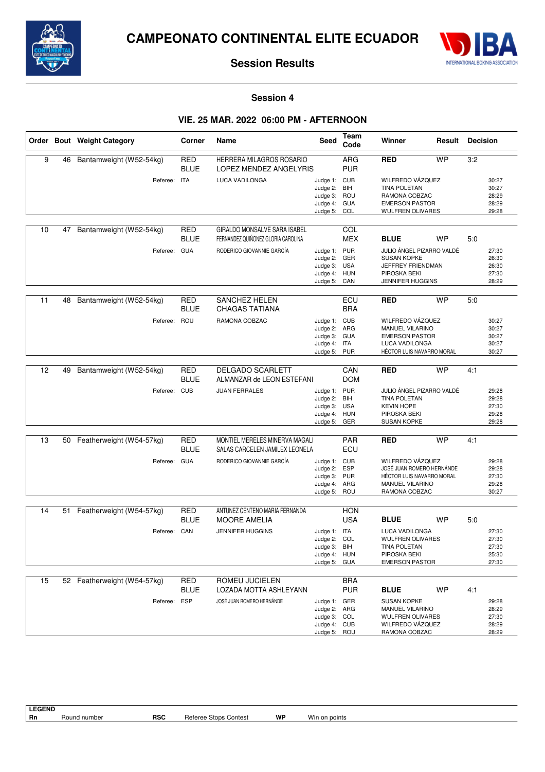



**Session 4**

## **VIE. 25 MAR. 2022 06:00 PM - AFTERNOON**

|    |    | Order Bout Weight Category  | Corner                    | Name                                                               | <b>Seed</b>                                                                  | Team<br>Code             | Winner                                                                                                                | Result    | <b>Decision</b> |                                           |
|----|----|-----------------------------|---------------------------|--------------------------------------------------------------------|------------------------------------------------------------------------------|--------------------------|-----------------------------------------------------------------------------------------------------------------------|-----------|-----------------|-------------------------------------------|
| 9  | 46 | Bantamweight (W52-54kg)     | <b>RED</b><br><b>BLUE</b> | HERRERA MILAGROS ROSARIO<br>LOPEZ MENDEZ ANGELYRIS                 |                                                                              | ARG<br><b>PUR</b>        | <b>RED</b>                                                                                                            | <b>WP</b> | 3:2             |                                           |
|    |    | Referee: ITA                |                           | LUCA VADILONGA                                                     | Judge 1: CUB<br>Judge 2: BIH<br>Judge 3: ROU<br>Judge 4: GUA<br>Judge 5:     | COL                      | WILFREDO VÁZQUEZ<br><b>TINA POLETAN</b><br>RAMONA COBZAC<br><b>EMERSON PASTOR</b><br><b>WULFREN OLIVARES</b>          |           |                 | 30:27<br>30:27<br>28:29<br>28:29<br>29:28 |
| 10 | 47 | Bantamweight (W52-54kg)     | <b>RED</b><br><b>BLUE</b> | GIRALDO MONSALVE SARA ISABEL<br>FERNANDEZ QUIÑONEZ GLORIA CAROLINA |                                                                              | COL<br><b>MEX</b>        | <b>BLUE</b>                                                                                                           | <b>WP</b> | 5:0             |                                           |
|    |    | Referee: GUA                |                           | RODERICO GIOVANNIE GARCÍA                                          | Judge 1: PUR<br>Judge 2:<br>Judge 3:<br>Judge 4: HUN<br>Judge 5: CAN         | GER<br><b>USA</b>        | JULIO ÁNGEL PIZARRO VALDÉ<br><b>SUSAN KOPKE</b><br>JEFFREY FRIENDMAN<br>PIROSKA BEKI<br>JENNIFER HUGGINS              |           |                 | 27:30<br>26:30<br>26:30<br>27:30<br>28:29 |
| 11 | 48 | Bantamweight (W52-54kg)     | RED<br><b>BLUE</b>        | <b>SANCHEZ HELEN</b><br><b>CHAGAS TATIANA</b>                      |                                                                              | ECU<br><b>BRA</b>        | <b>RED</b>                                                                                                            | <b>WP</b> | 5:0             |                                           |
|    |    | Referee:                    | ROU                       | RAMONA COBZAC                                                      | Judge 1: CUB<br>Judge 2: ARG<br>Judge 3: GUA<br>Judge 4: ITA<br>Judge 5:     | <b>PUR</b>               | WILFREDO VÁZQUEZ<br><b>MANUEL VILARINO</b><br><b>EMERSON PASTOR</b><br>LUCA VADILONGA<br>HÉCTOR LUIS NAVARRO MORAL    |           |                 | 30:27<br>30:27<br>30:27<br>30:27<br>30:27 |
| 12 | 49 | Bantamweight (W52-54kg)     | <b>RED</b><br><b>BLUE</b> | <b>DELGADO SCARLETT</b><br>ALMANZAR de LEON ESTEFANI               |                                                                              | CAN<br><b>DOM</b>        | <b>RED</b>                                                                                                            | <b>WP</b> | 4:1             |                                           |
|    |    | Referee: CUB                |                           | <b>JUAN FERRALES</b>                                               | Judge 1: PUR<br>Judge 2:<br>Judge 3:<br>Judge 4: HUN<br>Judge 5: GER         | BIH<br>USA               | JULIO ÁNGEL PIZARRO VALDÉ<br><b>TINA POLETAN</b><br><b>KEVIN HOPE</b><br>PIROSKA BEKI<br><b>SUSAN KOPKE</b>           |           |                 | 29:28<br>29:28<br>27:30<br>29:28<br>29:28 |
| 13 | 50 | Featherweight (W54-57kg)    | <b>RED</b><br><b>BLUE</b> | MONTIEL MERELES MINERVA MAGALI<br>SALAS CARCELEN JAMILEX LEONELA   |                                                                              | PAR<br>ECU               | <b>RED</b>                                                                                                            | <b>WP</b> | 4:1             |                                           |
|    |    | Referee: GUA                |                           | RODERICO GIOVANNIE GARCÍA                                          | Judge 1: CUB<br>Judge 2: ESP<br>Judge 3: PUR<br>Judge 4: ARG<br>Judge 5:     | ROU                      | WILFREDO VÁZQUEZ<br>JOSÉ JUAN ROMERO HERNÁNDE<br>HÉCTOR LUIS NAVARRO MORAL<br><b>MANUEL VILARINO</b><br>RAMONA COBZAC |           |                 | 29:28<br>29:28<br>27:30<br>29:28<br>30:27 |
| 14 | 51 | Featherweight (W54-57kg)    | RED                       | ANTUNEZ CENTENO MARIA FERNANDA                                     |                                                                              | <b>HON</b>               |                                                                                                                       |           |                 |                                           |
|    |    | Referee: CAN                | <b>BLUE</b>               | <b>MOORE AMELIA</b><br><b>JENNIFER HUGGINS</b>                     | Judge 1: ITA<br>Judge 2:<br>Judge 3: BIH<br>Judge 4: HUN<br>Judge 5: GUA     | <b>USA</b><br>COL        | <b>BLUE</b><br>LUCA VADILONGA<br>WULFREN OLIVARES<br><b>TINA POLETAN</b><br>PIROSKA BEKI<br><b>EMERSON PASTOR</b>     | <b>WP</b> | 5:0             | 27:30<br>27:30<br>27:30<br>25:30<br>27:30 |
| 15 |    | 52 Featherweight (W54-57kg) | RED<br><b>BLUE</b>        | ROMEU JUCIELEN<br>LOZADA MOTTA ASHLEYANN                           |                                                                              | <b>BRA</b><br><b>PUR</b> | <b>BLUE</b>                                                                                                           | <b>WP</b> | 4:1             |                                           |
|    |    | Referee:                    | <b>ESP</b>                | JOSÉ JUAN ROMERO HERNÁNDE                                          | Judge 1: GER<br>Judge 2: ARG<br>Judge 3: COL<br>Judge 4: CUB<br>Judge 5: ROU |                          | <b>SUSAN KOPKE</b><br>MANUEL VILARINO<br>WULFREN OLIVARES<br>WILFREDO VÁZQUEZ<br>RAMONA COBZAC                        |           |                 | 29:28<br>28:29<br>27:30<br>28:29<br>28:29 |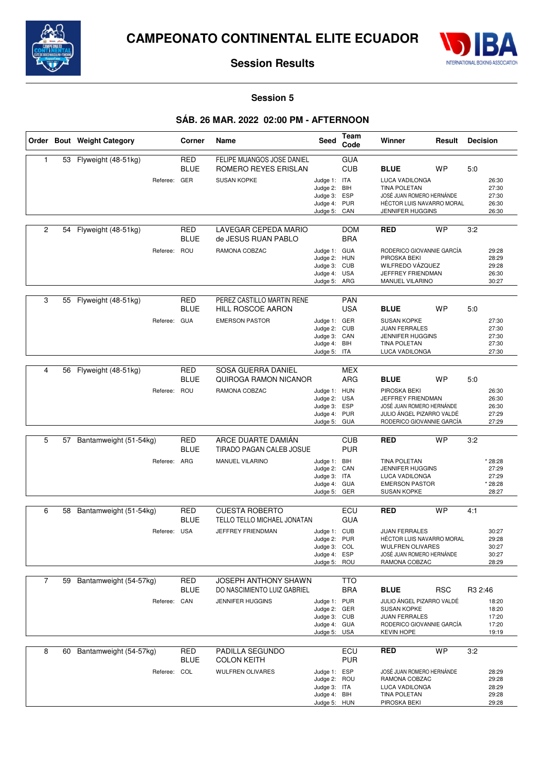



### **Session 5**

# **SÁB. 26 MAR. 2022 02:00 PM - AFTERNOON**

|                |    | Order Bout Weight Category             | Corner                           | Name                                                                      | <b>Seed</b>                                                                              | Team<br>Code                    | Winner                                                                                                                                           | Result     | <b>Decision</b>                                           |
|----------------|----|----------------------------------------|----------------------------------|---------------------------------------------------------------------------|------------------------------------------------------------------------------------------|---------------------------------|--------------------------------------------------------------------------------------------------------------------------------------------------|------------|-----------------------------------------------------------|
| $\mathbf{1}$   | 53 | Flyweight (48-51kg)<br>Referee: GER    | <b>RED</b><br><b>BLUE</b>        | FELIPE MIJANGOS JOSE DANIEL<br>ROMERO REYES ERISLAN<br><b>SUSAN KOPKE</b> | Judge 1: ITA<br>Judge 2: BIH<br>Judge 3: ESP<br>Judge 4: PUR<br>Judge 5:                 | <b>GUA</b><br><b>CUB</b><br>CAN | <b>BLUE</b><br>LUCA VADILONGA<br><b>TINA POLETAN</b><br>JOSÉ JUAN ROMERO HERNÁNDE<br>HÉCTOR LUIS NAVARRO MORAL<br>JENNIFER HUGGINS               | WP         | 5:0<br>26:30<br>27:30<br>27:30<br>26:30<br>26:30          |
| $\overline{2}$ | 54 | Flyweight (48-51kg)<br>Referee:        | <b>RED</b><br><b>BLUE</b><br>ROU | LAVEGAR CEPEDA MARIO<br>de JESUS RUAN PABLO<br>RAMONA COBZAC              | Judge 1: GUA<br>Judge 2: HUN<br>Judge 3: CUB<br>Judge 4: USA                             | <b>DOM</b><br><b>BRA</b>        | <b>RED</b><br>RODERICO GIOVANNIE GARCÍA<br>PIROSKA BEKI<br>WILFREDO VÁZQUEZ<br>JEFFREY FRIENDMAN                                                 | <b>WP</b>  | 3:2<br>29:28<br>28:29<br>29:28<br>26:30                   |
| 3              | 55 | Flyweight (48-51kg)<br>Referee:        | RED<br><b>BLUE</b><br><b>GUA</b> | PEREZ CASTILLO MARTIN RENE<br>HILL ROSCOE AARON<br><b>EMERSON PASTOR</b>  | Judge 5: ARG<br>Judge 1: GER<br>Judge 2: CUB<br>Judge 3: CAN<br>Judge 4:<br>Judge 5: ITA | <b>PAN</b><br><b>USA</b><br>BIH | MANUEL VILARINO<br><b>BLUE</b><br><b>SUSAN KOPKE</b><br><b>JUAN FERRALES</b><br><b>JENNIFER HUGGINS</b><br><b>TINA POLETAN</b><br>LUCA VADILONGA | WP         | 30:27<br>5:0<br>27:30<br>27:30<br>27:30<br>27:30<br>27:30 |
| 4              | 56 | Flyweight (48-51kg)<br>Referee: ROU    | <b>RED</b><br><b>BLUE</b>        | SOSA GUERRA DANIEL<br>QUIROGA RAMON NICANOR<br>RAMONA COBZAC              | Judge 1: HUN<br>Judge 2:<br>Judge 3: ESP<br>Judge 4: PUR<br>Judge 5: GUA                 | <b>MEX</b><br>ARG<br><b>USA</b> | <b>BLUE</b><br>PIROSKA BEKI<br>JEFFREY FRIENDMAN<br>JOSÉ JUAN ROMERO HERNÁNDE<br>JULIO ÁNGEL PIZARRO VALDÉ<br>RODERICO GIOVANNIE GARCÍA          | WP         | 5:0<br>26:30<br>26:30<br>26:30<br>27:29<br>27:29          |
| 5              | 57 | Bantamweight (51-54kg)<br>Referee: ARG | <b>RED</b><br><b>BLUE</b>        | ARCE DUARTE DAMIAN<br>TIRADO PAGAN CALEB JOSUE<br>MANUEL VILARINO         | Judge 1: BIH<br>Judge 2: CAN<br>Judge 3: ITA<br>Judge 4: GUA<br>Judge 5: GER             | <b>CUB</b><br><b>PUR</b>        | <b>RED</b><br><b>TINA POLETAN</b><br><b>JENNIFER HUGGINS</b><br>LUCA VADILONGA<br><b>EMERSON PASTOR</b><br><b>SUSAN KOPKE</b>                    | <b>WP</b>  | 3:2<br>* 28:28<br>27:29<br>27:29<br>* 28:28<br>28:27      |
| 6              | 58 | Bantamweight (51-54kg)<br>Referee: USA | <b>RED</b><br><b>BLUE</b>        | <b>CUESTA ROBERTO</b><br>TELLO TELLO MICHAEL JONATAN<br>JEFFREY FRIENDMAN | Judge 1: CUB<br>Judge 2:<br>Judge 3: COL<br>Judge 4: ESP<br>Judge 5: ROU                 | ECU<br><b>GUA</b><br><b>PUR</b> | <b>RED</b><br><b>JUAN FERRALES</b><br>HÉCTOR LUIS NAVARRO MORAL<br><b>WULFREN OLIVARES</b><br>JOSÉ JUAN ROMERO HERNÁNDE<br>RAMONA COBZAC         | <b>WP</b>  | 4:1<br>30:27<br>29:28<br>30:27<br>30:27<br>28:29          |
| $\overline{7}$ | 59 | Bantamweight (54-57kg)<br>Referee: CAN | RED<br><b>BLUE</b>               | JOSEPH ANTHONY SHAWN<br>DO NASCIMIENTO LUIZ GABRIEL<br>JENNIFER HUGGINS   | Judge 1: PUR<br>Judge 2: GER<br>Judge 3: CUB<br>Judge 4: GUA<br>Judge 5: USA             | <b>TTO</b><br><b>BRA</b>        | <b>BLUE</b><br>JULIO ÁNGEL PIZARRO VALDÉ<br><b>SUSAN KOPKE</b><br><b>JUAN FERRALES</b><br>RODERICO GIOVANNIE GARCÍA<br><b>KEVIN HOPE</b>         | <b>RSC</b> | R3 2:46<br>18:20<br>18:20<br>17:20<br>17:20<br>19:19      |
| 8              | 60 | Bantamweight (54-57kg)<br>Referee: COL | RED<br><b>BLUE</b>               | PADILLA SEGUNDO<br><b>COLON KEITH</b><br><b>WULFREN OLIVARES</b>          | Judge 1: ESP<br>Judge 2: ROU<br>Judge 3: ITA<br>Judge 4: BIH<br>Judge 5: HUN             | ECU<br><b>PUR</b>               | <b>RED</b><br>JOSÉ JUAN ROMERO HERNÁNDE<br>RAMONA COBZAC<br>LUCA VADILONGA<br>TINA POLETAN<br>PIROSKA BEKI                                       | <b>WP</b>  | 3:2<br>28:29<br>29:28<br>28:29<br>29:28<br>29:28          |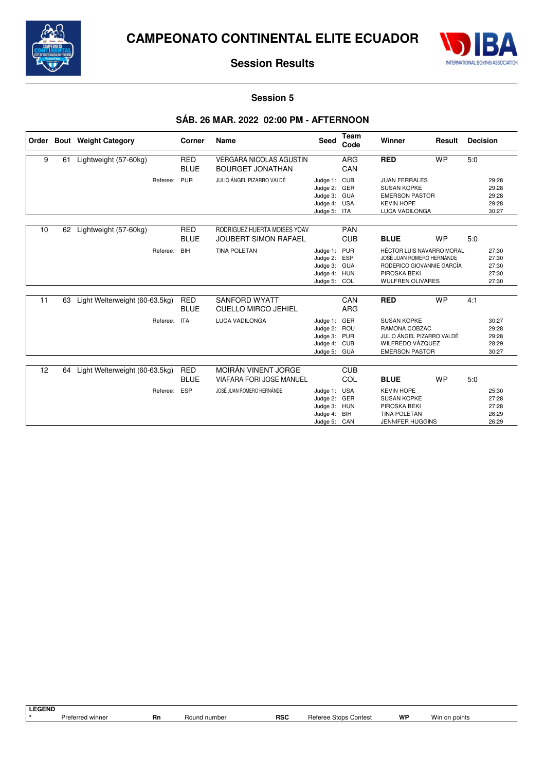



### **Session 5**

# **SÁB. 26 MAR. 2022 02:00 PM - AFTERNOON**

| Order |    | <b>Bout</b> Weight Category    | Corner                    | <b>Name</b>                                                 | <b>Seed</b>                                                                  | Team<br>Code             | Winner                                                                                                                         | Result    | <b>Decision</b> |                                           |
|-------|----|--------------------------------|---------------------------|-------------------------------------------------------------|------------------------------------------------------------------------------|--------------------------|--------------------------------------------------------------------------------------------------------------------------------|-----------|-----------------|-------------------------------------------|
| 9     | 61 | Lightweight (57-60kg)          | <b>RED</b><br><b>BLUE</b> | <b>VERGARA NICOLAS AGUSTIN</b><br><b>BOURGET JONATHAN</b>   |                                                                              | <b>ARG</b><br>CAN        | <b>RED</b>                                                                                                                     | <b>WP</b> | 5:0             |                                           |
|       |    | Referee:                       | PUR                       | JULIO ÁNGEL PIZARRO VALDÉ                                   | Judge 1: CUB<br>Judge 2:<br>Judge 3: GUA<br>Judge 4: USA<br>Judge 5: ITA     | GER                      | <b>JUAN FERRALES</b><br><b>SUSAN KOPKE</b><br><b>EMERSON PASTOR</b><br><b>KEVIN HOPE</b><br><b>LUCA VADILONGA</b>              |           |                 | 29:28<br>29:28<br>29:28<br>29:28<br>30:27 |
| 10    | 62 | Lightweight (57-60kg)          | <b>RED</b><br><b>BLUE</b> | RODRIGUEZ HUERTA MOISES YOAV<br><b>JOUBERT SIMON RAFAEL</b> |                                                                              | <b>PAN</b><br><b>CUB</b> | <b>BLUE</b>                                                                                                                    | <b>WP</b> | 5:0             |                                           |
|       |    | Referee:                       | <b>BIH</b>                | <b>TINA POLETAN</b>                                         | Judge 1: PUR<br>Judge 2:<br>Judge 3: GUA<br>Judge 4: HUN<br>Judge 5: COL     | <b>ESP</b>               | HÉCTOR LUIS NAVARRO MORAL<br>JOSÉ JUAN ROMERO HERNÁNDE<br>RODERICO GIOVANNIE GARCÍA<br>PIROSKA BEKI<br><b>WULFREN OLIVARES</b> |           |                 | 27:30<br>27:30<br>27:30<br>27:30<br>27:30 |
| 11    | 63 | Light Welterweight (60-63.5kg) | <b>RED</b><br><b>BLUE</b> | <b>SANFORD WYATT</b><br><b>CUELLO MIRCO JEHIEL</b>          |                                                                              | CAN<br><b>ARG</b>        | <b>RED</b>                                                                                                                     | <b>WP</b> | 4:1             |                                           |
|       |    | Referee:                       | <b>ITA</b>                | LUCA VADILONGA                                              | Judge 1: GER<br>Judge 2: ROU<br>Judge 3: PUR<br>Judge 4: CUB<br>Judge 5: GUA |                          | <b>SUSAN KOPKE</b><br>RAMONA COBZAC<br>JULIO ÁNGEL PIZARRO VALDÉ<br>WILFREDO VÁZQUEZ<br><b>EMERSON PASTOR</b>                  |           |                 | 30:27<br>29:28<br>29:28<br>28:29<br>30:27 |
| 12    | 64 | Light Welterweight (60-63.5kg) | <b>RED</b>                | MOIRÁN VINENT JORGE                                         |                                                                              | <b>CUB</b>               |                                                                                                                                |           |                 |                                           |
|       |    |                                | <b>BLUE</b>               | VIAFARA FORI JOSE MANUEL                                    |                                                                              | COL                      | <b>BLUE</b>                                                                                                                    | <b>WP</b> | 5:0             |                                           |
|       |    | Referee:                       | ESP                       | JOSÉ JUAN ROMERO HERNÁNDE                                   | Judge 1: USA<br>Judge 2: GER<br>Judge 3: HUN<br>Judge 4:<br>Judge 5: CAN     | BIH                      | <b>KEVIN HOPE</b><br><b>SUSAN KOPKE</b><br>PIROSKA BEKI<br><b>TINA POLETAN</b><br><b>JENNIFER HUGGINS</b>                      |           |                 | 25:30<br>27:28<br>27:28<br>26:29<br>26:29 |

**LEGEND**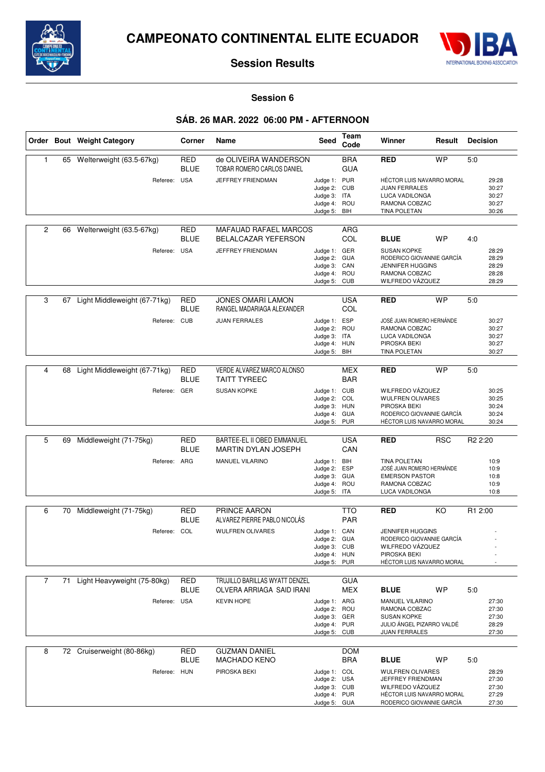



#### **Session 6**

# **SÁB. 26 MAR. 2022 06:00 PM - AFTERNOON**

|                |    | Order Bout Weight Category     | Corner                    | Name                                                   | <b>Seed</b>                                                                  | Team<br>Code             | Winner                                                                                                                     | Result     |                                           |
|----------------|----|--------------------------------|---------------------------|--------------------------------------------------------|------------------------------------------------------------------------------|--------------------------|----------------------------------------------------------------------------------------------------------------------------|------------|-------------------------------------------|
| $\mathbf{1}$   | 65 | Welterweight (63.5-67kg)       | <b>RED</b><br><b>BLUE</b> | de OLIVEIRA WANDERSON<br>TOBAR ROMERO CARLOS DANIEL    |                                                                              | <b>BRA</b><br><b>GUA</b> | RED                                                                                                                        | <b>WP</b>  | 5:0                                       |
|                |    | Referee: USA                   |                           | JEFFREY FRIENDMAN                                      | Judge 1: PUR<br>Judge 2: CUB<br>Judge 3: ITA<br>Judge 4: ROU<br>Judge 5: BIH |                          | HÉCTOR LUIS NAVARRO MORAL<br><b>JUAN FERRALES</b><br><b>LUCA VADILONGA</b><br>RAMONA COBZAC<br><b>TINA POLETAN</b>         |            | 29:28<br>30:27<br>30:27<br>30:27<br>30:26 |
| $\overline{c}$ | 66 | Welterweight (63.5-67kg)       | <b>RED</b><br><b>BLUE</b> | MAFAUAD RAFAEL MARCOS<br><b>BELALCAZAR YEFERSON</b>    |                                                                              | ARG<br>COL               | <b>BLUE</b>                                                                                                                | <b>WP</b>  | 4:0                                       |
|                |    | Referee: USA                   |                           | JEFFREY FRIENDMAN                                      | Judge 1: GER<br>Judge 2: GUA<br>Judge 3: CAN<br>Judge 4: ROU<br>Judge 5: CUB |                          | <b>SUSAN KOPKE</b><br>RODERICO GIOVANNIE GARCÍA<br><b>JENNIFER HUGGINS</b><br>RAMONA COBZAC<br>WILFREDO VÁZQUEZ            |            | 28:29<br>28:29<br>28:29<br>28:28<br>28:29 |
| 3              | 67 | Light Middleweight (67-71kg)   | <b>RED</b><br><b>BLUE</b> | <b>JONES OMARI LAMON</b><br>RANGEL MADARIAGA ALEXANDER |                                                                              | <b>USA</b><br>COL        | <b>RED</b>                                                                                                                 | <b>WP</b>  | 5:0                                       |
|                |    | Referee:                       | <b>CUB</b>                | <b>JUAN FERRALES</b>                                   | Judge 1: ESP<br>Judge 2: ROU<br>Judge 3: ITA<br>Judge 4: HUN<br>Judge 5: BIH |                          | JOSÉ JUAN ROMERO HERNÁNDE<br>RAMONA COBZAC<br>LUCA VADILONGA<br>PIROSKA BEKI<br><b>TINA POLETAN</b>                        |            | 30:27<br>30:27<br>30:27<br>30:27<br>30:27 |
| 4              | 68 | Light Middleweight (67-71kg)   | <b>RED</b>                | VERDE ALVAREZ MARCO ALONSO                             |                                                                              | <b>MEX</b>               | <b>RED</b>                                                                                                                 | <b>WP</b>  | 5:0                                       |
|                |    | Referee: GER                   | <b>BLUE</b>               | <b>TAITT TYREEC</b><br><b>SUSAN KOPKE</b>              | Judge 1: CUB<br>Judge 2: COL<br>Judge 3: HUN<br>Judge 4: GUA<br>Judge 5: PUR | <b>BAR</b>               | WILFREDO VÁZQUEZ<br><b>WULFREN OLIVARES</b><br>PIROSKA BEKI<br>RODERICO GIOVANNIE GARCÍA<br>HÉCTOR LUIS NAVARRO MORAL      |            | 30:25<br>30:25<br>30:24<br>30:24<br>30:24 |
| 5              | 69 | Middleweight (71-75kg)         | <b>RED</b>                | BARTEE-EL II OBED EMMANUEL                             |                                                                              | <b>USA</b>               | <b>RED</b>                                                                                                                 | <b>RSC</b> | R <sub>2</sub> 2:20                       |
|                |    |                                | <b>BLUE</b>               | <b>MARTIN DYLAN JOSEPH</b>                             |                                                                              | CAN                      |                                                                                                                            |            |                                           |
|                |    | Referee: ARG                   |                           | MANUEL VILARINO                                        | Judge 1: BIH<br>Judge 2: ESP<br>Judge 3:<br>Judge 4: ROU<br>Judge 5: ITA     | <b>GUA</b>               | <b>TINA POLETAN</b><br>JOSÉ JUAN ROMERO HERNÁNDE<br><b>EMERSON PASTOR</b><br>RAMONA COBZAC<br>LUCA VADILONGA               |            | 10:9<br>10:9<br>10:8<br>10:9<br>10:8      |
| 6              | 70 | Middleweight (71-75kg)         | RED                       | PRINCE AARON                                           |                                                                              | <b>TTO</b>               | <b>RED</b>                                                                                                                 | KO         | R <sub>1</sub> 2:00                       |
|                |    |                                | <b>BLUE</b>               | ALVAREZ PIERRE PABLO NICOLÁS                           |                                                                              | <b>PAR</b>               |                                                                                                                            |            |                                           |
|                |    | Referee: COL                   |                           | <b>WULFREN OLIVARES</b>                                | Judge 1: CAN<br>Judge 2: GUA<br>Judge 3: CUB<br>Judge 4: HUN<br>Judge 5: PUR |                          | <b>JENNIFER HUGGINS</b><br>RODERICO GIOVANNIE GARCÍA<br>WILFREDO VÁZQUEZ<br>PIROSKA BEKI<br>HÉCTOR LUIS NAVARRO MORAL      |            |                                           |
| $\overline{7}$ |    | 71 Light Heavyweight (75-80kg) | RED                       | TRUJILLO BARILLAS WYATT DENZEL                         |                                                                              | <b>GUA</b>               |                                                                                                                            |            |                                           |
|                |    |                                | <b>BLUE</b>               | OLVERA ARRIAGA SAID IRANI                              |                                                                              | MEX                      | <b>BLUE</b>                                                                                                                | WP         | 5:0                                       |
|                |    | Referee: USA                   |                           | <b>KEVIN HOPE</b>                                      | Judge 1: ARG<br>Judge 2: ROU<br>Judge 3: GER<br>Judge 4: PUR<br>Judge 5: CUB |                          | <b>MANUEL VILARINO</b><br>RAMONA COBZAC<br><b>SUSAN KOPKE</b><br>JULIO ÁNGEL PIZARRO VALDÉ<br>JUAN FERRALES                |            | 27:30<br>27:30<br>27:30<br>28:29<br>27:30 |
| 8              |    | 72 Cruiserweight (80-86kg)     | <b>RED</b><br><b>BLUE</b> | <b>GUZMAN DANIEL</b><br><b>MACHADO KENO</b>            |                                                                              | <b>DOM</b><br><b>BRA</b> | <b>BLUE</b>                                                                                                                | <b>WP</b>  | 5:0                                       |
|                |    | Referee: HUN                   |                           | PIROSKA BEKI                                           | Judge 1: COL<br>Judge 2: USA<br>Judge 3: CUB<br>Judge 4: PUR<br>Judge 5: GUA |                          | <b>WULFREN OLIVARES</b><br>JEFFREY FRIENDMAN<br>WILFREDO VÁZQUEZ<br>HÉCTOR LUIS NAVARRO MORAL<br>RODERICO GIOVANNIE GARCÍA |            | 28:29<br>27:30<br>27:30<br>27:29<br>27:30 |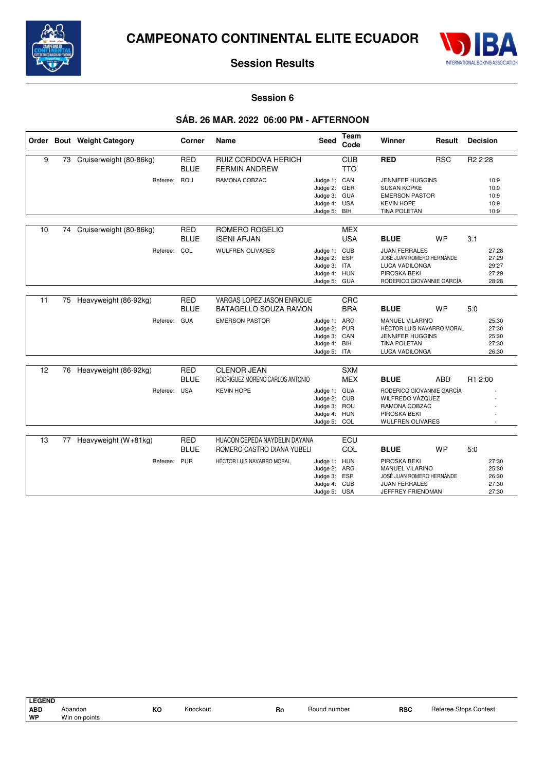



#### **Session 6**

# **SÁB. 26 MAR. 2022 06:00 PM - AFTERNOON**

|    |    | Order Bout Weight Category | Corner                    | Name                                                        | <b>Seed</b>                                                                  | Team<br>Code             | Winner                                                                                                                  | Result     | <b>Decision</b>                           |
|----|----|----------------------------|---------------------------|-------------------------------------------------------------|------------------------------------------------------------------------------|--------------------------|-------------------------------------------------------------------------------------------------------------------------|------------|-------------------------------------------|
| 9  | 73 | Cruiserweight (80-86kg)    | <b>RED</b><br><b>BLUE</b> | RUIZ CORDOVA HERICH<br><b>FERMIN ANDREW</b>                 |                                                                              | <b>CUB</b><br><b>TTO</b> | <b>RED</b>                                                                                                              | <b>RSC</b> | R <sub>2</sub> 2:28                       |
|    |    | Referee:                   | ROU                       | RAMONA COBZAC                                               | Judge 1: CAN<br>Judge 2: GER<br>Judge 3: GUA<br>Judge 4: USA<br>Judge 5: BIH |                          | <b>JENNIFER HUGGINS</b><br><b>SUSAN KOPKE</b><br><b>EMERSON PASTOR</b><br><b>KEVIN HOPE</b><br><b>TINA POLETAN</b>      |            | 10:9<br>10:9<br>10:9<br>10:9<br>10:9      |
| 10 | 74 | Cruiserweight (80-86kg)    | <b>RED</b><br><b>BLUE</b> | ROMERO ROGELIO<br><b>ISENI ARJAN</b>                        |                                                                              | <b>MEX</b><br><b>USA</b> | <b>BLUE</b>                                                                                                             | <b>WP</b>  | 3:1                                       |
|    |    | Referee: COL               |                           | <b>WULFREN OLIVARES</b>                                     | Judge 1: CUB<br>Judge 2:<br>Judge 3: ITA<br>Judge 4: HUN<br>Judge 5: GUA     | <b>ESP</b>               | <b>JUAN FERRALES</b><br>JOSÉ JUAN ROMERO HERNÁNDE<br><b>LUCA VADILONGA</b><br>PIROSKA BEKI<br>RODERICO GIOVANNIE GARCÍA |            | 27:28<br>27:29<br>29:27<br>27:29<br>28:28 |
| 11 | 75 | Heavyweight (86-92kg)      | <b>RED</b><br><b>BLUE</b> | VARGAS LOPEZ JASON ENRIQUE<br><b>BATAGELLO SOUZA RAMON</b>  |                                                                              | CRC<br><b>BRA</b>        | <b>BLUE</b>                                                                                                             | <b>WP</b>  | 5:0                                       |
|    |    | Referee:                   | <b>GUA</b>                | <b>EMERSON PASTOR</b>                                       | Judge 1: ARG<br>Judge 2: PUR<br>Judge 3: CAN<br>Judge 4: BIH<br>Judge 5: ITA |                          | MANUEL VILARINO<br><b>HÉCTOR LUIS NAVARRO MORAL</b><br><b>JENNIFER HUGGINS</b><br><b>TINA POLETAN</b><br>LUCA VADILONGA |            | 25:30<br>27:30<br>25:30<br>27:30<br>26:30 |
| 12 |    | 76 Heavyweight (86-92kg)   | <b>RED</b><br><b>BLUE</b> | <b>CLENOR JEAN</b><br>RODRIGUEZ MORENO CARLOS ANTONIO       |                                                                              | <b>SXM</b><br><b>MEX</b> | <b>BLUE</b>                                                                                                             | <b>ABD</b> | R1 2:00                                   |
|    |    | Referee: USA               |                           | <b>KEVIN HOPE</b>                                           | Judge 1: GUA<br>Judge 2: CUB<br>Judge 3: ROU<br>Judge 4: HUN<br>Judge 5: COL |                          | RODERICO GIOVANNIE GARCÍA<br>WILFREDO VÁZQUEZ<br>RAMONA COBZAC<br>PIROSKA BEKI<br>WULFREN OLIVARES                      |            |                                           |
| 13 | 77 | Heavyweight (W+81kg)       | <b>RED</b><br><b>BLUE</b> | HUACON CEPEDA NAYDELIN DAYANA<br>ROMERO CASTRO DIANA YUBELI |                                                                              | ECU<br>COL               | <b>BLUE</b>                                                                                                             | <b>WP</b>  | 5:0                                       |
|    |    | Referee:                   | <b>PUR</b>                | HÉCTOR LUIS NAVARRO MORAL                                   | Judge 1: HUN<br>Judge 2: ARG<br>Judge 3: ESP<br>Judge 4: CUB<br>Judge 5: USA |                          | PIROSKA BEKI<br><b>MANUEL VILARINO</b><br>JOSÉ JUAN ROMERO HERNÁNDE<br><b>JUAN FERRALES</b><br>JEFFREY FRIENDMAN        |            | 27:30<br>25:30<br>26:30<br>27:30<br>27:30 |

LEGEND<br>ABD<br>WP **ABD** Abandon **KO** Knockout **Rn** Round number **RSC** Referee Stops Contest **Win on points**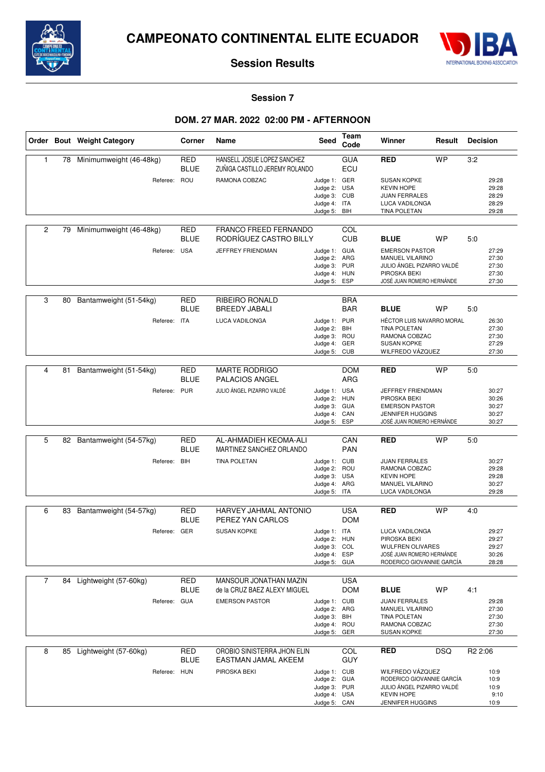



### **Session 7**

# **DOM. 27 MAR. 2022 02:00 PM - AFTERNOON**

|                |    | Order Bout Weight Category | Corner                    | Name                                                          | <b>Seed</b>                                                                  | Team<br>Code             | Winner<br>Result                                                                                                    |            | <b>Decision</b>                           |
|----------------|----|----------------------------|---------------------------|---------------------------------------------------------------|------------------------------------------------------------------------------|--------------------------|---------------------------------------------------------------------------------------------------------------------|------------|-------------------------------------------|
| 1              | 78 | Minimumweight (46-48kg)    | <b>RED</b><br><b>BLUE</b> | HANSELL JOSUE LOPEZ SANCHEZ<br>ZUÑIGA CASTILLO JEREMY ROLANDO |                                                                              | <b>GUA</b><br>ECU        | <b>RED</b>                                                                                                          | <b>WP</b>  | 3:2                                       |
|                |    | Referee: ROU               |                           | RAMONA COBZAC                                                 | Judge 1: GER<br>Judge 2: USA<br>Judge 3: CUB<br>Judge 4: ITA<br>Judge 5: BIH |                          | <b>SUSAN KOPKE</b><br><b>KEVIN HOPE</b><br><b>JUAN FERRALES</b><br>LUCA VADILONGA<br>TINA POLETAN                   |            | 29:28<br>29:28<br>28:29<br>28:29<br>29:28 |
| $\overline{2}$ | 79 | Minimumweight (46-48kg)    | <b>RED</b><br><b>BLUE</b> | FRANCO FREED FERNANDO<br>RODRÍGUEZ CASTRO BILLY               |                                                                              | COL<br><b>CUB</b>        | <b>BLUE</b>                                                                                                         | <b>WP</b>  | 5:0                                       |
|                |    | Referee: USA               |                           | JEFFREY FRIENDMAN                                             | Judge 1: GUA<br>Judge 2: ARG<br>Judge 3: PUR<br>Judge 4: HUN<br>Judge 5: ESP |                          | <b>EMERSON PASTOR</b><br>MANUEL VILARINO<br>JULIO ÁNGEL PIZARRO VALDÉ<br>PIROSKA BEKI<br>JOSÉ JUAN ROMERO HERNÁNDE  |            | 27:29<br>27:30<br>27:30<br>27:30<br>27:30 |
| 3              | 80 | Bantamweight (51-54kg)     | <b>RED</b><br><b>BLUE</b> | <b>RIBEIRO RONALD</b><br><b>BREEDY JABALI</b>                 |                                                                              | <b>BRA</b><br><b>BAR</b> | <b>BLUE</b>                                                                                                         | <b>WP</b>  | 5:0                                       |
|                |    | Referee:                   | ITA                       | LUCA VADILONGA                                                | Judge 1: PUR<br>Judge 2: BIH<br>Judge 3:<br>Judge 4: GER<br>Judge 5: CUB     | ROU                      | HÉCTOR LUIS NAVARRO MORAL<br><b>TINA POLETAN</b><br>RAMONA COBZAC<br><b>SUSAN KOPKE</b><br>WILFREDO VÁZQUEZ         |            | 26:30<br>27:30<br>27:30<br>27:29<br>27:30 |
|                |    |                            |                           |                                                               |                                                                              |                          |                                                                                                                     |            |                                           |
| 4              | 81 | Bantamweight (51-54kg)     | <b>RED</b><br><b>BLUE</b> | <b>MARTE RODRIGO</b><br>PALACIOS ANGEL                        |                                                                              | <b>DOM</b><br><b>ARG</b> | <b>RED</b>                                                                                                          | <b>WP</b>  | 5:0                                       |
|                |    | Referee:                   | <b>PUR</b>                | JULIO ÁNGEL PIZARRO VALDÉ                                     | Judge 1: USA<br>Judge 2: HUN<br>Judge 3: GUA<br>Judge 4: CAN<br>Judge 5: ESP |                          | JEFFREY FRIENDMAN<br>PIROSKA BEKI<br><b>EMERSON PASTOR</b><br><b>JENNIFER HUGGINS</b><br>JOSÉ JUAN ROMERO HERNÁNDE  |            | 30:27<br>30:26<br>30:27<br>30:27<br>30:27 |
|                |    |                            |                           |                                                               |                                                                              |                          |                                                                                                                     |            |                                           |
| 5              | 82 | Bantamweight (54-57kg)     | <b>RED</b><br><b>BLUE</b> | AL-AHMADIEH KEOMA-ALI<br>MARTINEZ SANCHEZ ORLANDO             |                                                                              | CAN<br><b>PAN</b>        | <b>RED</b>                                                                                                          | <b>WP</b>  | 5:0                                       |
|                |    | Referee: BIH               |                           | <b>TINA POLETAN</b>                                           | Judge 1: CUB<br>Judge 2: ROU<br>Judge 3: USA<br>Judge 4: ARG<br>Judge 5: ITA |                          | <b>JUAN FERRALES</b><br>RAMONA COBZAC<br><b>KEVIN HOPE</b><br>MANUEL VILARINO<br>LUCA VADILONGA                     |            | 30:27<br>29:28<br>29:28<br>30:27<br>29:28 |
| 6              | 83 | Bantamweight (54-57kg)     | RED                       | HARVEY JAHMAL ANTONIO                                         |                                                                              | <b>USA</b>               | <b>RED</b>                                                                                                          | <b>WP</b>  | 4:0                                       |
|                |    |                            | <b>BLUE</b>               | PEREZ YAN CARLOS                                              |                                                                              | <b>DOM</b>               |                                                                                                                     |            |                                           |
|                |    | Referee: GER               |                           | <b>SUSAN KOPKE</b>                                            | Judge 1: ITA<br>Judge 2: HUN<br>Judge 3: COL<br>Judge 4: ESP<br>Judge 5: GUA |                          | LUCA VADILONGA<br>PIROSKA BEKI<br><b>WULFREN OLIVARES</b><br>JOSÉ JUAN ROMERO HERNÁNDE<br>RODERICO GIOVANNIE GARCÍA |            | 29:27<br>29:27<br>29:27<br>30:26<br>28:28 |
| $\overline{7}$ |    | 84 Lightweight (57-60kg)   | <b>RED</b>                | MANSOUR JONATHAN MAZIN                                        |                                                                              | <b>USA</b>               |                                                                                                                     |            |                                           |
|                |    |                            | <b>BLUE</b>               | de la CRUZ BAEZ ALEXY MIGUEL                                  |                                                                              | <b>DOM</b>               | <b>BLUE</b>                                                                                                         | <b>WP</b>  | 4:1                                       |
|                |    | Referee: GUA               |                           | <b>EMERSON PASTOR</b>                                         | Judge 1: CUB<br>Judge 2: ARG<br>Judge 3: BIH<br>Judge 4: ROU<br>Judge 5: GER |                          | <b>JUAN FERRALES</b><br>MANUEL VILARINO<br><b>TINA POLETAN</b><br>RAMONA COBZAC<br><b>SUSAN KOPKE</b>               |            | 29:28<br>27:30<br>27:30<br>27:30<br>27:30 |
| 8              | 85 | Lightweight (57-60kg)      | <b>RED</b><br><b>BLUE</b> | OROBIO SINISTERRA JHON ELIN<br>EASTMAN JAMAL AKEEM            |                                                                              | COL<br><b>GUY</b>        | <b>RED</b>                                                                                                          | <b>DSQ</b> | R <sub>2</sub> 2:06                       |
|                |    | Referee: HUN               |                           | PIROSKA BEKI                                                  | Judge 1: CUB<br>Judge 2: GUA<br>Judge 3: PUR<br>Judge 4: USA<br>Judge 5: CAN |                          | WILFREDO VÁZQUEZ<br>RODERICO GIOVANNIE GARCÍA<br>JULIO ÁNGEL PIZARRO VALDÉ<br><b>KEVIN HOPE</b><br>JENNIFER HUGGINS |            | 10:9<br>10:9<br>10:9<br>9:10<br>10:9      |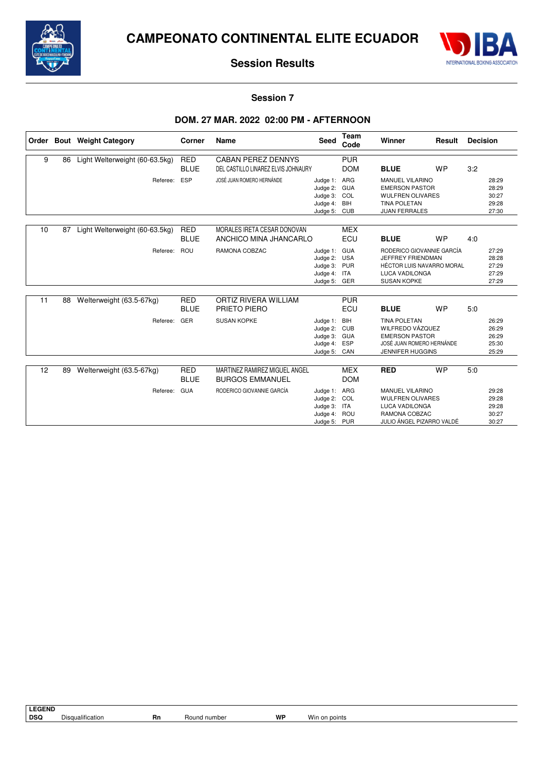



### **Session 7**

# **DOM. 27 MAR. 2022 02:00 PM - AFTERNOON**

| Order |    | <b>Bout</b> Weight Category    | Corner                    | Name                                                    | <b>Seed</b>                                                                  | Team<br>Code             | Winner                                                                                                                            | Result    | <b>Decision</b> |                                           |
|-------|----|--------------------------------|---------------------------|---------------------------------------------------------|------------------------------------------------------------------------------|--------------------------|-----------------------------------------------------------------------------------------------------------------------------------|-----------|-----------------|-------------------------------------------|
| 9     | 86 | Light Welterweight (60-63.5kg) | <b>RED</b>                | <b>CABAN PEREZ DENNYS</b>                               |                                                                              | <b>PUR</b>               |                                                                                                                                   |           |                 |                                           |
|       |    |                                | <b>BLUE</b>               | DEL CASTILLO LINAREZ ELVIS JOHNAURY                     |                                                                              | <b>DOM</b>               | <b>BLUE</b>                                                                                                                       | <b>WP</b> | 3:2             |                                           |
|       |    | Referee:                       | ESP                       | JOSÉ JUAN ROMERO HERNÁNDE                               | Judge 1: ARG<br>Judge 2: GUA<br>Judge 3: COL<br>Judge 4:<br>Judge 5:         | BIH<br><b>CUB</b>        | <b>MANUEL VILARINO</b><br><b>EMERSON PASTOR</b><br><b>WULFREN OLIVARES</b><br><b>TINA POLETAN</b><br><b>JUAN FERRALES</b>         |           |                 | 28:29<br>28:29<br>30:27<br>29:28<br>27:30 |
| 10    | 87 | Light Welterweight (60-63.5kg) | <b>RED</b><br><b>BLUE</b> | MORALES IRETA CESAR DONOVAN<br>ANCHICO MINA JHANCARLO   |                                                                              | <b>MEX</b><br>ECU        | <b>BLUE</b>                                                                                                                       | <b>WP</b> | 4:0             |                                           |
|       |    | Referee:                       | ROU                       | RAMONA COBZAC                                           | Judge 1: GUA<br>Judge 2: USA<br>Judge 3: PUR<br>Judge 4: ITA<br>Judge 5: GER |                          | RODERICO GIOVANNIE GARCÍA<br>JEFFREY FRIENDMAN<br><b>HÉCTOR LUIS NAVARRO MORAL</b><br><b>LUCA VADILONGA</b><br><b>SUSAN KOPKE</b> |           |                 | 27:29<br>28:28<br>27:29<br>27:29<br>27:29 |
| 11    | 88 | Welterweight (63.5-67kg)       | <b>RED</b><br><b>BLUE</b> | ORTIZ RIVERA WILLIAM<br>PRIETO PIERO                    |                                                                              | <b>PUR</b><br>ECU        | <b>BLUE</b>                                                                                                                       | <b>WP</b> | 5:0             |                                           |
|       |    | Referee:                       | GER                       | <b>SUSAN KOPKE</b>                                      | Judge 1:<br>Judge 2: CUB<br>Judge 3: GUA<br>Judge 4:<br>Judge 5: CAN         | BIH<br><b>ESP</b>        | <b>TINA POLETAN</b><br>WILFREDO VÁZOUEZ<br><b>EMERSON PASTOR</b><br>JOSÉ JUAN ROMERO HERNÁNDE<br><b>JENNIFER HUGGINS</b>          |           |                 | 26:29<br>26:29<br>26:29<br>25:30<br>25:29 |
| 12    | 89 | Welterweight (63.5-67kg)       | <b>RED</b><br><b>BLUE</b> | MARTINEZ RAMIREZ MIGUEL ANGEL<br><b>BURGOS EMMANUEL</b> |                                                                              | <b>MEX</b><br><b>DOM</b> | <b>RED</b>                                                                                                                        | <b>WP</b> | 5:0             |                                           |
|       |    | Referee:                       | <b>GUA</b>                | RODERICO GIOVANNIE GARCÍA                               | Judge 1: ARG<br>Judge 2: COL<br>Judge 3: ITA<br>Judge 4: ROU<br>Judge 5: PUR |                          | <b>MANUEL VILARINO</b><br><b>WULFREN OLIVARES</b><br><b>LUCA VADILONGA</b><br>RAMONA COBZAC<br>JULIO ÁNGEL PIZARRO VALDÉ          |           |                 | 29:28<br>29:28<br>29:28<br>30:27<br>30:27 |

| <b>LEGEND</b> |                  |    |              |    |               |
|---------------|------------------|----|--------------|----|---------------|
| <b>DSQ</b>    | Disqualification | Rn | Round number | WP | Win on points |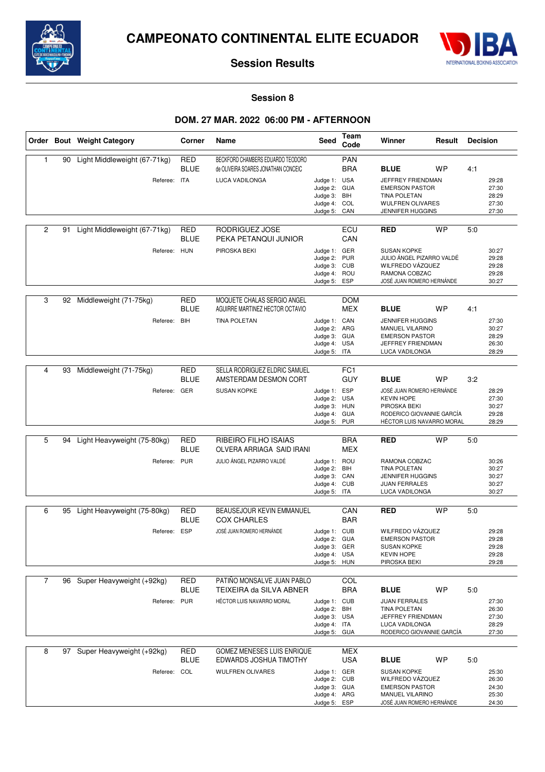



### **Session 8**

# **DOM. 27 MAR. 2022 06:00 PM - AFTERNOON**

|                |    | Order Bout Weight Category   | Corner                    | Name                                                                     | Seed                                                                         | Team<br>Code             | Winner<br>Result                                                                                                         |           | <b>Decision</b> |                                           |
|----------------|----|------------------------------|---------------------------|--------------------------------------------------------------------------|------------------------------------------------------------------------------|--------------------------|--------------------------------------------------------------------------------------------------------------------------|-----------|-----------------|-------------------------------------------|
| $\mathbf{1}$   | 90 | Light Middleweight (67-71kg) | <b>RED</b><br><b>BLUE</b> | BECKFORD CHAMBERS EDUARDO TEODORO<br>de OLIVEIRA SOARES JONATHAN CONCEIC |                                                                              | <b>PAN</b><br><b>BRA</b> | <b>BLUE</b>                                                                                                              | <b>WP</b> | 4:1             |                                           |
|                |    | Referee: ITA                 |                           | LUCA VADILONGA                                                           | Judge 1: USA<br>Judge 2: GUA<br>Judge 3: BIH<br>Judge 4: COL<br>Judge 5:     | CAN                      | JEFFREY FRIENDMAN<br><b>EMERSON PASTOR</b><br><b>TINA POLETAN</b><br><b>WULFREN OLIVARES</b><br><b>JENNIFER HUGGINS</b>  |           |                 | 29:28<br>27:30<br>28:29<br>27:30<br>27:30 |
| $\overline{c}$ | 91 | Light Middleweight (67-71kg) | <b>RED</b><br><b>BLUE</b> | RODRIGUEZ JOSE<br>PEKA PETANQUI JUNIOR                                   |                                                                              | ECU<br>CAN               | <b>RED</b>                                                                                                               | <b>WP</b> | 5:0             |                                           |
|                |    | Referee: HUN                 |                           | PIROSKA BEKI                                                             | Judge 1: GER<br>Judge 2:<br>Judge 3: CUB<br>Judge 4: ROU<br>Judge 5:         | <b>PUR</b><br><b>ESP</b> | <b>SUSAN KOPKE</b><br>JULIO ÁNGEL PIZARRO VALDÉ<br>WILFREDO VÁZQUEZ<br>RAMONA COBZAC<br>JOSÉ JUAN ROMERO HERNÁNDE        |           |                 | 30:27<br>29:28<br>29:28<br>29:28<br>30:27 |
| 3              | 92 | Middleweight (71-75kg)       | RED<br><b>BLUE</b>        | MOQUETE CHALAS SERGIO ANGEL<br>AGUIRRE MARTINEZ HECTOR OCTAVIO           |                                                                              | <b>DOM</b><br><b>MEX</b> | <b>BLUE</b>                                                                                                              | <b>WP</b> | 4:1             |                                           |
|                |    | Referee:                     | <b>BIH</b>                | <b>TINA POLETAN</b>                                                      | Judge 1: CAN<br>Judge 2: ARG<br>Judge 3: GUA<br>Judge 4: USA<br>Judge 5: ITA |                          | <b>JENNIFER HUGGINS</b><br><b>MANUEL VILARINO</b><br><b>EMERSON PASTOR</b><br>JEFFREY FRIENDMAN<br>LUCA VADILONGA        |           |                 | 27:30<br>30:27<br>28:29<br>26:30<br>28:29 |
|                |    |                              |                           | SELLA RODRIGUEZ ELDRIC SAMUEL                                            |                                                                              | FC <sub>1</sub>          |                                                                                                                          |           |                 |                                           |
| 4              | 93 | Middleweight (71-75kg)       | RED<br><b>BLUE</b>        | AMSTERDAM DESMON CORT                                                    |                                                                              | <b>GUY</b>               | <b>BLUE</b>                                                                                                              | <b>WP</b> | 3:2             |                                           |
|                |    | Referee: GER                 |                           | <b>SUSAN KOPKE</b>                                                       | Judge 1: ESP<br>Judge 2: USA<br>Judge 3: HUN<br>Judge 4: GUA<br>Judge 5: PUR |                          | JOSÉ JUAN ROMERO HERNÁNDE<br><b>KEVIN HOPE</b><br>PIROSKA BEKI<br>RODERICO GIOVANNIE GARCÍA<br>HÉCTOR LUIS NAVARRO MORAL |           |                 | 28:29<br>27:30<br>30:27<br>29:28<br>28:29 |
|                |    |                              |                           |                                                                          |                                                                              |                          |                                                                                                                          |           |                 |                                           |
| 5              | 94 | Light Heavyweight (75-80kg)  | RED<br><b>BLUE</b>        | RIBEIRO FILHO ISAIAS<br>OLVERA ARRIAGA SAID IRANI                        |                                                                              | <b>BRA</b><br><b>MEX</b> | <b>RED</b>                                                                                                               | <b>WP</b> | 5:0             |                                           |
|                |    | Referee:                     | <b>PUR</b>                | JULIO ÁNGEL PIZARRO VALDÉ                                                | Judge 1: ROU<br>Judge 2: BIH<br>Judge 3: CAN<br>Judge 4: CUB<br>Judge 5: ITA |                          | RAMONA COBZAC<br><b>TINA POLETAN</b><br><b>JENNIFER HUGGINS</b><br><b>JUAN FERRALES</b><br>LUCA VADILONGA                |           |                 | 30:26<br>30:27<br>30:27<br>30:27<br>30:27 |
| 6              | 95 | Light Heavyweight (75-80kg)  | <b>RED</b>                | <b>BEAUSEJOUR KEVIN EMMANUEL</b>                                         |                                                                              | CAN                      | <b>RED</b>                                                                                                               | <b>WP</b> | 5:0             |                                           |
|                |    |                              | <b>BLUE</b>               | <b>COX CHARLES</b>                                                       |                                                                              | <b>BAR</b>               |                                                                                                                          |           |                 |                                           |
|                |    | Referee: ESP                 |                           | JOSÉ JUAN ROMERO HERNÁNDE                                                | Judge 1: CUB<br>Judge 2:<br>Judge 3: GER<br>Judge 4: USA<br>Judge 5: HUN     | <b>GUA</b>               | WILFREDO VÁZQUEZ<br><b>EMERSON PASTOR</b><br><b>SUSAN KOPKE</b><br><b>KEVIN HOPE</b><br>PIROSKA BEKI                     |           |                 | 29:28<br>29:28<br>29:28<br>29:28<br>29:28 |
| $\overline{7}$ | 96 | Super Heavyweight (+92kg)    | <b>RED</b>                | PATIÑO MONSALVE JUAN PABLO                                               |                                                                              | COL                      |                                                                                                                          |           |                 |                                           |
|                |    |                              | <b>BLUE</b>               | TEIXEIRA da SILVA ABNER                                                  |                                                                              | <b>BRA</b>               | <b>BLUE</b>                                                                                                              | <b>WP</b> | 5:0             |                                           |
|                |    | Referee:                     | <b>PUR</b>                | HÉCTOR LUIS NAVARRO MORAL                                                | Judge 1: CUB<br>Judge 2: BIH<br>Judge 3: USA<br>Judge 4: ITA<br>Judge 5: GUA |                          | <b>JUAN FERRALES</b><br><b>TINA POLETAN</b><br>JEFFREY FRIENDMAN<br>LUCA VADILONGA<br>RODERICO GIOVANNIE GARCÍA          |           |                 | 27:30<br>26:30<br>27:30<br>28:29<br>27:30 |
| 8              |    | 97 Super Heavyweight (+92kg) | <b>RED</b><br><b>BLUE</b> | GOMEZ MENESES LUIS ENRIQUE<br>EDWARDS JOSHUA TIMOTHY                     |                                                                              | MEX<br><b>USA</b>        | <b>BLUE</b>                                                                                                              | WP        | 5:0             |                                           |
|                |    | Referee: COL                 |                           | <b>WULFREN OLIVARES</b>                                                  | Judge 1: GER<br>Judge 2: CUB<br>Judge 3: GUA<br>Judge 4: ARG<br>Judge 5: ESP |                          | <b>SUSAN KOPKE</b><br>WILFREDO VÁZQUEZ<br><b>EMERSON PASTOR</b><br>MANUEL VILARINO<br>JOSÉ JUAN ROMERO HERNÁNDE          |           |                 | 25:30<br>26:30<br>24:30<br>25:30<br>24:30 |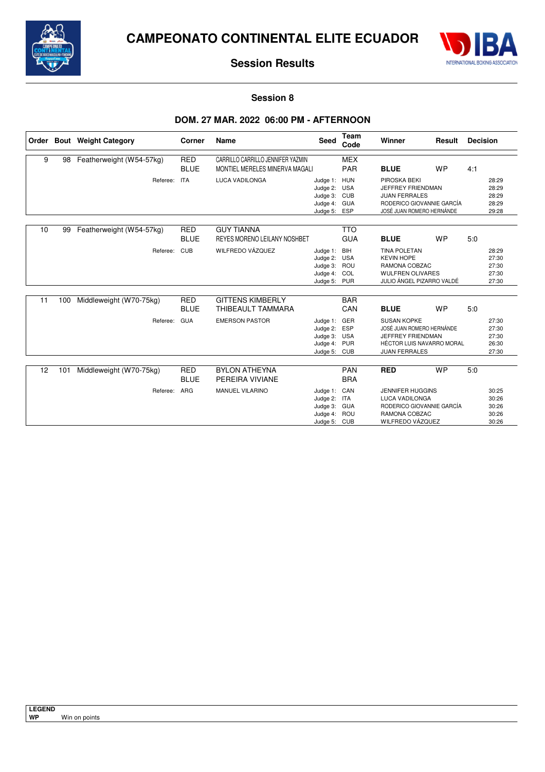



### **Session 8**

# **DOM. 27 MAR. 2022 06:00 PM - AFTERNOON**

|    |     | Order Bout Weight Category | Corner                    | Name                                                                | <b>Seed</b>                                                                  | Team<br>Code             | Winner                                                                                                                    | Result    | <b>Decision</b> |                                           |
|----|-----|----------------------------|---------------------------|---------------------------------------------------------------------|------------------------------------------------------------------------------|--------------------------|---------------------------------------------------------------------------------------------------------------------------|-----------|-----------------|-------------------------------------------|
| 9  | 98  | Featherweight (W54-57kg)   | <b>RED</b><br><b>BLUE</b> | CARRILLO CARRILLO JENNIFER YAZMIN<br>MONTIEL MERELES MINERVA MAGALI |                                                                              | <b>MEX</b><br><b>PAR</b> | <b>BLUE</b>                                                                                                               | <b>WP</b> | 4:1             |                                           |
|    |     | Referee:                   | <b>ITA</b>                | <b>LUCA VADILONGA</b>                                               | Judge 1: HUN<br>Judge 2: USA<br>Judge 3: CUB<br>Judge 4: GUA<br>Judge 5:     | ESP                      | PIROSKA BEKI<br>JEFFREY FRIENDMAN<br><b>JUAN FERRALES</b><br>RODERICO GIOVANNIE GARCÍA<br>JOSÉ JUAN ROMERO HERNÁNDE       |           |                 | 28:29<br>28:29<br>28:29<br>28:29<br>29:28 |
| 10 | 99  | Featherweight (W54-57kg)   | <b>RED</b><br><b>BLUE</b> | <b>GUY TIANNA</b><br>REYES MORENO LEILANY NOSHBET                   |                                                                              | <b>TTO</b><br><b>GUA</b> | <b>BLUE</b>                                                                                                               | <b>WP</b> | 5:0             |                                           |
|    |     | Referee:                   | <b>CUB</b>                | WILFREDO VÁZQUEZ                                                    | Judge 1:<br>Judge 2: USA<br>Judge 3: ROU<br>Judge 4: COL<br>Judge 5: PUR     | BIH                      | <b>TINA POLETAN</b><br><b>KEVIN HOPE</b><br>RAMONA COBZAC<br><b>WULFREN OLIVARES</b><br>JULIO ÁNGEL PIZARRO VALDÉ         |           |                 | 28:29<br>27:30<br>27:30<br>27:30<br>27:30 |
| 11 | 100 | Middleweight (W70-75kg)    | <b>RED</b><br><b>BLUE</b> | <b>GITTENS KIMBERLY</b><br>THIBEAULT TAMMARA                        |                                                                              | <b>BAR</b><br>CAN        | <b>BLUE</b>                                                                                                               | <b>WP</b> | 5.0             |                                           |
|    |     | Referee:                   | <b>GUA</b>                | <b>EMERSON PASTOR</b>                                               | Judge 1: GER<br>Judge 2: ESP<br>Judge 3: USA<br>Judge 4: PUR<br>Judge 5: CUB |                          | <b>SUSAN KOPKE</b><br>JOSÉ JUAN ROMERO HERNÁNDE<br>JEFFREY FRIENDMAN<br>HÉCTOR LUIS NAVARRO MORAL<br><b>JUAN FERRALES</b> |           |                 | 27:30<br>27:30<br>27:30<br>26:30<br>27:30 |
| 12 | 101 | Middleweight (W70-75kg)    | <b>RED</b><br><b>BLUE</b> | <b>BYLON ATHEYNA</b><br>PEREIRA VIVIANE                             |                                                                              | <b>PAN</b><br><b>BRA</b> | <b>RED</b>                                                                                                                | <b>WP</b> | 5.0             |                                           |
|    |     | Referee:                   | ARG                       | MANUEL VILARINO                                                     | Judge 1: CAN<br>Judge 2: ITA<br>Judge 3: GUA<br>Judge 4: ROU<br>Judge 5: CUB |                          | <b>JENNIFER HUGGINS</b><br><b>LUCA VADILONGA</b><br>RODERICO GIOVANNIE GARCÍA<br>RAMONA COBZAC<br>WILFREDO VÁZQUEZ        |           |                 | 30:25<br>30:26<br>30:26<br>30:26<br>30:26 |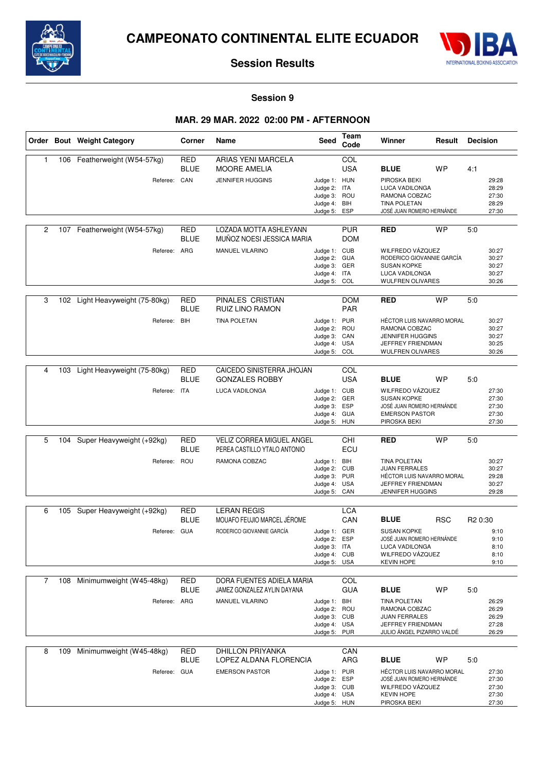



**Session 9**

# **MAR. 29 MAR. 2022 02:00 PM - AFTERNOON**

|                |     | Order Bout Weight Category      | Corner                    | Name                                                      | Seed                         | Team<br>Code             | Winner                                           | Result     | <b>Decision</b>     |
|----------------|-----|---------------------------------|---------------------------|-----------------------------------------------------------|------------------------------|--------------------------|--------------------------------------------------|------------|---------------------|
| 1              |     | 106 Featherweight (W54-57kg)    | <b>RED</b>                | <b>ARIAS YENI MARCELA</b>                                 |                              | COL                      |                                                  |            |                     |
|                |     |                                 | <b>BLUE</b>               | <b>MOORE AMELIA</b>                                       |                              | <b>USA</b>               | <b>BLUE</b>                                      | <b>WP</b>  | 4:1                 |
|                |     | Referee: CAN                    |                           | JENNIFER HUGGINS                                          | Judge 1: HUN                 |                          | PIROSKA BEKI                                     |            | 29:28               |
|                |     |                                 |                           |                                                           | Judge 2: ITA                 |                          | <b>LUCA VADILONGA</b>                            |            | 28:29               |
|                |     |                                 |                           |                                                           | Judge 3: ROU                 |                          | RAMONA COBZAC                                    |            | 27:30               |
|                |     |                                 |                           |                                                           | Judge 4: BIH                 | ESP                      | <b>TINA POLETAN</b><br>JOSÉ JUAN ROMERO HERNÁNDE |            | 28:29<br>27:30      |
|                |     |                                 |                           |                                                           | Judge 5:                     |                          |                                                  |            |                     |
| 2              |     | 107 Featherweight (W54-57kg)    | <b>RED</b><br><b>BLUE</b> | LOZADA MOTTA ASHLEYANN<br>MUNOZ NOESI JESSICA MARIA       |                              | <b>PUR</b><br><b>DOM</b> | <b>RED</b>                                       | <b>WP</b>  | 5:0                 |
|                |     | Referee: ARG                    |                           | <b>MANUEL VILARINO</b>                                    | Judge 1: CUB                 |                          | WILFREDO VÁZQUEZ                                 |            | 30:27               |
|                |     |                                 |                           |                                                           | Judge 2:                     | <b>GUA</b>               | RODERICO GIOVANNIE GARCÍA                        |            | 30:27               |
|                |     |                                 |                           |                                                           | Judge 3: GER                 |                          | <b>SUSAN KOPKE</b>                               |            | 30:27               |
|                |     |                                 |                           |                                                           | Judge 4: ITA<br>Judge 5: COL |                          | LUCA VADILONGA<br><b>WULFREN OLIVARES</b>        |            | 30:27<br>30:26      |
|                |     |                                 |                           |                                                           |                              |                          |                                                  |            |                     |
| 3              |     | 102 Light Heavyweight (75-80kg) | RED<br><b>BLUE</b>        | PINALES CRISTIAN<br>RUIZ LINO RAMON                       |                              | <b>DOM</b><br><b>PAR</b> | <b>RED</b>                                       | <b>WP</b>  | 5:0                 |
|                |     | Referee:                        | BIH                       | <b>TINA POLETAN</b>                                       | Judge 1: PUR                 |                          | HÉCTOR LUIS NAVARRO MORAL                        |            | 30:27               |
|                |     |                                 |                           |                                                           | Judge 2: ROU                 |                          | RAMONA COBZAC                                    |            | 30:27               |
|                |     |                                 |                           |                                                           | Judge 3: CAN                 |                          | <b>JENNIFER HUGGINS</b>                          |            | 30:27               |
|                |     |                                 |                           |                                                           | Judge 4: USA<br>Judge 5:     | COL                      | JEFFREY FRIENDMAN<br><b>WULFREN OLIVARES</b>     |            | 30:25<br>30:26      |
|                |     |                                 |                           |                                                           |                              |                          |                                                  |            |                     |
| 4              | 103 | Light Heavyweight (75-80kg)     | RED<br><b>BLUE</b>        | CAICEDO SINISTERRA JHOJAN<br><b>GONZALES ROBBY</b>        |                              | COL<br><b>USA</b>        | <b>BLUE</b>                                      | <b>WP</b>  | 5:0                 |
|                |     | Referee: ITA                    |                           | LUCA VADILONGA                                            | Judge 1: CUB                 |                          | WILFREDO VÁZQUEZ                                 |            | 27:30               |
|                |     |                                 |                           |                                                           | Judge 2: GER                 |                          | <b>SUSAN KOPKE</b>                               |            | 27:30               |
|                |     |                                 |                           |                                                           | Judge 3:                     | ESP                      | JOSÉ JUAN ROMERO HERNÁNDE                        |            | 27:30               |
|                |     |                                 |                           |                                                           | Judge 4: GUA<br>Judge 5: HUN |                          | <b>EMERSON PASTOR</b><br>PIROSKA BEKI            |            | 27:30<br>27:30      |
|                |     |                                 |                           |                                                           |                              |                          |                                                  |            |                     |
| 5              | 104 | Super Heavyweight (+92kg)       | <b>RED</b><br><b>BLUE</b> | VELIZ CORREA MIGUEL ANGEL<br>PEREA CASTILLO YTALO ANTONIO |                              | CHI<br>ECU               | RED                                              | <b>WP</b>  | 5:0                 |
|                |     | Referee:                        | ROU                       | RAMONA COBZAC                                             | Judge 1: BIH                 |                          | <b>TINA POLETAN</b>                              |            | 30:27               |
|                |     |                                 |                           |                                                           | Judge 2: CUB                 |                          | <b>JUAN FERRALES</b>                             |            | 30:27               |
|                |     |                                 |                           |                                                           | Judge 3: PUR                 |                          | HÉCTOR LUIS NAVARRO MORAL                        |            | 29:28               |
|                |     |                                 |                           |                                                           | Judge 4: USA                 |                          | JEFFREY FRIENDMAN                                |            | 30:27               |
|                |     |                                 |                           |                                                           | Judge 5:                     | CAN                      | <b>JENNIFER HUGGINS</b>                          |            | 29:28               |
| 6              | 105 | Super Heavyweight (+92kg)       | RED                       | <b>LERAN REGIS</b>                                        |                              | LCA                      |                                                  |            |                     |
|                |     |                                 | <b>BLUE</b>               | MOUAFO FEUJIO MARCEL JÉROME                               |                              | CAN                      | <b>BLUE</b>                                      | <b>RSC</b> | R <sub>2</sub> 0:30 |
|                |     | Referee: GUA                    |                           | RODERICO GIOVANNIE GARCÍA                                 | Judge 1: GER                 |                          | <b>SUSAN KOPKE</b>                               |            | 9:10                |
|                |     |                                 |                           |                                                           | Judge 2:                     | ESP                      | JOSÉ JUAN ROMERO HERNÁNDE                        |            | 9:10                |
|                |     |                                 |                           |                                                           | Judge 3: ITA                 |                          | LUCA VADILONGA                                   |            | 8:10                |
|                |     |                                 |                           |                                                           | Judge 4: CUB                 |                          | WILFREDO VÁZQUEZ                                 |            | 8:10                |
|                |     |                                 |                           |                                                           | Judge 5: USA                 |                          | <b>KEVIN HOPE</b>                                |            | 9:10                |
|                |     |                                 |                           | DORA FUENTES ADIELA MARIA                                 |                              |                          |                                                  |            |                     |
| $\overline{7}$ | 108 | Minimumweight (W45-48kg)        | <b>RED</b><br><b>BLUE</b> | JAMEZ GONZALEZ AYLIN DAYANA                               |                              | COL<br><b>GUA</b>        | <b>BLUE</b>                                      | <b>WP</b>  | 5:0                 |
|                |     |                                 |                           |                                                           |                              |                          |                                                  |            |                     |
|                |     | Referee: ARG                    |                           | MANUEL VILARINO                                           | Judge 1: BIH<br>Judge 2: ROU |                          | <b>TINA POLETAN</b><br>RAMONA COBZAC             |            | 26:29<br>26:29      |
|                |     |                                 |                           |                                                           | Judge 3: CUB                 |                          | <b>JUAN FERRALES</b>                             |            | 26:29               |
|                |     |                                 |                           |                                                           | Judge 4: USA                 |                          | JEFFREY FRIENDMAN                                |            | 27:28               |
|                |     |                                 |                           |                                                           | Judge 5: PUR                 |                          | JULIO ÁNGEL PIZARRO VALDÉ                        |            | 26:29               |
|                |     |                                 |                           |                                                           |                              |                          |                                                  |            |                     |
| 8              | 109 | Minimumweight (W45-48kg)        | <b>RED</b>                | <b>DHILLON PRIYANKA</b>                                   |                              | CAN                      |                                                  |            |                     |
|                |     |                                 | <b>BLUE</b>               | LOPEZ ALDANA FLORENCIA                                    |                              | ARG                      | <b>BLUE</b>                                      | <b>WP</b>  | 5:0                 |
|                |     | Referee: GUA                    |                           | <b>EMERSON PASTOR</b>                                     | Judge 1: PUR                 |                          | HÉCTOR LUIS NAVARRO MORAL                        |            | 27:30               |
|                |     |                                 |                           |                                                           | Judge 2: ESP                 |                          | JOSÉ JUAN ROMERO HERNÁNDE                        |            | 27:30               |
|                |     |                                 |                           |                                                           | Judge 3: CUB<br>Judge 4: USA |                          | WILFREDO VÁZQUEZ<br><b>KEVIN HOPE</b>            |            | 27:30<br>27:30      |
|                |     |                                 |                           |                                                           | Judge 5: HUN                 |                          | PIROSKA BEKI                                     |            | 27:30               |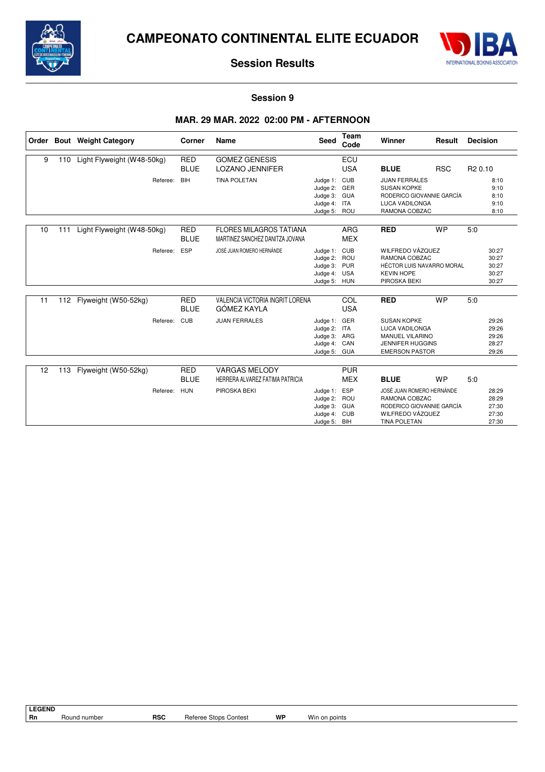



### **Session 9**

# **MAR. 29 MAR. 2022 02:00 PM - AFTERNOON**

|    |     | Order Bout Weight Category | Corner                    | Name                                                              | <b>Seed</b>                                                                  | <b>Team</b><br>Code      | Winner                                                                                                                    | Result     | <b>Decision</b>     |                                           |
|----|-----|----------------------------|---------------------------|-------------------------------------------------------------------|------------------------------------------------------------------------------|--------------------------|---------------------------------------------------------------------------------------------------------------------------|------------|---------------------|-------------------------------------------|
| 9  | 110 | Light Flyweight (W48-50kg) | <b>RED</b><br><b>BLUE</b> | <b>GOMEZ GENESIS</b><br><b>LOZANO JENNIFER</b>                    |                                                                              | ECU<br><b>USA</b>        | <b>BLUE</b>                                                                                                               | <b>RSC</b> | R <sub>2</sub> 0.10 |                                           |
|    |     | Referee:                   | <b>BIH</b>                | <b>TINA POLETAN</b>                                               | Judge 1: CUB<br>Judge 2: GER<br>Judge 3: GUA<br>Judge 4: ITA<br>Judge 5: ROU |                          | <b>JUAN FERRALES</b><br><b>SUSAN KOPKE</b><br>RODERICO GIOVANNIE GARCÍA<br><b>LUCA VADILONGA</b><br>RAMONA COBZAC         |            |                     | 8:10<br>9:10<br>8:10<br>9:10<br>8:10      |
| 10 | 111 | Light Flyweight (W48-50kg) | <b>RED</b><br><b>BLUE</b> | <b>FLORES MILAGROS TATIANA</b><br>MARTINEZ SANCHEZ DANITZA JOVANA |                                                                              | <b>ARG</b><br><b>MEX</b> | <b>RED</b>                                                                                                                | <b>WP</b>  | 5.0                 |                                           |
|    |     | Referee:                   | ESP                       | JOSÉ JUAN ROMERO HERNÁNDE                                         | Judge 1: CUB<br>Judge 2: ROU<br>Judge 3: PUR<br>Judge 4: USA<br>Judge 5: HUN |                          | WILFREDO VÁZQUEZ<br>RAMONA COBZAC<br>HÉCTOR LUIS NAVARRO MORAL<br><b>KEVIN HOPE</b><br>PIROSKA BEKI                       |            |                     | 30:27<br>30:27<br>30:27<br>30:27<br>30:27 |
| 11 | 112 | Flyweight (W50-52kg)       | <b>RED</b><br><b>BLUE</b> | <b>VALENCIA VICTORIA INGRIT LORENA</b><br>GÓMEZ KAYLA             |                                                                              | COL<br><b>USA</b>        | <b>RED</b>                                                                                                                | <b>WP</b>  | 5.0                 |                                           |
|    |     | Referee:                   | CUB                       | <b>JUAN FERRALES</b>                                              | Judge 1: GER<br>Judge 2: ITA<br>Judge 3: ARG<br>Judge 4: CAN<br>Judge 5: GUA |                          | <b>SUSAN KOPKE</b><br><b>LUCA VADILONGA</b><br><b>MANUEL VILARINO</b><br><b>JENNIFER HUGGINS</b><br><b>EMERSON PASTOR</b> |            |                     | 29:26<br>29:26<br>29:26<br>28:27<br>29:26 |
| 12 | 113 | Flyweight (W50-52kg)       | <b>RED</b><br><b>BLUE</b> | <b>VARGAS MELODY</b><br>HERRERA ALVAREZ FATIMA PATRICIA           |                                                                              | <b>PUR</b><br><b>MEX</b> | <b>BLUE</b>                                                                                                               | <b>WP</b>  | 5:0                 |                                           |
|    |     | Referee:                   | <b>HUN</b>                | PIROSKA BEKI                                                      | Judge 1: ESP<br>Judge 2: ROU<br>Judge 3: GUA<br>Judge 4: CUB<br>Judge 5: BIH |                          | JOSÉ JUAN ROMERO HERNÁNDE<br>RAMONA COBZAC<br>RODERICO GIOVANNIE GARCÍA<br>WILFREDO VÁZQUEZ<br><b>TINA POLETAN</b>        |            |                     | 28:29<br>28:29<br>27:30<br>27:30<br>27:30 |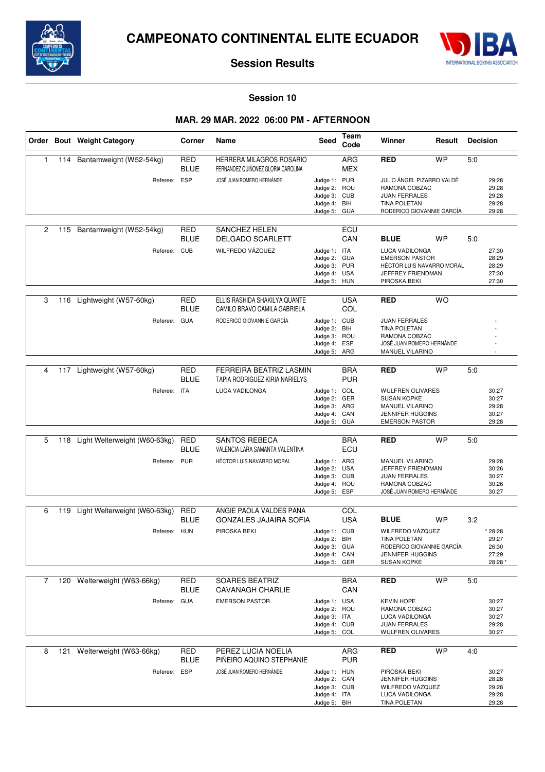



### **Session 10**

### **MAR. 29 MAR. 2022 06:00 PM - AFTERNOON**

|   |     | Order Bout Weight Category        | Corner                    | Name                                                                  | Seed                                                                         | Team<br>Code             | Winner<br>Result                                                                                                       |           | <b>Decision</b> |                                             |
|---|-----|-----------------------------------|---------------------------|-----------------------------------------------------------------------|------------------------------------------------------------------------------|--------------------------|------------------------------------------------------------------------------------------------------------------------|-----------|-----------------|---------------------------------------------|
| 1 | 114 | Bantamweight (W52-54kg)           | <b>RED</b><br><b>BLUE</b> | <b>HERRERA MILAGROS ROSARIO</b><br>FERNANDEZ QUIÑONEZ GLORIA CAROLINA |                                                                              | <b>ARG</b><br>MEX        | <b>RED</b>                                                                                                             | <b>WP</b> | 5:0             |                                             |
|   |     | Referee: ESP                      |                           | JOSÉ JUAN ROMERO HERNÁNDE                                             | Judge 1: PUR<br>Judge 2: ROU<br>Judge 3: CUB<br>Judge 4: BIH<br>Judge 5: GUA |                          | JULIO ÁNGEL PIZARRO VALDÉ<br>RAMONA COBZAC<br><b>JUAN FERRALES</b><br><b>TINA POLETAN</b><br>RODERICO GIOVANNIE GARCÍA |           |                 | 29:28<br>29:28<br>29:28<br>29:28<br>29:28   |
| 2 | 115 | Bantamweight (W52-54kg)           | RED<br><b>BLUE</b>        | <b>SANCHEZ HELEN</b><br><b>DELGADO SCARLETT</b>                       |                                                                              | ECU<br>CAN               | <b>BLUE</b>                                                                                                            | <b>WP</b> | 5:0             |                                             |
|   |     | Referee: CUB                      |                           | WILFREDO VÁZQUEZ                                                      | Judge 1: ITA<br>Judge 2: GUA<br>Judge 3: PUR<br>Judge 4: USA<br>Judge 5:     | HUN                      | LUCA VADILONGA<br><b>EMERSON PASTOR</b><br>HÉCTOR LUIS NAVARRO MORAL<br>JEFFREY FRIENDMAN<br>PIROSKA BEKI              |           |                 | 27:30<br>28:29<br>28:29<br>27:30<br>27:30   |
| 3 | 116 | Lightweight (W57-60kg)            | RED<br><b>BLUE</b>        | ELLIS RASHIDA SHAKILYA QUANTE<br>CAMILO BRAVO CAMILA GABRIELA         |                                                                              | <b>USA</b><br>COL        | <b>RED</b>                                                                                                             | <b>WO</b> |                 |                                             |
|   |     | Referee: GUA                      |                           | RODERICO GIOVANNIE GARCÍA                                             | Judge 1: CUB<br>Judge 2:<br>Judge 3: ROU<br>Judge 4: ESP<br>Judge 5: ARG     | BIH                      | <b>JUAN FERRALES</b><br><b>TINA POLETAN</b><br>RAMONA COBZAC<br>JOSÉ JUAN ROMERO HERNÁNDE<br>MANUEL VILARINO           |           |                 |                                             |
| 4 | 117 | Lightweight (W57-60kg)            | <b>RED</b><br><b>BLUE</b> | <b>FERREIRA BEATRIZ LASMIN</b><br>TAPIA RODRIGUEZ KIRIA NARIELYS      |                                                                              | <b>BRA</b><br><b>PUR</b> | <b>RED</b>                                                                                                             | <b>WP</b> | 5:0             |                                             |
|   |     | Referee: ITA                      |                           | LUCA VADILONGA                                                        | Judge 1: COL<br>Judge 2: GER<br>Judge 3: ARG<br>Judge 4: CAN<br>Judge 5: GUA |                          | <b>WULFREN OLIVARES</b><br><b>SUSAN KOPKE</b><br>MANUEL VILARINO<br><b>JENNIFER HUGGINS</b><br><b>EMERSON PASTOR</b>   |           |                 | 30:27<br>30:27<br>29:28<br>30:27<br>29:28   |
| 5 | 118 | Light Welterweight (W60-63kg)     | <b>RED</b><br><b>BLUE</b> | <b>SANTOS REBECA</b><br>VALENCIA LARA SAMANTA VALENTINA               |                                                                              | <b>BRA</b><br>ECU        | <b>RED</b>                                                                                                             | <b>WP</b> | 5:0             |                                             |
|   |     | Referee: PUR                      |                           | HÉCTOR LUIS NAVARRO MORAL                                             | Judge 1: ARG<br>Judge 2: USA<br>Judge 3: CUB<br>Judge 4: ROU<br>Judge 5: ESP |                          | MANUEL VILARINO<br>JEFFREY FRIENDMAN<br><b>JUAN FERRALES</b><br>RAMONA COBZAC<br>JOSÉ JUAN ROMERO HERNÁNDE             |           |                 | 29:28<br>30:26<br>30:27<br>30:26<br>30:27   |
| 6 |     | 119 Light Welterweight (W60-63kg) | <b>RED</b>                | ANGIE PAOLA VALDES PANA                                               |                                                                              | COL                      |                                                                                                                        |           |                 |                                             |
|   |     |                                   | <b>BLUE</b>               | <b>GONZALES JAJAIRA SOFIA</b>                                         |                                                                              | <b>USA</b>               | <b>BLUE</b>                                                                                                            | <b>WP</b> | 3:2             |                                             |
|   |     | Referee: HUN                      |                           | PIROSKA BEKI                                                          | Judge 1: CUB<br>Judge 2:<br>Judge 3: GUA<br>Judge 4: CAN<br>Judge 5: GER     | BIH                      | WILFREDO VÁZQUEZ<br><b>TINA POLETAN</b><br>RODERICO GIOVANNIE GARCÍA<br>JENNIFER HUGGINS<br><b>SUSAN KOPKE</b>         |           |                 | * 28:28<br>29:27<br>26:30<br>27:29<br>28:28 |
| 7 |     | 120 Welterweight (W63-66kg)       | <b>RED</b>                | <b>SOARES BEATRIZ</b>                                                 |                                                                              | <b>BRA</b>               | <b>RED</b>                                                                                                             | <b>WP</b> | 5:0             |                                             |
|   |     |                                   | <b>BLUE</b>               | <b>CAVANAGH CHARLIE</b>                                               |                                                                              | CAN                      |                                                                                                                        |           |                 |                                             |
|   |     | Referee: GUA                      |                           | <b>EMERSON PASTOR</b>                                                 | Judge 1: USA<br>Judge 2: ROU<br>Judge 3: ITA<br>Judge 4: CUB<br>Judge 5: COL |                          | <b>KEVIN HOPE</b><br>RAMONA COBZAC<br>LUCA VADILONGA<br><b>JUAN FERRALES</b><br><b>WULFREN OLIVARES</b>                |           |                 | 30:27<br>30:27<br>30:27<br>29:28<br>30:27   |
| 8 |     | 121 Welterweight (W63-66kg)       | <b>RED</b><br><b>BLUE</b> | PEREZ LUCIA NOELIA<br>PIÑEIRO AQUINO STEPHANIE                        |                                                                              | ARG<br><b>PUR</b>        | <b>RED</b>                                                                                                             | <b>WP</b> | 4:0             |                                             |
|   |     | Referee: ESP                      |                           | JOSÉ JUAN ROMERO HERNÁNDE                                             | Judge 1: HUN<br>Judge 2: CAN<br>Judge 3: CUB<br>Judge 4: ITA<br>Judge 5: BIH |                          | PIROSKA BEKI<br><b>JENNIFER HUGGINS</b><br>WILFREDO VÁZQUEZ<br>LUCA VADILONGA<br>TINA POLETAN                          |           |                 | 30:27<br>28:28<br>29:28<br>29:28<br>29:28   |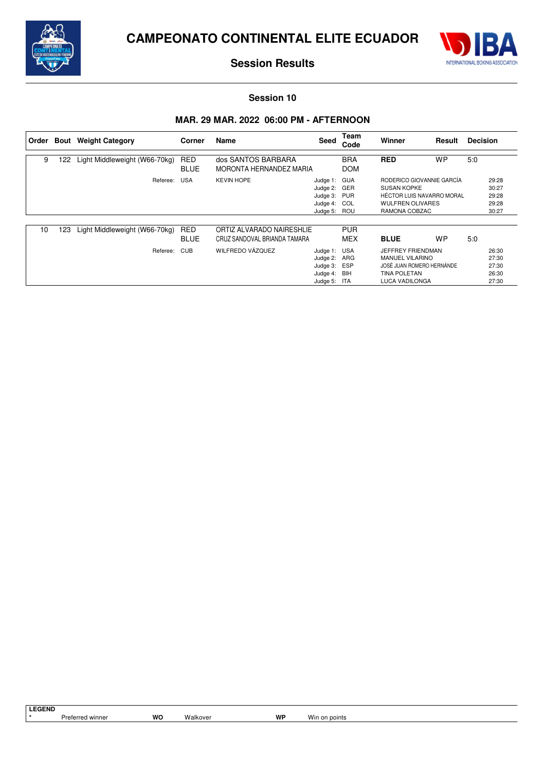



### **Session 10**

# **MAR. 29 MAR. 2022 06:00 PM - AFTERNOON**

| l Order | Bout | <b>Weight Category</b>        | Corner                    | Name                                                      | Seed                                                                         | Team<br>Code             | Winner                                                                                                                          | Result    | <b>Decision</b> |                                           |
|---------|------|-------------------------------|---------------------------|-----------------------------------------------------------|------------------------------------------------------------------------------|--------------------------|---------------------------------------------------------------------------------------------------------------------------------|-----------|-----------------|-------------------------------------------|
| 9       | 122  | Light Middleweight (W66-70kg) | RED<br><b>BLUE</b>        | dos SANTOS BARBARA<br>MORONTA HERNANDEZ MARIA             |                                                                              | <b>BRA</b><br><b>DOM</b> | <b>RED</b>                                                                                                                      | <b>WP</b> | 5:0             |                                           |
|         |      | Referee:                      | <b>USA</b>                | <b>KEVIN HOPE</b>                                         | Judge 1: GUA<br>Judge 2: GER<br>Judge 3: PUR<br>Judge 4: COL<br>Judge 5: ROU |                          | RODERICO GIOVANNIE GARCÍA<br><b>SUSAN KOPKE</b><br><b>HÉCTOR LUIS NAVARRO MORAL</b><br><b>WULFREN OLIVARES</b><br>RAMONA COBZAC |           |                 | 29:28<br>30:27<br>29:28<br>29:28<br>30:27 |
| 10      | 123  | Light Middleweight (W66-70kg) | <b>RED</b><br><b>BLUE</b> | ORTIZ ALVARADO NAIRESHLIE<br>CRUZ SANDOVAL BRIANDA TAMARA |                                                                              | <b>PUR</b><br><b>MEX</b> | <b>BLUE</b>                                                                                                                     | <b>WP</b> | 5:0             |                                           |
|         |      | Referee:                      | <b>CUB</b>                | WILFREDO VÁZQUEZ                                          | Judge 1: USA<br>Judge 2:<br>Judge 3: ESP<br>Judge 4: BIH<br>Judge 5: ITA     | ARG                      | JEFFREY FRIENDMAN<br><b>MANUEL VILARINO</b><br>JOSÉ JUAN ROMERO HERNÁNDE<br><b>TINA POLETAN</b><br>LUCA VADILONGA               |           |                 | 26:30<br>27:30<br>27:30<br>26:30<br>27:30 |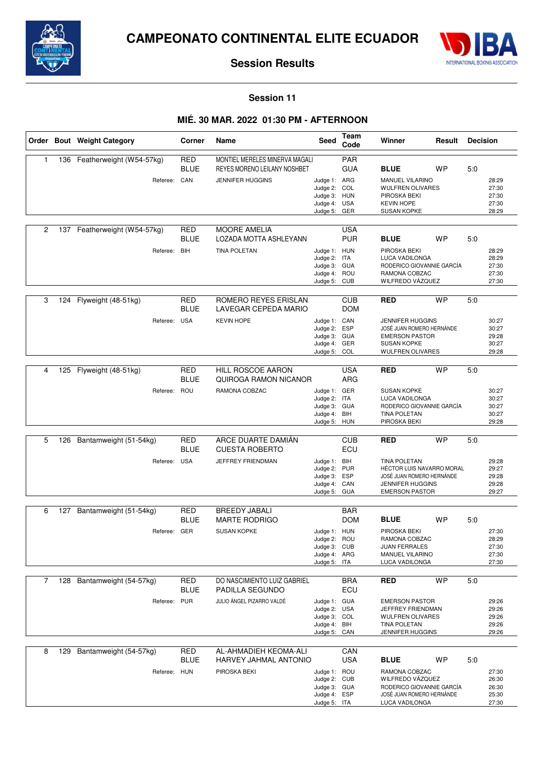



**Session 11**

# **MIÉ. 30 MAR. 2022 01:30 PM - AFTERNOON**

|                |     | Order Bout Weight Category                   | Corner                                  | Name                                                                                      | <b>Seed</b>                                                                  | Team<br>Code                                  | Winner<br>Result                                                                                                                                |           | <b>Decision</b> |                                           |
|----------------|-----|----------------------------------------------|-----------------------------------------|-------------------------------------------------------------------------------------------|------------------------------------------------------------------------------|-----------------------------------------------|-------------------------------------------------------------------------------------------------------------------------------------------------|-----------|-----------------|-------------------------------------------|
| $\mathbf{1}$   |     | 136 Featherweight (W54-57kg)<br>Referee: CAN | <b>RED</b><br><b>BLUE</b>               | MONTIEL MERELES MINERVA MAGALI<br>REYES MORENO LEILANY NOSHBET<br><b>JENNIFER HUGGINS</b> | Judge 1: ARG<br>Judge 2: COL<br>Judge 3: HUN<br>Judge 4: USA<br>Judge 5: GER | <b>PAR</b><br><b>GUA</b>                      | <b>BLUE</b><br>MANUEL VILARINO<br><b>WULFREN OLIVARES</b><br>PIROSKA BEKI<br><b>KEVIN HOPE</b><br><b>SUSAN KOPKE</b>                            | WP        | 5:0             | 28:29<br>27:30<br>27:30<br>27:30<br>28:29 |
| $\overline{c}$ |     | 137 Featherweight (W54-57kg)<br>Referee:     | <b>RED</b><br><b>BLUE</b><br><b>BIH</b> | <b>MOORE AMELIA</b><br>LOZADA MOTTA ASHLEYANN<br><b>TINA POLETAN</b>                      | Judge 1: HUN<br>Judge 2: ITA<br>Judge 3: GUA<br>Judge 4: ROU<br>Judge 5: CUB | <b>USA</b><br><b>PUR</b>                      | <b>BLUE</b><br>PIROSKA BEKI<br>LUCA VADILONGA<br>RODERICO GIOVANNIE GARCÍA<br>RAMONA COBZAC<br>WILFREDO VÁZQUEZ                                 | WP        | 5:0             | 28:29<br>28:29<br>27:30<br>27:30<br>27:30 |
| 3              |     | 124 Flyweight (48-51kg)<br>Referee: USA      | <b>RED</b><br><b>BLUE</b>               | ROMERO REYES ERISLAN<br>LAVEGAR CEPEDA MARIO<br><b>KEVIN HOPE</b>                         | Judge 1: CAN<br>Judge 2: ESP<br>Judge 3: GUA<br>Judge 4:<br>Judge 5: COL     | <b>CUB</b><br><b>DOM</b><br>GER               | <b>RED</b><br><b>JENNIFER HUGGINS</b><br>JOSÉ JUAN ROMERO HERNÁNDE<br><b>EMERSON PASTOR</b><br><b>SUSAN KOPKE</b><br><b>WULFREN OLIVARES</b>    | <b>WP</b> | 5:0             | 30:27<br>30:27<br>29:28<br>30:27<br>29:28 |
| 4              | 125 | Flyweight (48-51kg)<br>Referee: ROU          | <b>RED</b><br><b>BLUE</b>               | <b>HILL ROSCOE AARON</b><br>QUIROGA RAMON NICANOR<br>RAMONA COBZAC                        | Judge 1: GER<br>Judge 2: ITA<br>Judge 3: GUA<br>Judge 4: BIH<br>Judge 5: HUN | <b>USA</b><br>ARG                             | <b>RED</b><br><b>SUSAN KOPKE</b><br>LUCA VADILONGA<br>RODERICO GIOVANNIE GARCÍA<br><b>TINA POLETAN</b><br>PIROSKA BEKI                          | <b>WP</b> | 5:0             | 30:27<br>30:27<br>30:27<br>30:27<br>29:28 |
| 5              | 126 | Bantamweight (51-54kg)<br>Referee: USA       | <b>RED</b><br><b>BLUE</b>               | ARCE DUARTE DAMIÁN<br><b>CUESTA ROBERTO</b><br>JEFFREY FRIENDMAN                          | Judge 1: BIH<br>Judge 2:<br>Judge 3: ESP<br>Judge 4: CAN<br>Judge 5:         | <b>CUB</b><br>ECU<br><b>PUR</b><br><b>GUA</b> | <b>RED</b><br><b>TINA POLETAN</b><br>HÉCTOR LUIS NAVARRO MORAL<br>JOSÉ JUAN ROMERO HERNÁNDE<br><b>JENNIFER HUGGINS</b><br><b>EMERSON PASTOR</b> | <b>WP</b> | 5:0             | 29:28<br>29:27<br>29:28<br>29:28<br>29:27 |
| 6              |     | 127 Bantamweight (51-54kg)<br>Referee: GER   | <b>RED</b><br><b>BLUE</b>               | <b>BREEDY JABALI</b><br><b>MARTE RODRIGO</b><br><b>SUSAN KOPKE</b>                        | Judge 1: HUN<br>Judge 2:<br>Judge 3: CUB<br>Judge 4: ARG<br>Judge 5: ITA     | <b>BAR</b><br><b>DOM</b><br>ROU               | <b>BLUE</b><br>PIROSKA BEKI<br>RAMONA COBZAC<br><b>JUAN FERRALES</b><br>MANUEL VILARINO<br>LUCA VADILONGA                                       | WP        | 5:0             | 27:30<br>28:29<br>27:30<br>27:30<br>27:30 |
| 7              |     | 128 Bantamweight (54-57kg)<br>Referee: PUR   | RED<br><b>BLUE</b>                      | DO NASCIMIENTO LUIZ GABRIEL<br>PADILLA SEGUNDO<br>JULIO ÁNGEL PIZARRO VALDÉ               | Judge 1: GUA<br>Judge 2: USA<br>Judge 3: COL<br>Judge 4: BIH<br>Judge 5: CAN | <b>BRA</b><br>ECU                             | <b>RED</b><br><b>EMERSON PASTOR</b><br>JEFFREY FRIENDMAN<br><b>WULFREN OLIVARES</b><br><b>TINA POLETAN</b><br><b>JENNIFER HUGGINS</b>           | <b>WP</b> | 5:0             | 29:26<br>29:26<br>29:26<br>29:26<br>29:26 |
| 8              | 129 | Bantamweight (54-57kg)<br>Referee: HUN       | <b>RED</b><br><b>BLUE</b>               | AL-AHMADIEH KEOMA-ALI<br>HARVEY JAHMAL ANTONIO<br>PIROSKA BEKI                            | Judge 1: ROU<br>Judge 2: CUB<br>Judge 3: GUA<br>Judge 4: ESP<br>Judge 5: ITA | CAN<br><b>USA</b>                             | <b>BLUE</b><br>RAMONA COBZAC<br>WILFREDO VÁZQUEZ<br>RODERICO GIOVANNIE GARCÍA<br>JOSÉ JUAN ROMERO HERNÁNDE<br>LUCA VADILONGA                    | WP        | 5:0             | 27:30<br>26:30<br>26:30<br>25:30<br>27:30 |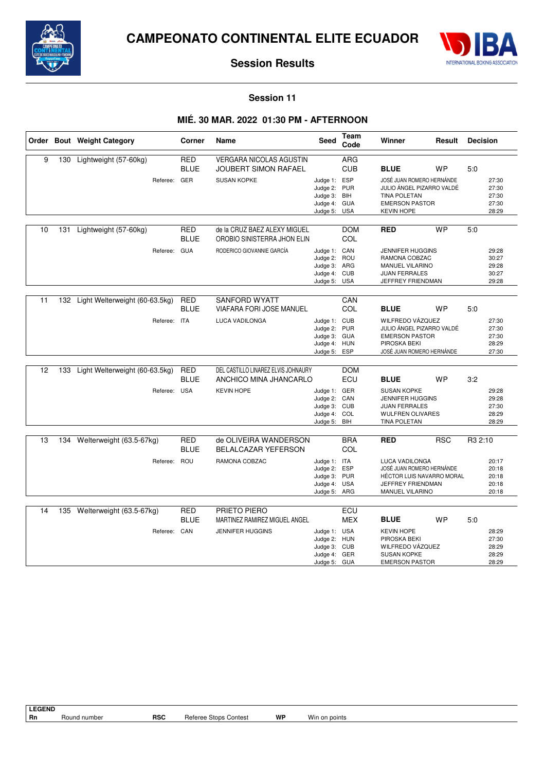



### **Session 11**

# **MIÉ. 30 MAR. 2022 01:30 PM - AFTERNOON**

|    |     | Order Bout Weight Category                     | Corner                    | Name                                                                                     | <b>Seed</b>                                                                  | Team<br>Code                    | Winner                                                                                                                                     | Result     | <b>Decision</b> |                                           |
|----|-----|------------------------------------------------|---------------------------|------------------------------------------------------------------------------------------|------------------------------------------------------------------------------|---------------------------------|--------------------------------------------------------------------------------------------------------------------------------------------|------------|-----------------|-------------------------------------------|
| 9  | 130 | Lightweight (57-60kg)<br>Referee: GER          | <b>RED</b><br><b>BLUE</b> | <b>VERGARA NICOLAS AGUSTIN</b><br><b>JOUBERT SIMON RAFAEL</b><br><b>SUSAN KOPKE</b>      | Judge 1: ESP<br>Judge 2: PUR<br>Judge 3: BIH<br>Judge 4: GUA<br>Judge 5: USA | <b>ARG</b><br><b>CUB</b>        | <b>BLUE</b><br>JOSÉ JUAN ROMERO HERNÁNDE<br>JULIO ÁNGEL PIZARRO VALDÉ<br><b>TINA POLETAN</b><br><b>EMERSON PASTOR</b><br><b>KEVIN HOPE</b> | <b>WP</b>  | 5:0             | 27:30<br>27:30<br>27:30<br>27:30<br>28:29 |
| 10 | 131 | Lightweight (57-60kg)<br>Referee: GUA          | <b>RED</b><br><b>BLUE</b> | de la CRUZ BAEZ ALEXY MIGUEL<br>OROBIO SINISTERRA JHON ELIN<br>RODERICO GIOVANNIE GARCÍA | Judge 1: CAN<br>Judge 2: ROU<br>Judge 3: ARG<br>Judge 4: CUB<br>Judge 5:     | <b>DOM</b><br>COL<br><b>USA</b> | <b>RED</b><br><b>JENNIFER HUGGINS</b><br>RAMONA COBZAC<br><b>MANUEL VILARINO</b><br><b>JUAN FERRALES</b><br>JEFFREY FRIENDMAN              | <b>WP</b>  | 5:0             | 29:28<br>30:27<br>29:28<br>30:27<br>29:28 |
| 11 | 132 | Light Welterweight (60-63.5kg)<br>Referee: ITA | <b>RED</b><br><b>BLUE</b> | <b>SANFORD WYATT</b><br><b>VIAFARA FORI JOSE MANUEL</b><br>LUCA VADILONGA                | Judge 1: CUB<br>Judge 2: PUR<br>Judge 3: GUA<br>Judge 4: HUN<br>Judge 5:     | CAN<br>COL<br><b>ESP</b>        | <b>BLUE</b><br>WILFREDO VÁZQUEZ<br>JULIO ÁNGEL PIZARRO VALDÉ<br><b>EMERSON PASTOR</b><br>PIROSKA BEKI<br>JOSÉ JUAN ROMERO HERNÁNDE         | <b>WP</b>  | 5:0             | 27:30<br>27:30<br>27:30<br>28:29<br>27:30 |
| 12 | 133 | Light Welterweight (60-63.5kg)<br>Referee: USA | <b>RED</b><br><b>BLUE</b> | DEL CASTILLO LINAREZ ELVIS JOHNAURY<br>ANCHICO MINA JHANCARLO<br><b>KEVIN HOPE</b>       | Judge 1: GER<br>Judge 2: CAN<br>Judge 3: CUB<br>Judge 4: COL<br>Judge 5: BIH | <b>DOM</b><br>ECU               | <b>BLUE</b><br><b>SUSAN KOPKE</b><br><b>JENNIFER HUGGINS</b><br><b>JUAN FERRALES</b><br><b>WULFREN OLIVARES</b><br>TINA POLETAN            | <b>WP</b>  | 3:2             | 29:28<br>29:28<br>27:30<br>28:29<br>28:29 |
| 13 | 134 | Welterweight (63.5-67kg)<br>Referee: ROU       | <b>RED</b><br><b>BLUE</b> | de OLIVEIRA WANDERSON<br>BELALCAZAR YEFERSON<br>RAMONA COBZAC                            | Judge 1: ITA<br>Judge 2: ESP<br>Judge 3: PUR<br>Judge 4: USA<br>Judge 5: ARG | <b>BRA</b><br>COL               | <b>RED</b><br>LUCA VADILONGA<br>JOSÉ JUAN ROMERO HERNÁNDE<br>HÉCTOR LUIS NAVARRO MORAL<br>JEFFREY FRIENDMAN<br>MANUEL VILARINO             | <b>RSC</b> | R3 2:10         | 20:17<br>20:18<br>20:18<br>20:18<br>20:18 |
| 14 |     | 135 Welterweight (63.5-67kg)<br>Referee: CAN   | <b>RED</b><br><b>BLUE</b> | PRIETO PIERO<br>MARTINEZ RAMIREZ MIGUEL ANGEL<br><b>JENNIFER HUGGINS</b>                 | Judge 1: USA<br>Judge 2: HUN<br>Judge 3: CUB<br>Judge 4: GER<br>Judge 5: GUA | ECU<br><b>MEX</b>               | <b>BLUE</b><br><b>KEVIN HOPE</b><br>PIROSKA BEKI<br>WILFREDO VÁZQUEZ<br><b>SUSAN KOPKE</b><br><b>EMERSON PASTOR</b>                        | <b>WP</b>  | 5:0             | 28:29<br>27:30<br>28:29<br>28:29<br>28:29 |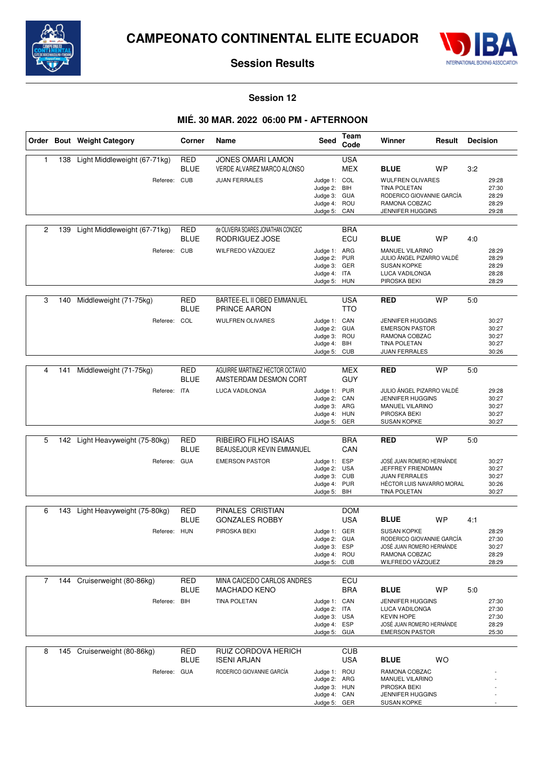



### **Session 12**

# **MIÉ. 30 MAR. 2022 06:00 PM - AFTERNOON**

|                |     | Order Bout Weight Category                   | Corner                    | Name                                                                           | <b>Seed</b>                                                                  | Team<br>Code             | Winner                                                                                                                              |           | Result<br><b>Decision</b> |                                           |
|----------------|-----|----------------------------------------------|---------------------------|--------------------------------------------------------------------------------|------------------------------------------------------------------------------|--------------------------|-------------------------------------------------------------------------------------------------------------------------------------|-----------|---------------------------|-------------------------------------------|
| $\mathbf{1}$   | 138 | Light Middleweight (67-71kg)<br>Referee: CUB | <b>RED</b><br><b>BLUE</b> | <b>JONES OMARI LAMON</b><br>VERDE ALVAREZ MARCO ALONSO<br><b>JUAN FERRALES</b> | Judge 1: COL<br>Judge 2: BIH<br>Judge 3: GUA<br>Judge 4: ROU                 | <b>USA</b><br><b>MEX</b> | <b>BLUE</b><br><b>WULFREN OLIVARES</b><br><b>TINA POLETAN</b><br>RODERICO GIOVANNIE GARCÍA<br>RAMONA COBZAC                         | WP        | 3:2                       | 29:28<br>27:30<br>28:29<br>28:29          |
|                |     |                                              |                           |                                                                                | Judge 5:                                                                     | CAN                      | <b>JENNIFER HUGGINS</b>                                                                                                             |           |                           | 29:28                                     |
| $\overline{c}$ | 139 | Light Middleweight (67-71kg)                 | <b>RED</b><br><b>BLUE</b> | de OLIVEIRA SOARES JONATHAN CONCEIC<br>RODRIGUEZ JOSE                          |                                                                              | <b>BRA</b><br>ECU        | <b>BLUE</b>                                                                                                                         | WP        | 4:0                       |                                           |
|                |     | Referee: CUB                                 |                           | WILFREDO VÁZQUEZ                                                               | Judge 1: ARG<br>Judge 2:<br>Judge 3: GER<br>Judge 4: ITA<br>Judge 5: HUN     | <b>PUR</b>               | <b>MANUEL VILARINO</b><br>JULIO ÁNGEL PIZARRO VALDÉ<br><b>SUSAN KOPKE</b><br>LUCA VADILONGA<br>PIROSKA BEKI                         |           |                           | 28:29<br>28:29<br>28:29<br>28:28<br>28:29 |
| 3              | 140 | Middleweight (71-75kg)                       | <b>RED</b><br><b>BLUE</b> | BARTEE-EL II OBED EMMANUEL<br><b>PRINCE AARON</b>                              |                                                                              | <b>USA</b><br><b>TTO</b> | <b>RED</b>                                                                                                                          | <b>WP</b> | 5:0                       |                                           |
|                |     | Referee:                                     | COL                       | <b>WULFREN OLIVARES</b>                                                        | Judge 1: CAN<br>Judge 2: GUA<br>Judge 3: ROU<br>Judge 4:<br>Judge 5: CUB     | BIH                      | <b>JENNIFER HUGGINS</b><br><b>EMERSON PASTOR</b><br>RAMONA COBZAC<br><b>TINA POLETAN</b><br><b>JUAN FERRALES</b>                    |           |                           | 30:27<br>30:27<br>30:27<br>30:27<br>30:26 |
| 4              | 141 | Middleweight (71-75kg)                       | <b>RED</b><br><b>BLUE</b> | AGUIRRE MARTINEZ HECTOR OCTAVIO<br>AMSTERDAM DESMON CORT                       |                                                                              | <b>MEX</b><br><b>GUY</b> | <b>RED</b>                                                                                                                          | <b>WP</b> | 5:0                       |                                           |
|                |     | Referee: ITA                                 |                           | <b>LUCA VADILONGA</b>                                                          | Judge 1: PUR<br>Judge 2:<br>Judge 3: ARG<br>Judge 4: HUN<br>Judge 5: GER     | CAN                      | JULIO ÁNGEL PIZARRO VALDÉ<br><b>JENNIFER HUGGINS</b><br>MANUEL VILARINO<br>PIROSKA BEKI<br><b>SUSAN KOPKE</b>                       |           |                           | 29:28<br>30:27<br>30:27<br>30:27<br>30:27 |
| 5              | 142 | Light Heavyweight (75-80kg)                  | <b>RED</b>                | RIBEIRO FILHO ISAIAS                                                           |                                                                              | <b>BRA</b>               | <b>RED</b>                                                                                                                          | <b>WP</b> | 5:0                       |                                           |
|                |     | Referee: GUA                                 | <b>BLUE</b>               | <b>BEAUSEJOUR KEVIN EMMANUEL</b><br><b>EMERSON PASTOR</b>                      | Judge 1: ESP<br>Judge 2: USA<br>Judge 3: CUB<br>Judge 4: PUR<br>Judge 5:     | CAN<br>BIH               | JOSÉ JUAN ROMERO HERNÁNDE<br>JEFFREY FRIENDMAN<br><b>JUAN FERRALES</b><br>HÉCTOR LUIS NAVARRO MORAL<br>TINA POLETAN                 |           |                           | 30:27<br>30:27<br>30:27<br>30:26<br>30:27 |
| 6              | 143 | Light Heavyweight (75-80kg)                  | <b>RED</b>                | PINALES CRISTIAN                                                               |                                                                              | <b>DOM</b>               |                                                                                                                                     |           |                           |                                           |
|                |     | Referee: HUN                                 | <b>BLUE</b>               | <b>GONZALES ROBBY</b><br>PIROSKA BEKI                                          | Judge 1: GER<br>Judge 2:<br>Judge 3: ESP<br>Judge 4: ROU<br>Judge 5: CUB     | <b>USA</b><br><b>GUA</b> | <b>BLUE</b><br><b>SUSAN KOPKE</b><br>RODERICO GIOVANNIE GARCÍA<br>JOSÉ JUAN ROMERO HERNÁNDE<br>RAMONA COBZAC<br>WILFREDO VÁZQUEZ    | <b>WP</b> | 4:1                       | 28:29<br>27:30<br>30:27<br>28:29<br>28:29 |
| 7              |     | 144 Cruiserweight (80-86kg)                  | RED                       | MINA CAICEDO CARLOS ANDRES                                                     |                                                                              | ECU                      |                                                                                                                                     |           |                           |                                           |
|                |     | Referee: BIH                                 | <b>BLUE</b>               | <b>MACHADO KENO</b><br>TINA POLETAN                                            | Judge 1: CAN<br>Judge 2: ITA<br>Judge 3: USA<br>Judge 4: ESP<br>Judge 5: GUA | <b>BRA</b>               | <b>BLUE</b><br><b>JENNIFER HUGGINS</b><br>LUCA VADILONGA<br><b>KEVIN HOPE</b><br>JOSÉ JUAN ROMERO HERNÁNDE<br><b>EMERSON PASTOR</b> | <b>WP</b> | 5:0                       | 27:30<br>27:30<br>27:30<br>28:29<br>25:30 |
| 8              | 145 | Cruiserweight (80-86kg)                      | <b>RED</b>                | RUIZ CORDOVA HERICH                                                            |                                                                              | <b>CUB</b>               |                                                                                                                                     |           |                           |                                           |
|                |     | Referee: GUA                                 | <b>BLUE</b>               | <b>ISENI ARJAN</b><br>RODERICO GIOVANNIE GARCÍA                                | Judge 1: ROU<br>Judge 2: ARG<br>Judge 3: HUN<br>Judge 4: CAN<br>Judge 5: GER | <b>USA</b>               | <b>BLUE</b><br>RAMONA COBZAC<br>MANUEL VILARINO<br>PIROSKA BEKI<br><b>JENNIFER HUGGINS</b><br><b>SUSAN KOPKE</b>                    | <b>WO</b> |                           |                                           |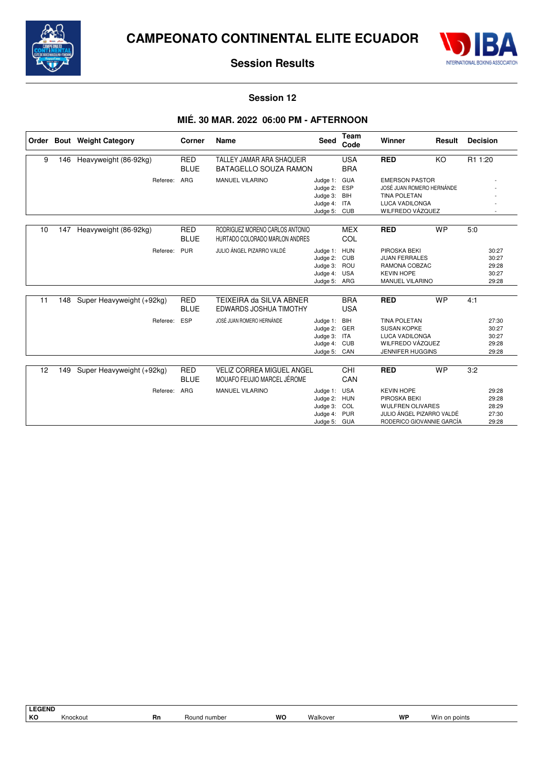



### **Session 12**

## **MIÉ. 30 MAR. 2022 06:00 PM - AFTERNOON**

| Order |     | <b>Bout</b> Weight Category | Corner                    | Name                                                              | Seed                                                                         | Team<br>Code             | Winner                                                                                                                 | Result    | <b>Decision</b> |                                           |
|-------|-----|-----------------------------|---------------------------|-------------------------------------------------------------------|------------------------------------------------------------------------------|--------------------------|------------------------------------------------------------------------------------------------------------------------|-----------|-----------------|-------------------------------------------|
| 9     | 146 | Heavyweight (86-92kg)       | <b>RED</b>                | TALLEY JAMAR ARA SHAQUEIR                                         |                                                                              | <b>USA</b>               | <b>RED</b>                                                                                                             | KO        | R1 1:20         |                                           |
|       |     |                             | <b>BLUE</b>               | <b>BATAGELLO SOUZA RAMON</b>                                      |                                                                              | <b>BRA</b>               |                                                                                                                        |           |                 |                                           |
|       |     | Referee:                    | ARG                       | <b>MANUEL VILARINO</b>                                            | Judge 1: GUA<br>Judge 2: ESP<br>Judge 3: BIH<br>Judge 4: ITA<br>Judge 5: CUB |                          | <b>EMERSON PASTOR</b><br>JOSÉ JUAN ROMERO HERNÁNDE<br><b>TINA POLETAN</b><br><b>LUCA VADILONGA</b><br>WILFREDO VÁZQUEZ |           |                 |                                           |
| 10    | 147 | Heavyweight (86-92kg)       | <b>RED</b><br><b>BLUE</b> | RODRIGUEZ MORENO CARLOS ANTONIO<br>HURTADO COLORADO MARLON ANDRES |                                                                              | <b>MEX</b><br>COL        | <b>RED</b>                                                                                                             | <b>WP</b> | 5:0             |                                           |
|       |     | Referee:                    | <b>PUR</b>                | JULIO ÁNGEL PIZARRO VALDÉ                                         | Judge 1: HUN<br>Judge 2: CUB<br>Judge 3: ROU<br>Judge 4: USA<br>Judge 5: ARG |                          | PIROSKA BEKI<br><b>JUAN FERRALES</b><br>RAMONA COBZAC<br><b>KEVIN HOPE</b><br>MANUEL VILARINO                          |           |                 | 30:27<br>30:27<br>29:28<br>30:27<br>29:28 |
| 11    | 148 | Super Heavyweight (+92kg)   | <b>RED</b><br><b>BLUE</b> | TEIXEIRA da SILVA ABNER<br>EDWARDS JOSHUA TIMOTHY                 |                                                                              | <b>BRA</b><br><b>USA</b> | <b>RED</b>                                                                                                             | <b>WP</b> | 4:1             |                                           |
|       |     | Referee:                    | <b>ESP</b>                | JOSÉ JUAN ROMERO HERNÁNDE                                         | Judge 1: BIH<br>Judge 2: GER<br>Judge 3: ITA<br>Judge 4: CUB<br>Judge 5: CAN |                          | <b>TINA POLETAN</b><br><b>SUSAN KOPKE</b><br>LUCA VADILONGA<br>WILFREDO VÁZQUEZ<br><b>JENNIFER HUGGINS</b>             |           |                 | 27:30<br>30:27<br>30:27<br>29:28<br>29:28 |
| 12    | 149 | Super Heavyweight (+92kg)   | <b>RED</b><br><b>BLUE</b> | <b>VELIZ CORREA MIGUEL ANGEL</b><br>MOUAFO FEUJIO MARCEL JÉROME   |                                                                              | CHI<br>CAN               | <b>RED</b>                                                                                                             | <b>WP</b> | 3:2             |                                           |
|       |     | Referee:                    | <b>ARG</b>                | <b>MANUEL VILARINO</b>                                            | Judge 1: USA<br>Judge 2: HUN<br>Judge 3: COL<br>Judge 4: PUR<br>Judge 5: GUA |                          | <b>KEVIN HOPE</b><br>PIROSKA BEKI<br><b>WULFREN OLIVARES</b><br>JULIO ÁNGEL PIZARRO VALDÉ<br>RODERICO GIOVANNIE GARCÍA |           |                 | 29:28<br>29:28<br>28:29<br>27:30<br>29:28 |

**LEGEND** Knockout **Rn** Round number **WO** Walkover **WP** Win on points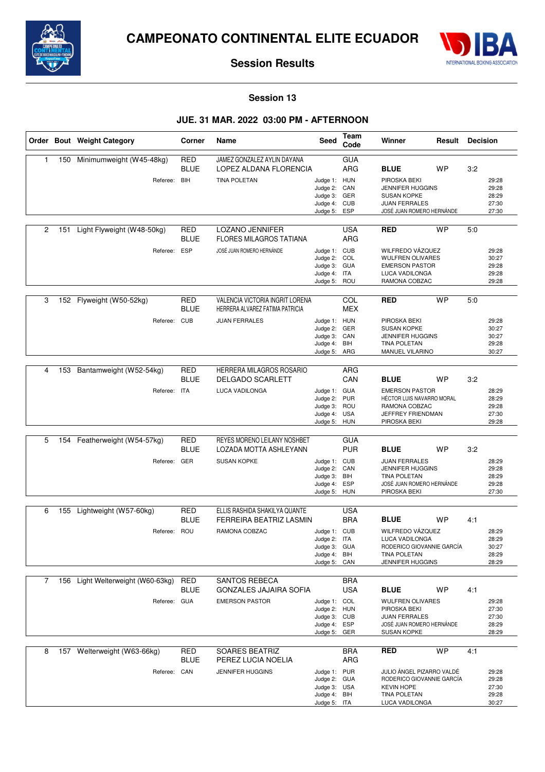



### **Session 13**

## **JUE. 31 MAR. 2022 03:00 PM - AFTERNOON**

|                |     | Order Bout Weight Category                    | Corner                           | Name                                                                                       | Seed                                                                         | Team<br>Code                    | Winner                                                                                                                             | Result    | <b>Decision</b> |                                           |
|----------------|-----|-----------------------------------------------|----------------------------------|--------------------------------------------------------------------------------------------|------------------------------------------------------------------------------|---------------------------------|------------------------------------------------------------------------------------------------------------------------------------|-----------|-----------------|-------------------------------------------|
| 1              | 150 | Minimumweight (W45-48kg)<br>Referee: BIH      | <b>RED</b><br><b>BLUE</b>        | JAMEZ GONZALEZ AYLIN DAYANA<br>LOPEZ ALDANA FLORENCIA<br><b>TINA POLETAN</b>               | Judge 1: HUN<br>Judge 2:<br>Judge 3: GER<br>Judge 4: CUB<br>Judge 5:         | <b>GUA</b><br>ARG<br>CAN<br>ESP | <b>BLUE</b><br>PIROSKA BEKI<br><b>JENNIFER HUGGINS</b><br><b>SUSAN KOPKE</b><br><b>JUAN FERRALES</b><br>JOSÉ JUAN ROMERO HERNÁNDE  | <b>WP</b> | 3:2             | 29:28<br>29:28<br>28:29<br>27:30<br>27:30 |
| 2              | 151 | Light Flyweight (W48-50kg)<br>Referee: ESP    | <b>RED</b><br><b>BLUE</b>        | <b>LOZANO JENNIFER</b><br><b>FLORES MILAGROS TATIANA</b><br>JOSÉ JUAN ROMERO HERNÁNDE      | Judge 1: CUB<br>Judge 2: COL<br>Judge 3: GUA<br>Judge 4: ITA<br>Judge 5: ROU | <b>USA</b><br>ARG               | <b>RED</b><br>WILFREDO VÁZQUEZ<br><b>WULFREN OLIVARES</b><br><b>EMERSON PASTOR</b><br>LUCA VADILONGA<br>RAMONA COBZAC              | <b>WP</b> | 5:0             | 29:28<br>30:27<br>29:28<br>29:28<br>29:28 |
| 3              | 152 | Flyweight (W50-52kg)<br>Referee:              | RED<br><b>BLUE</b><br><b>CUB</b> | VALENCIA VICTORIA INGRIT LORENA<br>HERRERA ALVAREZ FATIMA PATRICIA<br><b>JUAN FERRALES</b> | Judge 1: HUN<br>Judge 2: GER<br>Judge 3: CAN<br>Judge 4:<br>Judge 5: ARG     | COL<br><b>MEX</b><br>BIH        | <b>RED</b><br>PIROSKA BEKI<br><b>SUSAN KOPKE</b><br><b>JENNIFER HUGGINS</b><br><b>TINA POLETAN</b><br>MANUEL VILARINO              | <b>WP</b> | 5:0             | 29:28<br>30:27<br>30:27<br>29:28<br>30:27 |
| 4              | 153 | Bantamweight (W52-54kg)<br>Referee: ITA       | <b>RED</b><br><b>BLUE</b>        | HERRERA MILAGROS ROSARIO<br><b>DELGADO SCARLETT</b><br>LUCA VADILONGA                      | Judge 1: GUA<br>Judge 2:<br>Judge 3: ROU<br>Judge 4: USA<br>Judge 5: HUN     | ARG<br>CAN<br>PUR               | <b>BLUE</b><br><b>EMERSON PASTOR</b><br>HÉCTOR LUIS NAVARRO MORAL<br>RAMONA COBZAC<br>JEFFREY FRIENDMAN<br>PIROSKA BEKI            | <b>WP</b> | 3:2             | 28:29<br>28:29<br>29:28<br>27:30<br>29:28 |
| 5              | 154 | Featherweight (W54-57kg)<br>Referee: GER      | <b>RED</b><br><b>BLUE</b>        | REYES MORENO LEILANY NOSHBET<br>LOZADA MOTTA ASHLEYANN<br><b>SUSAN KOPKE</b>               | Judge 1: CUB<br>Judge 2: CAN<br>Judge 3: BIH<br>Judge 4: ESP<br>Judge 5: HUN | <b>GUA</b><br><b>PUR</b>        | <b>BLUE</b><br><b>JUAN FERRALES</b><br><b>JENNIFER HUGGINS</b><br><b>TINA POLETAN</b><br>JOSÉ JUAN ROMERO HERNÁNDE<br>PIROSKA BEKI | <b>WP</b> | 3:2             | 28:29<br>29:28<br>28:29<br>29:28<br>27:30 |
| 6              | 155 | Lightweight (W57-60kg)<br>Referee: ROU        | RED<br><b>BLUE</b>               | ELLIS RASHIDA SHAKILYA QUANTE<br>FERREIRA BEATRIZ LASMIN<br>RAMONA COBZAC                  | Judge 1: CUB<br>Judge 2: ITA<br>Judge 3: GUA<br>Judge 4: BIH<br>Judge 5: CAN | <b>USA</b><br><b>BRA</b>        | <b>BLUE</b><br>WILFREDO VÁZQUEZ<br>LUCA VADILONGA<br>RODERICO GIOVANNIE GARCÍA<br><b>TINA POLETAN</b><br>JENNIFER HUGGINS          | <b>WP</b> | 4:1             | 28:29<br>28:29<br>30:27<br>28:29<br>28:29 |
| $\overline{7}$ | 156 | Light Welterweight (W60-63kg)<br>Referee: GUA | RED<br><b>BLUE</b>               | <b>SANTOS REBECA</b><br><b>GONZALES JAJAIRA SOFIA</b><br><b>EMERSON PASTOR</b>             | Judge 1: COL<br>Judge 2: HUN<br>Judge 3: CUB<br>Judge 4: ESP<br>Judge 5: GER | <b>BRA</b><br><b>USA</b>        | <b>BLUE</b><br><b>WULFREN OLIVARES</b><br>PIROSKA BEKI<br><b>JUAN FERRALES</b><br>JOSÉ JUAN ROMERO HERNÁNDE<br><b>SUSAN KOPKE</b>  | <b>WP</b> | 4:1             | 29:28<br>27:30<br>27:30<br>28:29<br>28:29 |
| 8              |     | 157 Welterweight (W63-66kg)<br>Referee: CAN   | RED<br>BLUE                      | <b>SOARES BEATRIZ</b><br>PEREZ LUCIA NOELIA<br><b>JENNIFER HUGGINS</b>                     | Judge 1: PUR<br>Judge 2: GUA<br>Judge 3: USA<br>Judge 4: BIH<br>Judge 5: ITA | <b>BRA</b><br>ARG               | <b>RED</b><br>JULIO ÁNGEL PIZARRO VALDÉ<br>RODERICO GIOVANNIE GARCÍA<br><b>KEVIN HOPE</b><br>TINA POLETAN<br>LUCA VADILONGA        | <b>WP</b> | 4:1             | 29:28<br>29:28<br>27:30<br>29:28<br>30:27 |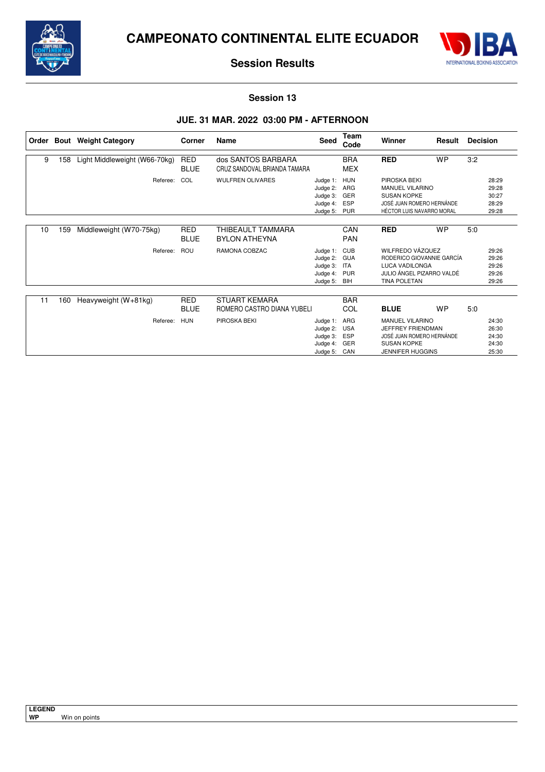



### **Session 13**

## **JUE. 31 MAR. 2022 03:00 PM - AFTERNOON**

|    |     | Order Bout Weight Category    | Corner                    | Name                                               | <b>Seed</b>                                                      | Team<br>Code                                  | Winner<br>Result                                                                                                           |           | <b>Decision</b> |                                           |
|----|-----|-------------------------------|---------------------------|----------------------------------------------------|------------------------------------------------------------------|-----------------------------------------------|----------------------------------------------------------------------------------------------------------------------------|-----------|-----------------|-------------------------------------------|
| 9  | 158 | Light Middleweight (W66-70kg) | <b>RED</b><br><b>BLUE</b> | dos SANTOS BARBARA<br>CRUZ SANDOVAL BRIANDA TAMARA |                                                                  | <b>BRA</b><br><b>MEX</b>                      | <b>RED</b>                                                                                                                 | <b>WP</b> | 3:2             |                                           |
|    |     | Referee:                      | COL                       | <b>WULFREN OLIVARES</b>                            | Judge 1: HUN<br>Judge 2:<br>Judge 3:<br>Judge 4:<br>Judge 5: PUR | ARG<br>GER<br><b>ESP</b>                      | PIROSKA BEKI<br><b>MANUEL VILARINO</b><br><b>SUSAN KOPKE</b><br>JOSÉ JUAN ROMERO HERNÁNDE<br>HÉCTOR LUIS NAVARRO MORAL     |           |                 | 28:29<br>29:28<br>30:27<br>28:29<br>29:28 |
| 10 | 159 | Middleweight (W70-75kg)       | <b>RED</b><br><b>BLUE</b> | THIBEAULT TAMMARA<br><b>BYLON ATHEYNA</b>          |                                                                  | CAN<br><b>PAN</b>                             | <b>RED</b><br><b>WP</b>                                                                                                    |           | 5:0             |                                           |
|    |     | Referee:                      | ROU                       | RAMONA COBZAC                                      | Judge 1: CUB<br>Judge 2:<br>Judge 3:<br>Judge 4:<br>Judge 5:     | <b>GUA</b><br><b>ITA</b><br><b>PUR</b><br>BIH | WILFREDO VÁZOUEZ<br>RODERICO GIOVANNIE GARCÍA<br><b>LUCA VADILONGA</b><br>JULIO ÁNGEL PIZARRO VALDÉ<br><b>TINA POLETAN</b> |           |                 | 29:26<br>29:26<br>29:26<br>29:26<br>29:26 |
| 11 | 160 | Heavyweight $(W+81kg)$        | <b>RED</b><br><b>BLUE</b> | <b>STUART KEMARA</b><br>ROMERO CASTRO DIANA YUBELI |                                                                  | <b>BAR</b><br>COL                             | <b>BLUE</b>                                                                                                                | <b>WP</b> | 5:0             |                                           |
|    |     | Referee:                      | <b>HUN</b>                | PIROSKA BEKI                                       | Judge 1:<br>Judge 2: USA<br>Judge 3:<br>Judge 4:<br>Judge 5:     | ARG<br>ESP<br>GER<br>CAN                      | <b>MANUEL VILARINO</b><br>JEFFREY FRIENDMAN<br>JOSÉ JUAN ROMERO HERNÁNDE<br><b>SUSAN KOPKE</b><br><b>JENNIFER HUGGINS</b>  |           |                 | 24:30<br>26:30<br>24:30<br>24:30<br>25:30 |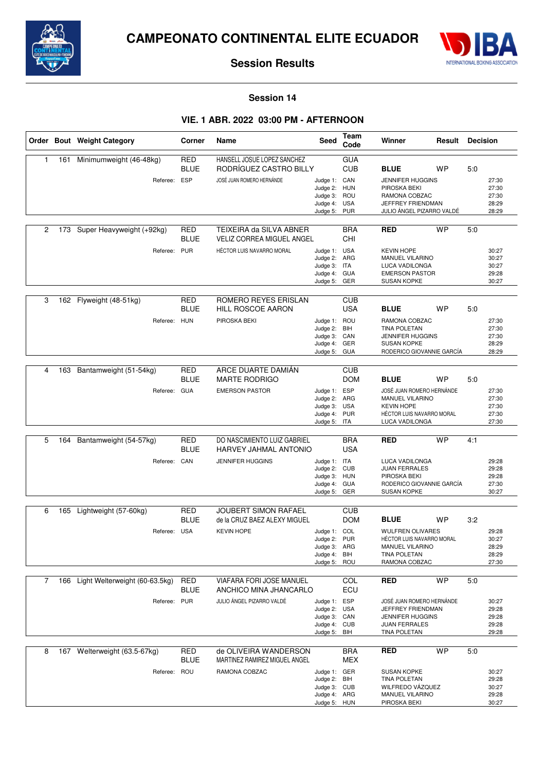



### **Session 14**

### **VIE. 1 ABR. 2022 03:00 PM - AFTERNOON**

|   |     | Order Bout Weight Category         | Corner                    | <b>Name</b>                                               | Seed                                                                         | Team<br>Code             | Winner<br>Result                                                                                                        |           | <b>Decision</b> |                                           |
|---|-----|------------------------------------|---------------------------|-----------------------------------------------------------|------------------------------------------------------------------------------|--------------------------|-------------------------------------------------------------------------------------------------------------------------|-----------|-----------------|-------------------------------------------|
| 1 | 161 | Minimumweight (46-48kg)            | <b>RED</b><br><b>BLUE</b> | HANSELL JOSUE LOPEZ SANCHEZ<br>RODRÍGUEZ CASTRO BILLY     |                                                                              | <b>GUA</b><br><b>CUB</b> | <b>BLUE</b>                                                                                                             | <b>WP</b> | 5:0             |                                           |
|   |     | Referee: ESP                       |                           | JOSÉ JUAN ROMERO HERNÁNDE                                 | Judge 1: CAN<br>Judge 2: HUN<br>Judge 3:<br>Judge 4: USA<br>Judge 5:         | ROU<br><b>PUR</b>        | <b>JENNIFER HUGGINS</b><br>PIROSKA BEKI<br>RAMONA COBZAC<br>JEFFREY FRIENDMAN<br>JULIO ÁNGEL PIZARRO VALDÉ              |           |                 | 27:30<br>27:30<br>27:30<br>28:29<br>28:29 |
| 2 | 173 | Super Heavyweight (+92kg)          | RED<br><b>BLUE</b>        | TEIXEIRA da SILVA ABNER<br>VELIZ CORREA MIGUEL ANGEL      |                                                                              | <b>BRA</b><br>CHI        | <b>RED</b>                                                                                                              | <b>WP</b> | 5:0             |                                           |
|   |     | Referee: PUR                       |                           | HÉCTOR LUIS NAVARRO MORAL                                 | Judge 1: USA<br>Judge 2: ARG<br>Judge 3: ITA<br>Judge 4: GUA<br>Judge 5: GER |                          | <b>KEVIN HOPE</b><br><b>MANUEL VILARINO</b><br>LUCA VADILONGA<br><b>EMERSON PASTOR</b><br><b>SUSAN KOPKE</b>            |           |                 | 30:27<br>30:27<br>30:27<br>29:28<br>30:27 |
| 3 |     | 162 Flyweight (48-51kg)            | <b>RED</b><br><b>BLUE</b> | ROMERO REYES ERISLAN<br><b>HILL ROSCOE AARON</b>          |                                                                              | <b>CUB</b><br><b>USA</b> | <b>BLUE</b>                                                                                                             | <b>WP</b> | 5:0             |                                           |
|   |     | Referee:                           | HUN                       | PIROSKA BEKI                                              | Judge 1: ROU<br>Judge 2: BIH<br>Judge 3: CAN<br>Judge 4: GER<br>Judge 5: GUA |                          | RAMONA COBZAC<br><b>TINA POLETAN</b><br><b>JENNIFER HUGGINS</b><br><b>SUSAN KOPKE</b><br>RODERICO GIOVANNIE GARCÍA      |           |                 | 27:30<br>27:30<br>27:30<br>28:29<br>28:29 |
|   |     |                                    |                           |                                                           |                                                                              |                          |                                                                                                                         |           |                 |                                           |
| 4 | 163 | Bantamweight (51-54kg)             | <b>RED</b><br><b>BLUE</b> | ARCE DUARTE DAMIAN<br><b>MARTE RODRIGO</b>                |                                                                              | <b>CUB</b><br><b>DOM</b> | <b>BLUE</b>                                                                                                             | <b>WP</b> | 5:0             |                                           |
|   |     | Referee: GUA                       |                           | <b>EMERSON PASTOR</b>                                     | Judge 1: ESP<br>Judge 2: ARG<br>Judge 3:<br>Judge 4: PUR<br>Judge 5: ITA     | <b>USA</b>               | JOSÉ JUAN ROMERO HERNÁNDE<br><b>MANUEL VILARINO</b><br><b>KEVIN HOPE</b><br>HÉCTOR LUIS NAVARRO MORAL<br>LUCA VADILONGA |           |                 | 27:30<br>27:30<br>27:30<br>27:30<br>27:30 |
| 5 | 164 | Bantamweight (54-57kg)             | <b>RED</b>                | DO NASCIMIENTO LUIZ GABRIEL                               |                                                                              | <b>BRA</b>               | <b>RED</b>                                                                                                              | <b>WP</b> | 4:1             |                                           |
|   |     |                                    | <b>BLUE</b>               | HARVEY JAHMAL ANTONIO                                     |                                                                              | <b>USA</b>               |                                                                                                                         |           |                 |                                           |
|   |     | Referee: CAN                       |                           | <b>JENNIFER HUGGINS</b>                                   | Judge 1: ITA<br>Judge 2: CUB<br>Judge 3:<br>Judge 4: GUA<br>Judge 5: GER     | <b>HUN</b>               | LUCA VADILONGA<br><b>JUAN FERRALES</b><br>PIROSKA BEKI<br>RODERICO GIOVANNIE GARCÍA<br><b>SUSAN KOPKE</b>               |           |                 | 29:28<br>29:28<br>29:28<br>27:30<br>30:27 |
| 6 |     | Lightweight (57-60kg)              | <b>RED</b>                | <b>JOUBERT SIMON RAFAEL</b>                               |                                                                              | <b>CUB</b>               |                                                                                                                         |           |                 |                                           |
|   | 165 |                                    | <b>BLUE</b>               | de la CRUZ BAEZ ALEXY MIGUEL                              |                                                                              | <b>DOM</b>               | <b>BLUE</b>                                                                                                             | <b>WP</b> | 3:2             |                                           |
|   |     | Referee: USA                       |                           | <b>KEVIN HOPE</b>                                         | Judge 1: COL<br>Judge 2:<br>Judge 3: ARG<br>Judge 4: BIH<br>Judge 5: ROU     | <b>PUR</b>               | <b>WULFREN OLIVARES</b><br>HÉCTOR LUIS NAVARRO MORAL<br>MANUEL VILARINO<br>TINA POLETAN<br>RAMONA COBZAC                |           |                 | 29:28<br>30:27<br>28:29<br>28:29<br>27:30 |
| 7 |     | 166 Light Welterweight (60-63.5kg) | <b>RED</b><br><b>BLUE</b> | <b>VIAFARA FORI JOSE MANUEL</b><br>ANCHICO MINA JHANCARLO |                                                                              | COL<br>ECU               | <b>RED</b>                                                                                                              | <b>WP</b> | 5:0             |                                           |
|   |     | Referee: PUR                       |                           | JULIO ÁNGEL PIZARRO VALDÉ                                 | Judge 1: ESP<br>Judge 2: USA<br>Judge 3: CAN<br>Judge 4: CUB<br>Judge 5:     | BIH                      | JOSÉ JUAN ROMERO HERNÁNDE<br>JEFFREY FRIENDMAN<br><b>JENNIFER HUGGINS</b><br><b>JUAN FERRALES</b><br>TINA POLETAN       |           |                 | 30:27<br>29:28<br>29:28<br>29:28<br>29:28 |
| 8 |     | 167 Welterweight (63.5-67kg)       | <b>RED</b><br><b>BLUE</b> | de OLIVEIRA WANDERSON<br>MARTINEZ RAMIREZ MIGUEL ANGEL    |                                                                              | <b>BRA</b><br>MEX        | <b>RED</b>                                                                                                              | <b>WP</b> | 5:0             |                                           |
|   |     | Referee: ROU                       |                           | RAMONA COBZAC                                             | Judge 1: GER<br>Judge 2: BIH<br>Judge 3: CUB<br>Judge 4: ARG<br>Judge 5: HUN |                          | <b>SUSAN KOPKE</b><br>TINA POLETAN<br>WILFREDO VÁZQUEZ<br>MANUEL VILARINO<br>PIROSKA BEKI                               |           |                 | 30:27<br>29:28<br>30:27<br>29:28<br>30:27 |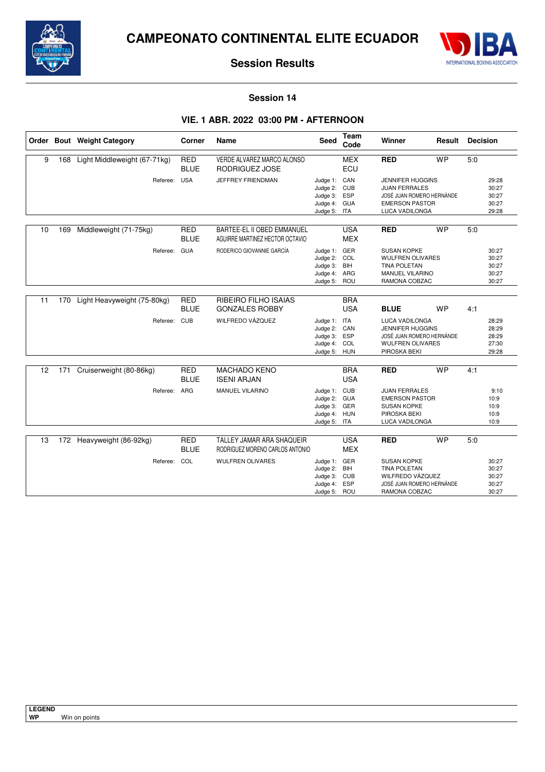



### **Session 14**

### **VIE. 1 ABR. 2022 03:00 PM - AFTERNOON**

|    |     | Order Bout Weight Category   | Corner                    | <b>Name</b>                                                   | <b>Seed</b>                                                                  | Team<br>Code             | Winner                                                                                                                  | Result    | <b>Decision</b> |                                           |
|----|-----|------------------------------|---------------------------|---------------------------------------------------------------|------------------------------------------------------------------------------|--------------------------|-------------------------------------------------------------------------------------------------------------------------|-----------|-----------------|-------------------------------------------|
| 9  | 168 | Light Middleweight (67-71kg) | <b>RED</b><br><b>BLUE</b> | VERDE ALVAREZ MARCO ALONSO<br>RODRIGUEZ JOSE                  |                                                                              | <b>MEX</b><br>ECU        | <b>RED</b>                                                                                                              | <b>WP</b> |                 |                                           |
|    |     | Referee: USA                 |                           | JEFFREY FRIENDMAN                                             | Judge 1: CAN<br>Judge 2: CUB<br>Judge 3: ESP<br>Judge 4: GUA<br>Judge 5: ITA |                          | <b>JENNIFER HUGGINS</b><br><b>JUAN FERRALES</b><br>JOSÉ JUAN ROMERO HERNÁNDE<br><b>EMERSON PASTOR</b><br>LUCA VADILONGA |           |                 | 29:28<br>30:27<br>30:27<br>30:27<br>29:28 |
| 10 | 169 | Middleweight (71-75kg)       | <b>RED</b><br><b>BLUE</b> | BARTEE-EL II OBED EMMANUEL<br>AGUIRRE MARTINEZ HECTOR OCTAVIO |                                                                              | <b>USA</b><br><b>MEX</b> | <b>RED</b>                                                                                                              | <b>WP</b> | 5.0             |                                           |
|    |     | Referee: GUA                 |                           | RODERICO GIOVANNIE GARCÍA                                     | Judge 1: GER<br>Judge 2: COL<br>Judge 3: BIH<br>Judge 4: ARG<br>Judge 5: ROU |                          | <b>SUSAN KOPKE</b><br><b>WULFREN OLIVARES</b><br>TINA POLETAN<br><b>MANUEL VILARINO</b><br>RAMONA COBZAC                |           |                 | 30:27<br>30:27<br>30:27<br>30:27<br>30:27 |
| 11 | 170 | Light Heavyweight (75-80kg)  | <b>RED</b><br><b>BLUE</b> | RIBEIRO FILHO ISAIAS<br><b>GONZALES ROBBY</b>                 |                                                                              | <b>BRA</b><br><b>USA</b> | <b>BLUE</b>                                                                                                             | <b>WP</b> | 4:1             |                                           |
|    |     | Referee: CUB                 |                           | WILFREDO VÁZQUEZ                                              | Judge 1: ITA<br>Judge 2: CAN<br>Judge 3: ESP<br>Judge 4: COL<br>Judge 5: HUN |                          | <b>LUCA VADILONGA</b><br>JENNIFER HUGGINS<br>JOSÉ JUAN ROMERO HERNÁNDE<br><b>WULFREN OLIVARES</b><br>PIROSKA BEKI       |           |                 | 28:29<br>28:29<br>28:29<br>27:30<br>29:28 |
| 12 | 171 | Cruiserweight (80-86kg)      | <b>RED</b><br><b>BLUE</b> | <b>MACHADO KENO</b><br><b>ISENI ARJAN</b>                     |                                                                              | <b>BRA</b><br><b>USA</b> | <b>RED</b>                                                                                                              | <b>WP</b> | 4:1             |                                           |
|    |     | Referee: ARG                 |                           | <b>MANUEL VILARINO</b>                                        | Judge 1: CUB<br>Judge 2: GUA<br>Judge 3: GER<br>Judge 4: HUN<br>Judge 5: ITA |                          | <b>JUAN FERRALES</b><br><b>EMERSON PASTOR</b><br><b>SUSAN KOPKE</b><br>PIROSKA BEKI<br>LUCA VADILONGA                   |           |                 | 9:10<br>10:9<br>10:9<br>10:9<br>10:9      |
| 13 |     | 172 Heavyweight (86-92kg)    | <b>RED</b><br><b>BLUE</b> | TALLEY JAMAR ARA SHAQUEIR<br>RODRIGUEZ MORENO CARLOS ANTONIO  |                                                                              | <b>USA</b><br><b>MEX</b> | <b>RED</b>                                                                                                              | <b>WP</b> | 5.0             |                                           |
|    |     | Referee: COL                 |                           | <b>WULFREN OLIVARES</b>                                       | Judge 1: GER<br>Judge 2:<br>Judge 3: CUB<br>Judge 4: ESP<br>Judge 5: ROU     | BIH                      | <b>SUSAN KOPKE</b><br><b>TINA POLETAN</b><br>WILFREDO VÁZQUEZ<br>JOSÉ JUAN ROMERO HERNÁNDE<br>RAMONA COBZAC             |           |                 | 30:27<br>30:27<br>30:27<br>30:27<br>30:27 |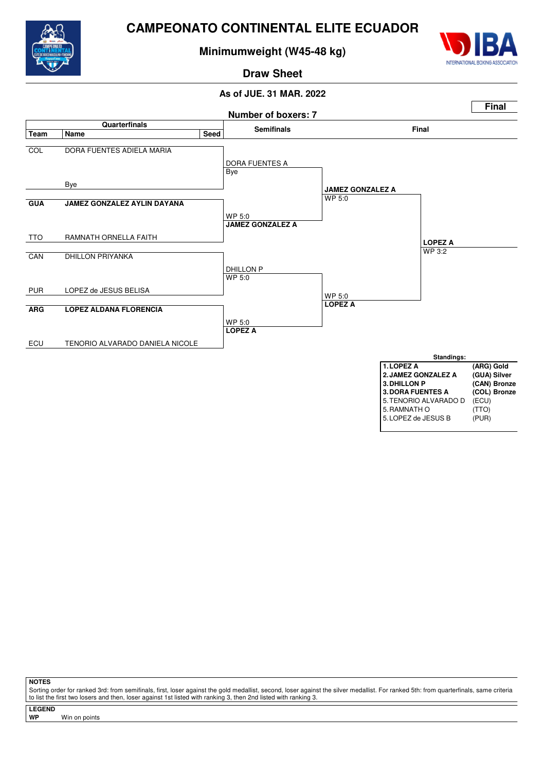

# **Minimumweight (W45-48 kg)**



# **Draw Sheet**

# **As of JUE. 31 MAR. 2022**



**NOTES**

Sorting order for ranked 3rd: from semifinals, first, loser against the gold medallist, second, loser against the silver medallist. For ranked 5th: from quarterfinals, same criteria to list the first two losers and then, loser against 1st listed with ranking 3, then 2nd listed with ranking 3.

**LEGEND**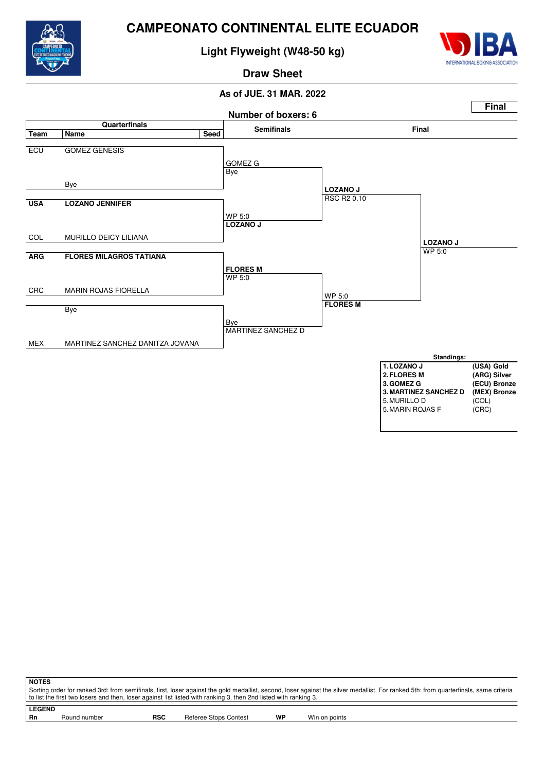

**Light Flyweight (W48-50 kg)**



**Draw Sheet**

# **As of JUE. 31 MAR. 2022**



| <b>NOTES</b>                                                                                                                                                                          |                                                                                                                  |            |                       |    |               |  |  |  |  |  |  |  |
|---------------------------------------------------------------------------------------------------------------------------------------------------------------------------------------|------------------------------------------------------------------------------------------------------------------|------------|-----------------------|----|---------------|--|--|--|--|--|--|--|
| Sorting order for ranked 3rd: from semifinals, first, loser against the gold medallist, second, loser against the silver medallist. For ranked 5th: from quarterfinals, same criteria |                                                                                                                  |            |                       |    |               |  |  |  |  |  |  |  |
|                                                                                                                                                                                       | t o list the first two losers and then, loser against 1st listed with ranking 3, then 2nd listed with ranking 3. |            |                       |    |               |  |  |  |  |  |  |  |
| <b>LEGEND</b>                                                                                                                                                                         |                                                                                                                  |            |                       |    |               |  |  |  |  |  |  |  |
| <b>Rn</b>                                                                                                                                                                             | Round number                                                                                                     | <b>RSC</b> | Referee Stops Contest | WP | Win on points |  |  |  |  |  |  |  |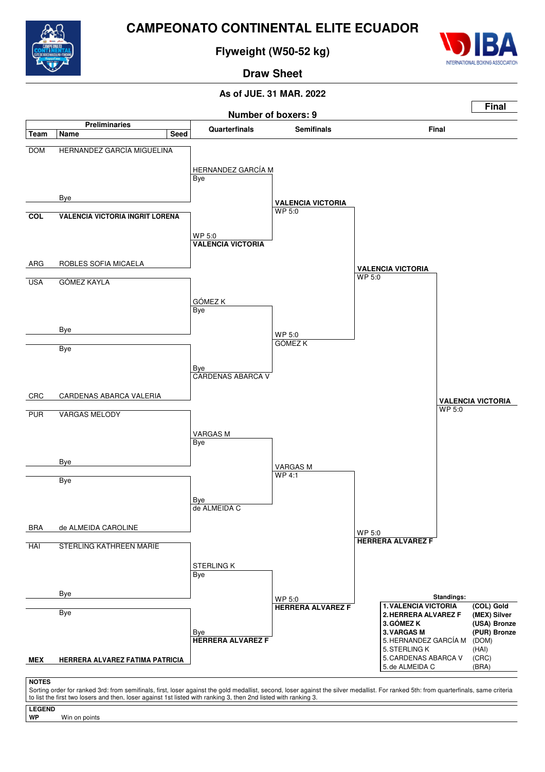

**Flyweight (W50-52 kg)**



**Draw Sheet**

# **As of JUE. 31 MAR. 2022**



Sorting order for ranked 3rd: from semifinals, first, loser against the gold medallist, second, loser against the silver medallist. For ranked 5th: from quarterfinals, same criteria to list the first two losers and then, loser against 1st listed with ranking 3, then 2nd listed with ranking 3.

**LEGEND**

**WP** Win on points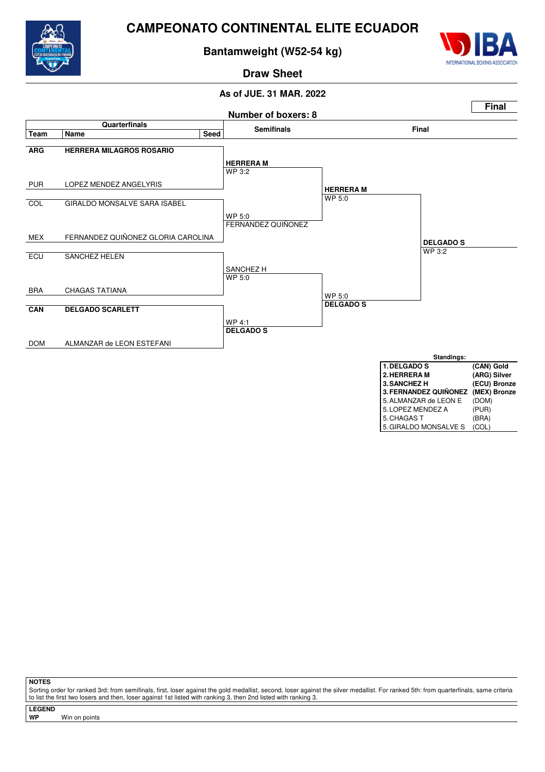

# **Bantamweight (W52-54 kg)**



**Draw Sheet**

# **As of JUE. 31 MAR. 2022**



**NOTES**

Sorting order for ranked 3rd: from semifinals, first, loser against the gold medallist, second, loser against the silver medallist. For ranked 5th: from quarterfinals, same criteria to list the first two losers and then, loser against 1st listed with ranking 3, then 2nd listed with ranking 3.

**LEGEND**

**WP** Win on points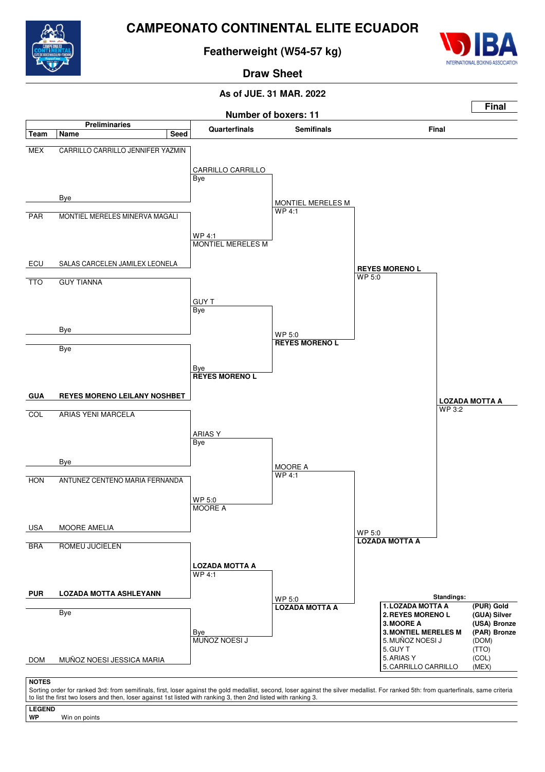

# **Featherweight (W54-57 kg)**



# **Draw Sheet**

## **As of JUE. 31 MAR. 2022**



**LEGEND** Win on points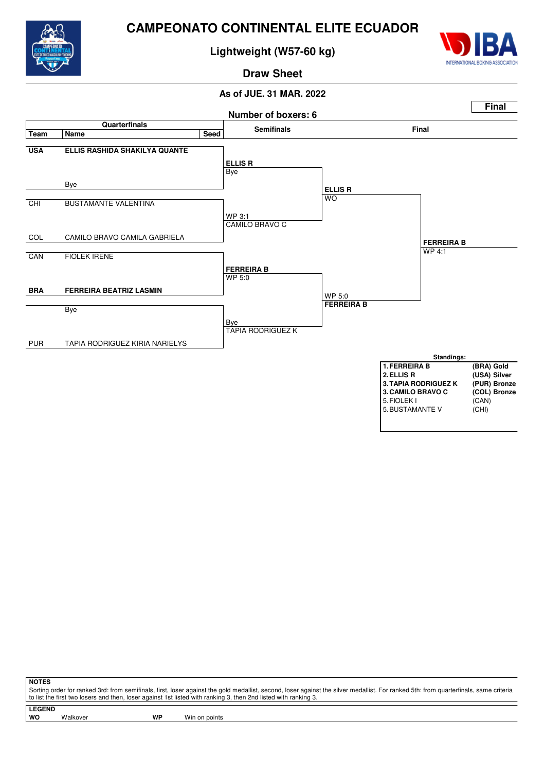

**Lightweight (W57-60 kg)**



**Draw Sheet**

# **As of JUE. 31 MAR. 2022**



**NOTES**

Sorting order for ranked 3rd: from semifinals, first, loser against the gold medallist, second, loser against the silver medallist. For ranked 5th: from quarterfinals, same criteria to list the first two losers and then, loser against 1st listed with ranking 3, then 2nd listed with ranking 3.

**LEGEND**

Walkover **WP** Win on points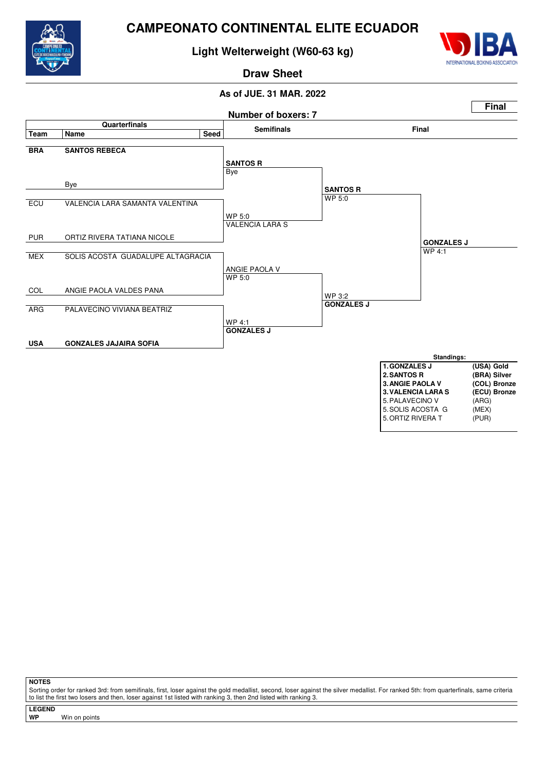

# **Light Welterweight (W60-63 kg)**



# **Draw Sheet**

# **As of JUE. 31 MAR. 2022**



**NOTES**

Sorting order for ranked 3rd: from semifinals, first, loser against the gold medallist, second, loser against the silver medallist. For ranked 5th: from quarterfinals, same criteria to list the first two losers and then, loser against 1st listed with ranking 3, then 2nd listed with ranking 3.

**LEGEND**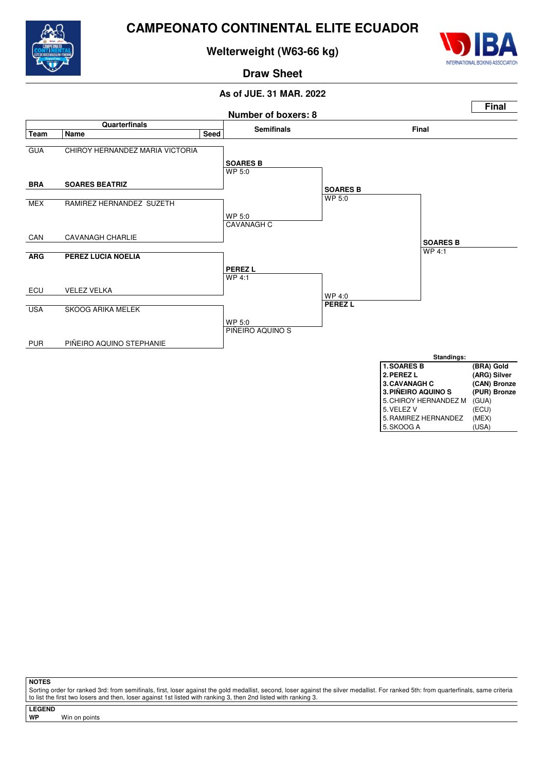

# **Welterweight (W63-66 kg)**



**Draw Sheet**

# **As of JUE. 31 MAR. 2022**



**NOTES**

Sorting order for ranked 3rd: from semifinals, first, loser against the gold medallist, second, loser against the silver medallist. For ranked 5th: from quarterfinals, same criteria to list the first two losers and then, loser against 1st listed with ranking 3, then 2nd listed with ranking 3.

**LEGEND**

**WP** Win on points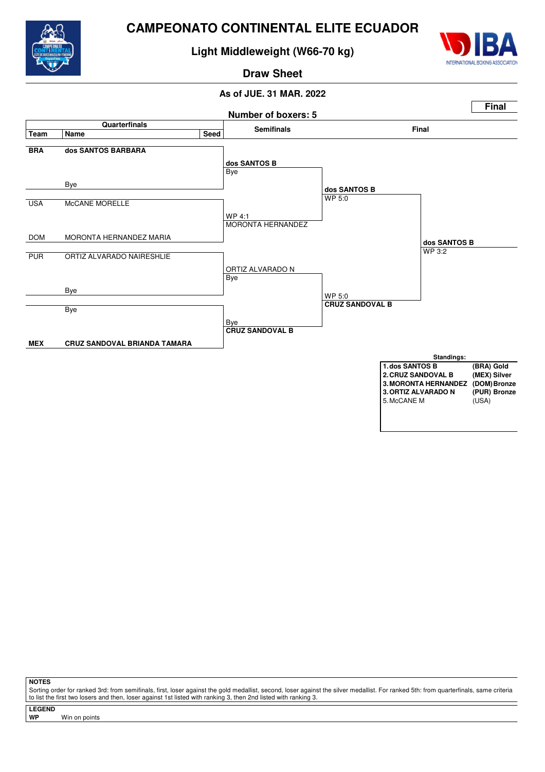

# **Light Middleweight (W66-70 kg)**



## **Draw Sheet**

# **As of JUE. 31 MAR. 2022**



**NOTES**

Sorting order for ranked 3rd: from semifinals, first, loser against the gold medallist, second, loser against the silver medallist. For ranked 5th: from quarterfinals, same criteria to list the first two losers and then, loser against 1st listed with ranking 3, then 2nd listed with ranking 3.

**LEGEND**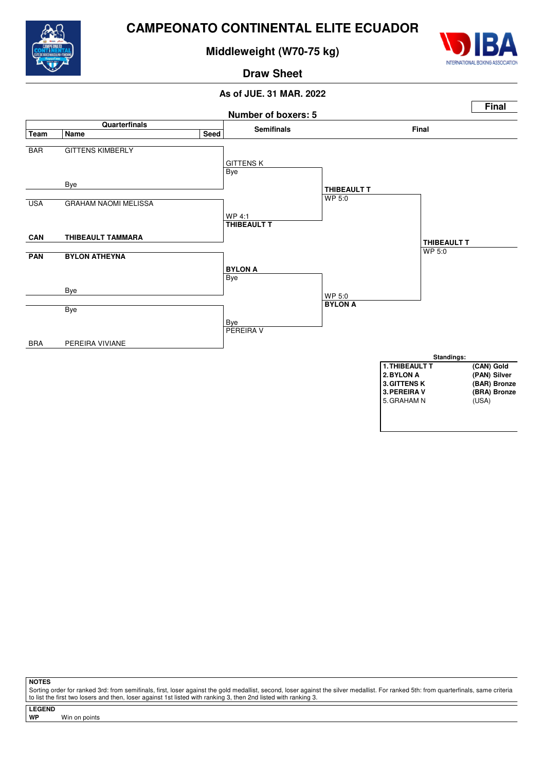

# **Middleweight (W70-75 kg)**



# **Draw Sheet**

## **As of JUE. 31 MAR. 2022**



**NOTES**

Sorting order for ranked 3rd: from semifinals, first, loser against the gold medallist, second, loser against the silver medallist. For ranked 5th: from quarterfinals, same criteria to list the first two losers and then, loser against 1st listed with ranking 3, then 2nd listed with ranking 3.

**LEGEND**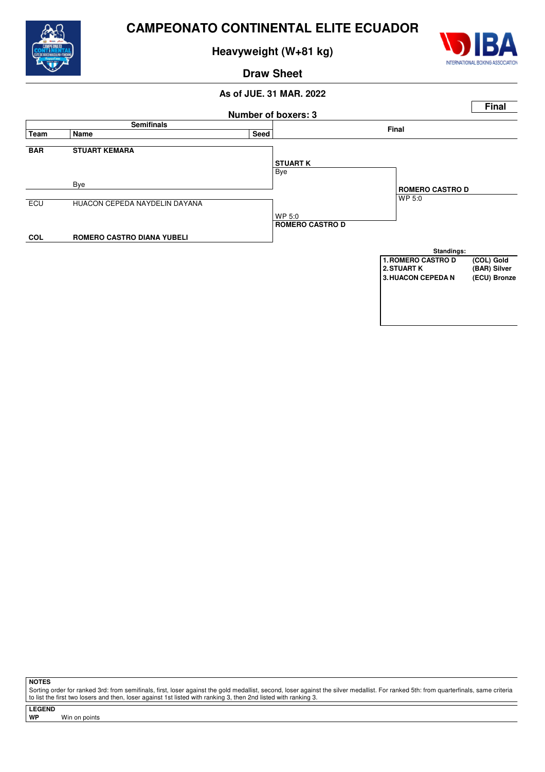

**Heavyweight (W+81 kg)**



**Draw Sheet**

## **As of JUE. 31 MAR. 2022**



**NOTES**

Sorting order for ranked 3rd: from semifinals, first, loser against the gold medallist, second, loser against the silver medallist. For ranked 5th: from quarterfinals, same criteria to list the first two losers and then, loser against 1st listed with ranking 3, then 2nd listed with ranking 3.

**LEGEND**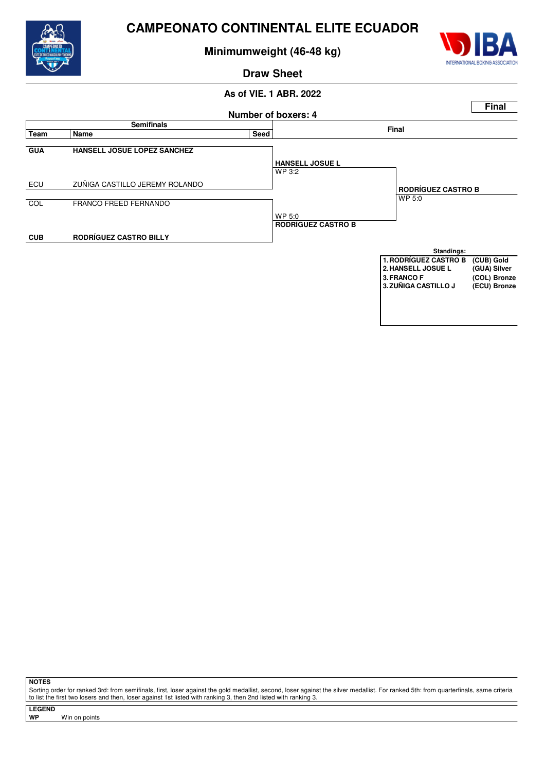

**Minimumweight (46-48 kg)**



**Draw Sheet**

## **As of VIE. 1 ABR. 2022 Number of boxers: 4 Final Semifinals Final Team Name Seed GUA HANSELL JOSUE LOPEZ SANCHEZ** WP 3:2 ECU ZUÑIGA CASTILLO JEREMY ROLANDO COL FRANCO FREED FERNANDO WP 5:0 **CUB RODRÍGUEZ CASTRO BILLY HANSELL JOSUE L** WP 5:0 **RODRÍGUEZ CASTRO B RODRÍGUEZ CASTRO B Standings: 1.RODRÍGUEZ CASTRO B (CUB) Gold 2.HANSELL JOSUE L (GUA) Silver** 3. FRANCO F (COL) Bronze<br>3. ZUÑIGA CASTILLO J (ECU) Bronze **3. ZUÑIGA CASTILLO J**

**NOTES**

Sorting order for ranked 3rd: from semifinals, first, loser against the gold medallist, second, loser against the silver medallist. For ranked 5th: from quarterfinals, same criteria to list the first two losers and then, loser against 1st listed with ranking 3, then 2nd listed with ranking 3.

**LEGEND**

**WP** Win on points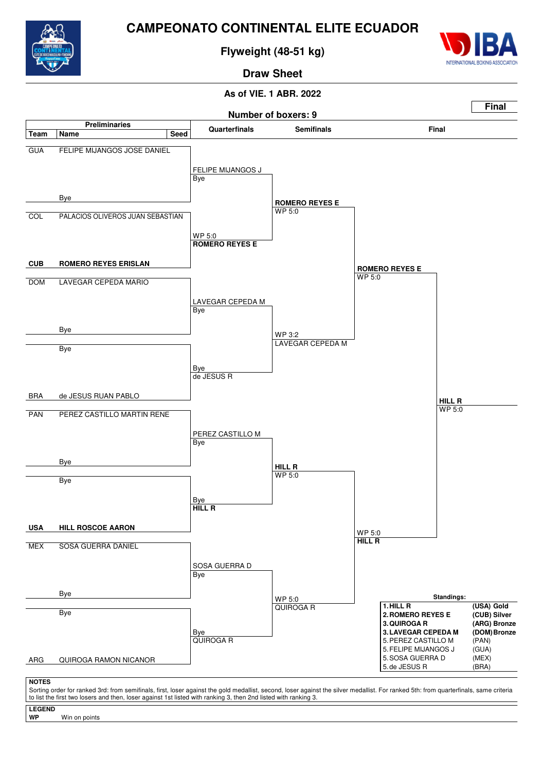

**Flyweight (48-51 kg)**



**Draw Sheet**

# **As of VIE. 1 ABR. 2022**



to list the first two losers and then, loser against 1st listed with ranking 3, then 2nd listed with ranking 3.

**LEGEND** Win on points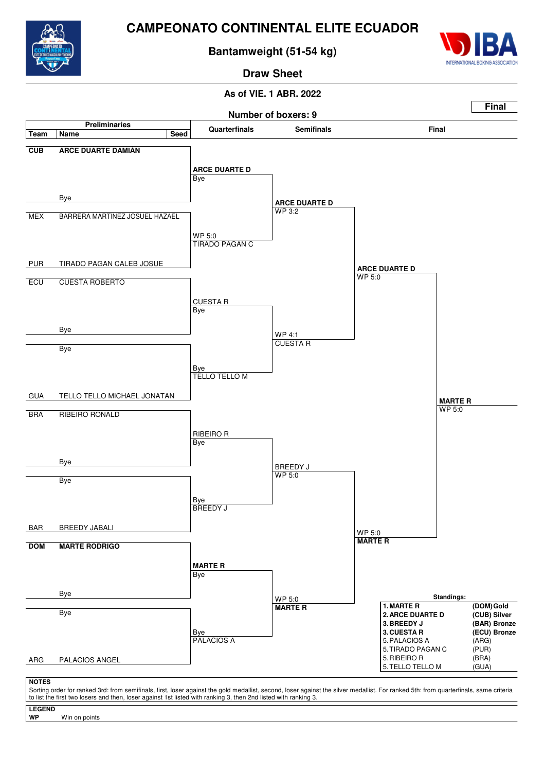

**LEGEND**

**WP** Win on points

# **CAMPEONATO CONTINENTAL ELITE ECUADOR**

**Bantamweight (51-54 kg)**



**Draw Sheet**

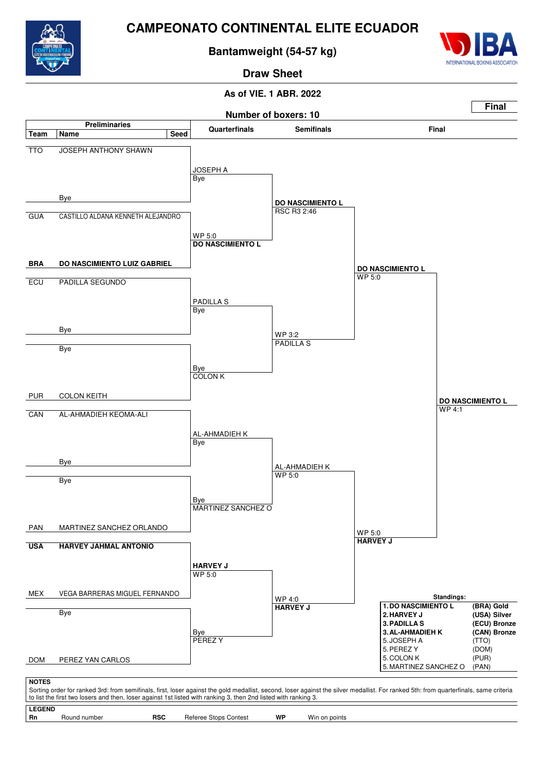

**Bantamweight (54-57 kg)**



**Draw Sheet**

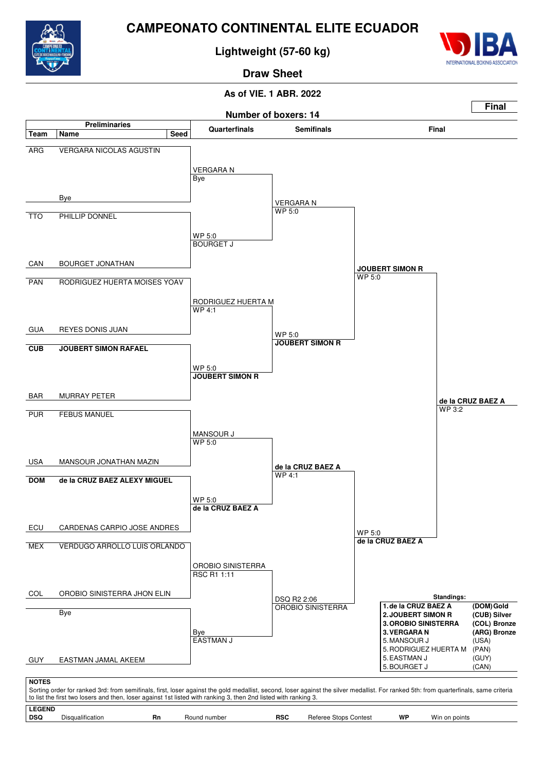

**Lightweight (57-60 kg)**



**Draw Sheet**

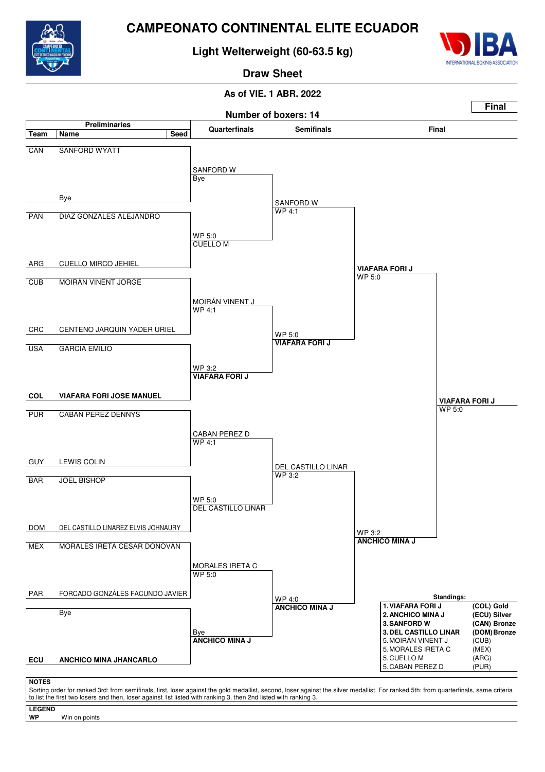

# **Light Welterweight (60-63.5 kg)**



**Draw Sheet**

# **As of VIE. 1 ABR. 2022**



Sorting order for ranked 3rd: from semifinals, first, loser against the gold medallist, second, loser against the silver medallist. For ranked 5th: from quarterfinals, same criteria to list the first two losers and then, loser against 1st listed with ranking 3, then 2nd listed with ranking 3.

**LEGEND**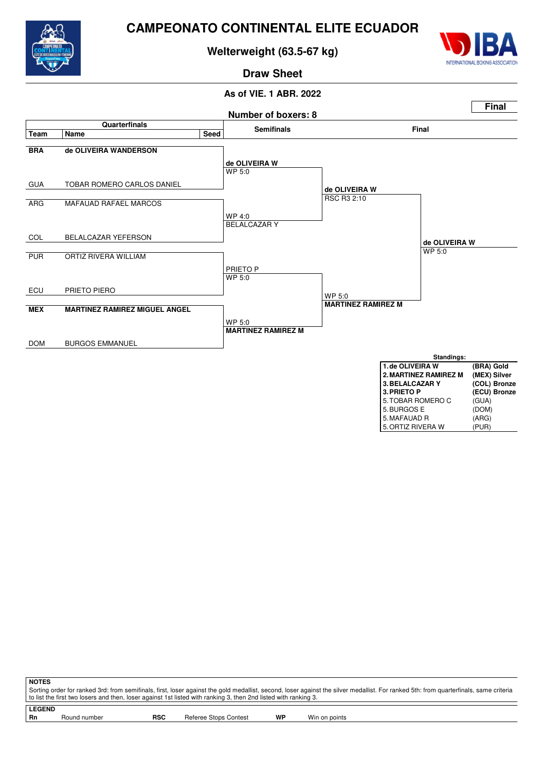

**Welterweight (63.5-67 kg)**



5. ORTIZ RIVERA W

**Draw Sheet**

# **As of VIE. 1 ABR. 2022**



**NOTES** Sorting order for ranked 3rd: from semifinals, first, loser against the gold medallist, second, loser against the silver medallist. For ranked 5th: from quarterfinals, same criteria to list the first two losers and then, loser against 1st listed with ranking 3, then 2nd listed with ranking 3.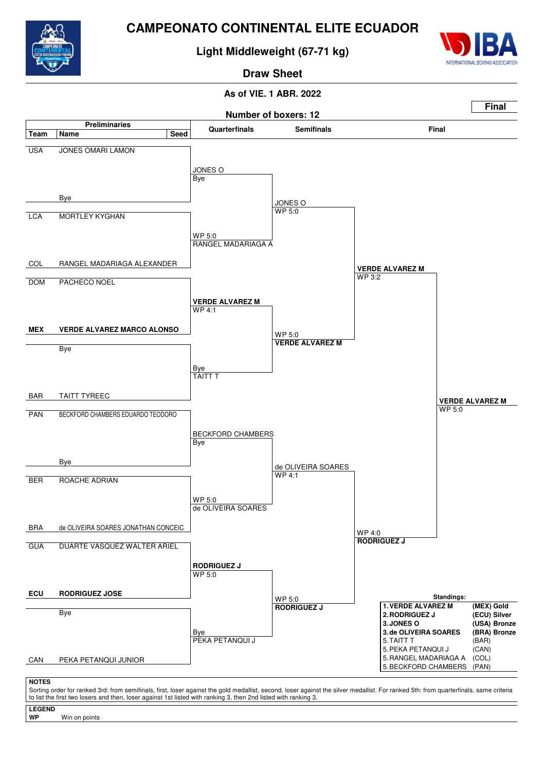

**Light Middleweight (67-71 kg)**



**Draw Sheet**



- **LEGEND**
- Win on points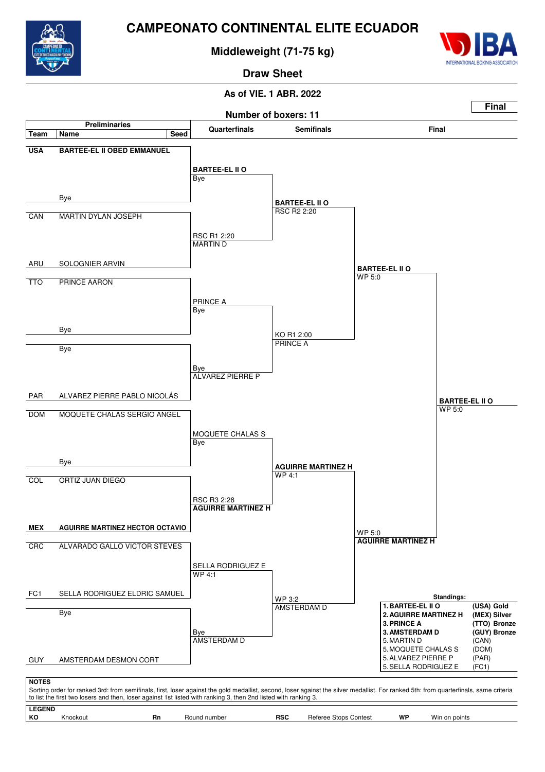

**Middleweight (71-75 kg)**



**Draw Sheet**

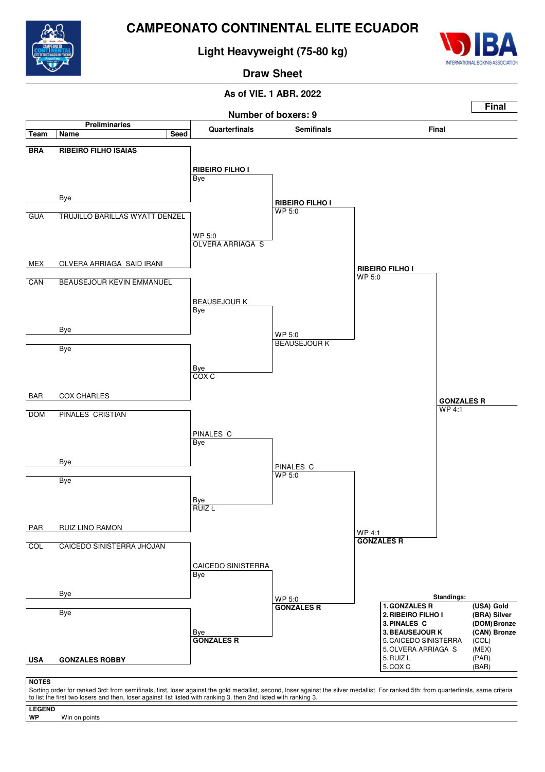

**LEGEND**

Win on points

# **CAMPEONATO CONTINENTAL ELITE ECUADOR**

**Light Heavyweight (75-80 kg)**



**Draw Sheet**

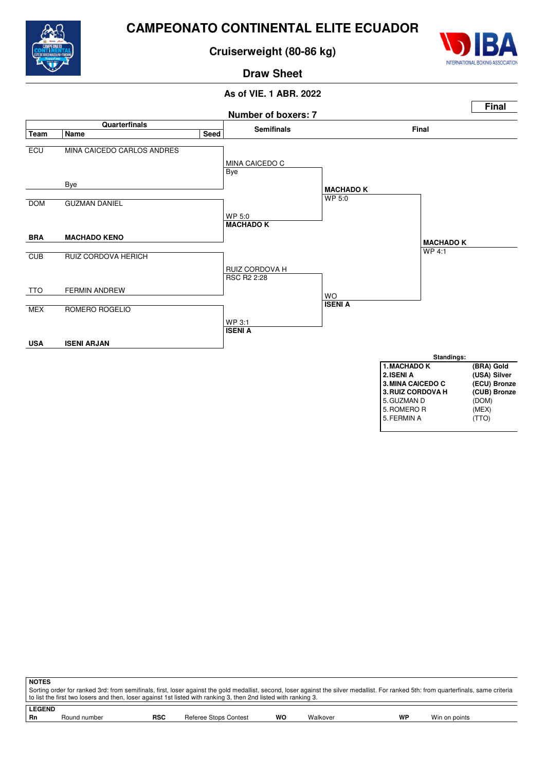

**Cruiserweight (80-86 kg)**



# **As of VIE. 1 ABR. 2022 Draw Sheet**



| <b>NOTES</b> |                                                                                                                                                                                       |            |                       |    |          |    |               |  |  |  |  |
|--------------|---------------------------------------------------------------------------------------------------------------------------------------------------------------------------------------|------------|-----------------------|----|----------|----|---------------|--|--|--|--|
|              | Sorting order for ranked 3rd: from semifinals, first, loser against the gold medallist, second, loser against the silver medallist. For ranked 5th: from quarterfinals, same criteria |            |                       |    |          |    |               |  |  |  |  |
|              | to list the first two losers and then, loser against 1st listed with ranking 3, then 2nd listed with ranking 3.                                                                       |            |                       |    |          |    |               |  |  |  |  |
|              | <b>LEGEND</b>                                                                                                                                                                         |            |                       |    |          |    |               |  |  |  |  |
| <b>Rn</b>    | Round number                                                                                                                                                                          | <b>RSC</b> | Referee Stops Contest | WO | Walkover | WP | Win on points |  |  |  |  |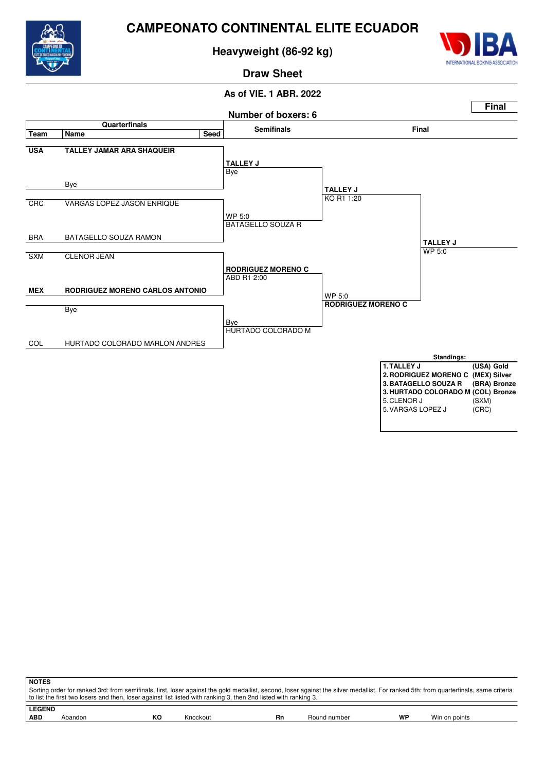

**Heavyweight (86-92 kg)**



# **Draw Sheet**



| <b>NOTES</b> |                                                                                                                                                                                                                                                                                                          |    |          |    |              |    |               |  |  |  |  |  |
|--------------|----------------------------------------------------------------------------------------------------------------------------------------------------------------------------------------------------------------------------------------------------------------------------------------------------------|----|----------|----|--------------|----|---------------|--|--|--|--|--|
|              | Sorting order for ranked 3rd: from semifinals, first, loser against the gold medallist, second, loser against the silver medallist. For ranked 5th: from quarterfinals, same criteria<br>to list the first two losers and then, loser against 1st listed with ranking 3, then 2nd listed with ranking 3. |    |          |    |              |    |               |  |  |  |  |  |
|              | <b>LEGEND</b>                                                                                                                                                                                                                                                                                            |    |          |    |              |    |               |  |  |  |  |  |
| <b>ABD</b>   | Abandon                                                                                                                                                                                                                                                                                                  | КO | Knockout | Rn | Round number | WP | Win on points |  |  |  |  |  |